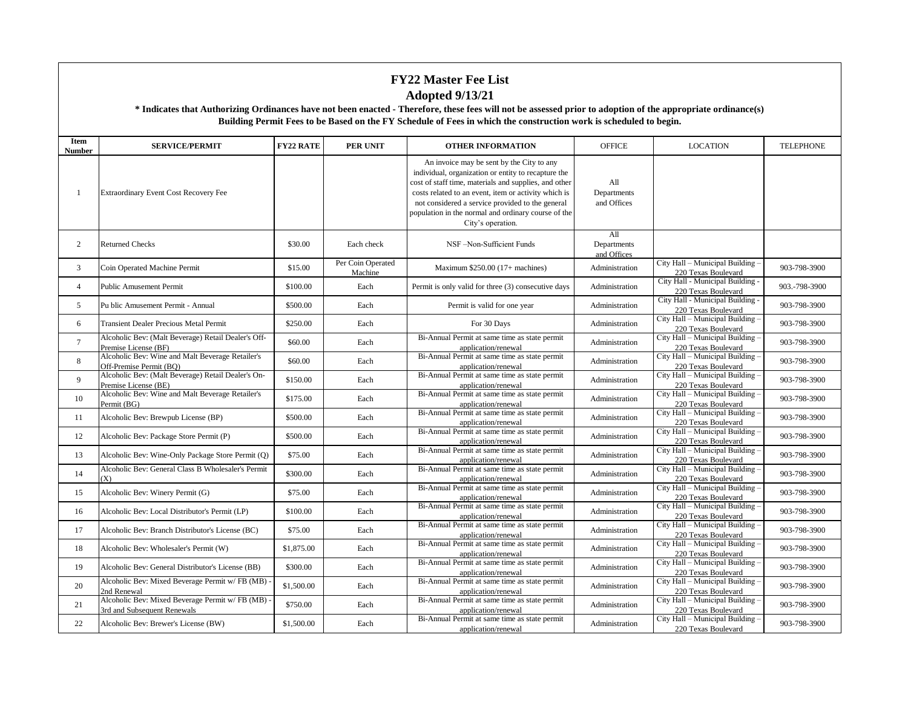| Item<br><b>Number</b> | <b>SERVICE/PERMIT</b>                                                          | <b>FY22 RATE</b> | <b>PER UNIT</b>              | <b>OTHER INFORMATION</b>                                                                                                                                                                                                                                                                                                                          | <b>OFFICE</b>                     | <b>LOCATION</b>                                         | <b>TELEPHONE</b> |
|-----------------------|--------------------------------------------------------------------------------|------------------|------------------------------|---------------------------------------------------------------------------------------------------------------------------------------------------------------------------------------------------------------------------------------------------------------------------------------------------------------------------------------------------|-----------------------------------|---------------------------------------------------------|------------------|
| -1                    | Extraordinary Event Cost Recovery Fee                                          |                  |                              | An invoice may be sent by the City to any<br>individual, organization or entity to recapture the<br>cost of staff time, materials and supplies, and other<br>costs related to an event, item or activity which is<br>not considered a service provided to the general<br>population in the normal and ordinary course of the<br>City's operation. | All<br>Departments<br>and Offices |                                                         |                  |
| 2                     | <b>Returned Checks</b>                                                         | \$30.00          | Each check                   | NSF-Non-Sufficient Funds                                                                                                                                                                                                                                                                                                                          | All<br>Departments<br>and Offices |                                                         |                  |
| 3                     | Coin Operated Machine Permit                                                   | \$15.00          | Per Coin Operated<br>Machine | Maximum $$250.00$ (17+ machines)                                                                                                                                                                                                                                                                                                                  | Administration                    | City Hall - Municipal Building -<br>220 Texas Boulevard | 903-798-3900     |
| $\overline{4}$        | <b>Public Amusement Permit</b>                                                 | \$100.00         | Each                         | Permit is only valid for three (3) consecutive days                                                                                                                                                                                                                                                                                               | Administration                    | City Hall - Municipal Building -<br>220 Texas Boulevard | 903.-798-3900    |
| 5                     | Pu blic Amusement Permit - Annual                                              | \$500.00         | Each                         | Permit is valid for one year                                                                                                                                                                                                                                                                                                                      | Administration                    | City Hall - Municipal Building -<br>220 Texas Boulevard | 903-798-3900     |
| 6                     | <b>Transient Dealer Precious Metal Permit</b>                                  | \$250.00         | Each                         | For 30 Days                                                                                                                                                                                                                                                                                                                                       | Administration                    | City Hall - Municipal Building -<br>220 Texas Boulevard | 903-798-3900     |
| $7\overline{ }$       | Alcoholic Bev: (Malt Beverage) Retail Dealer's Off-<br>Premise License (BF)    | \$60.00          | Each                         | Bi-Annual Permit at same time as state permit<br>application/renewal                                                                                                                                                                                                                                                                              | Administration                    | City Hall - Municipal Building -<br>220 Texas Boulevard | 903-798-3900     |
| 8                     | Alcoholic Bev: Wine and Malt Beverage Retailer's<br>Off-Premise Permit (BO)    | \$60.00          | Each                         | Bi-Annual Permit at same time as state permit<br>application/renewal                                                                                                                                                                                                                                                                              | Administration                    | City Hall - Municipal Building -<br>220 Texas Boulevard | 903-798-3900     |
| 9                     | Alcoholic Bev: (Malt Beverage) Retail Dealer's On-<br>Premise License (BE)     | \$150.00         | Each                         | Bi-Annual Permit at same time as state permit<br>application/renewal                                                                                                                                                                                                                                                                              | Administration                    | City Hall - Municipal Building<br>220 Texas Boulevard   | 903-798-3900     |
| 10                    | Alcoholic Bev: Wine and Malt Beverage Retailer's<br>Permit (BG)                | \$175.00         | Each                         | Bi-Annual Permit at same time as state permit<br>application/renewal                                                                                                                                                                                                                                                                              | Administration                    | City Hall - Municipal Building -<br>220 Texas Boulevard | 903-798-3900     |
| 11                    | Alcoholic Bev: Brewpub License (BP)                                            | \$500.00         | Each                         | Bi-Annual Permit at same time as state permit<br>application/renewal                                                                                                                                                                                                                                                                              | Administration                    | City Hall - Municipal Building -<br>220 Texas Boulevard | 903-798-3900     |
| 12                    | Alcoholic Bev: Package Store Permit (P)                                        | \$500.00         | Each                         | Bi-Annual Permit at same time as state permit<br>application/renewal                                                                                                                                                                                                                                                                              | Administration                    | City Hall - Municipal Building -<br>220 Texas Boulevard | 903-798-3900     |
| 13                    | Alcoholic Bev: Wine-Only Package Store Permit (Q)                              | \$75.00          | Each                         | Bi-Annual Permit at same time as state permit<br>application/renewal                                                                                                                                                                                                                                                                              | Administration                    | City Hall - Municipal Building -<br>220 Texas Boulevard | 903-798-3900     |
| 14                    | Alcoholic Bev: General Class B Wholesaler's Permit<br>(X)                      | \$300.00         | Each                         | Bi-Annual Permit at same time as state permit<br>application/renewal                                                                                                                                                                                                                                                                              | Administration                    | City Hall - Municipal Building -<br>220 Texas Boulevard | 903-798-3900     |
| 15                    | Alcoholic Bev: Winery Permit (G)                                               | \$75.00          | Each                         | Bi-Annual Permit at same time as state permit<br>application/renewal                                                                                                                                                                                                                                                                              | Administration                    | City Hall - Municipal Building -<br>220 Texas Boulevard | 903-798-3900     |
| 16                    | Alcoholic Bev: Local Distributor's Permit (LP)                                 | \$100.00         | Each                         | Bi-Annual Permit at same time as state permit<br>application/renewal                                                                                                                                                                                                                                                                              | Administration                    | City Hall - Municipal Building -<br>220 Texas Boulevard | 903-798-3900     |
| 17                    | Alcoholic Bev: Branch Distributor's License (BC)                               | \$75.00          | Each                         | Bi-Annual Permit at same time as state permit<br>application/renewal                                                                                                                                                                                                                                                                              | Administration                    | City Hall - Municipal Building -<br>220 Texas Boulevard | 903-798-3900     |
| 18                    | Alcoholic Bev: Wholesaler's Permit (W)                                         | \$1,875.00       | Each                         | Bi-Annual Permit at same time as state permit<br>application/renewal                                                                                                                                                                                                                                                                              | Administration                    | City Hall - Municipal Building -<br>220 Texas Boulevard | 903-798-3900     |
| 19                    | Alcoholic Bev: General Distributor's License (BB)                              | \$300.00         | Each                         | Bi-Annual Permit at same time as state permit<br>application/renewal                                                                                                                                                                                                                                                                              | Administration                    | City Hall - Municipal Building -<br>220 Texas Boulevard | 903-798-3900     |
| 20                    | Alcoholic Bev: Mixed Beverage Permit w/ FB (MB)<br>2nd Renewal                 | \$1,500.00       | Each                         | Bi-Annual Permit at same time as state permit<br>application/renewal                                                                                                                                                                                                                                                                              | Administration                    | City Hall - Municipal Building -<br>220 Texas Boulevard | 903-798-3900     |
| 21                    | Alcoholic Bev: Mixed Beverage Permit w/ FB (MB)<br>3rd and Subsequent Renewals | \$750.00         | Each                         | Bi-Annual Permit at same time as state permit<br>application/renewal                                                                                                                                                                                                                                                                              | Administration                    | City Hall - Municipal Building -<br>220 Texas Boulevard | 903-798-3900     |
| 22                    | Alcoholic Bev: Brewer's License (BW)                                           | \$1,500.00       | Each                         | Bi-Annual Permit at same time as state permit<br>application/renewal                                                                                                                                                                                                                                                                              | Administration                    | City Hall - Municipal Building -<br>220 Texas Boulevard | 903-798-3900     |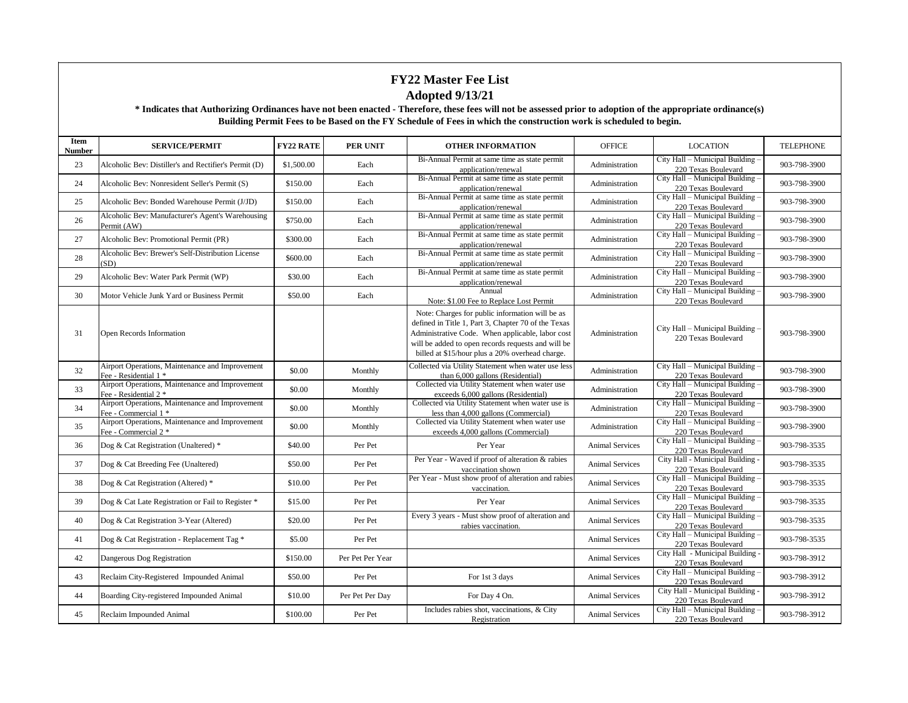| Item<br><b>Number</b> | <b>SERVICE/PERMIT</b>                                                    | <b>FY22 RATE</b> | <b>PER UNIT</b>  | <b>OTHER INFORMATION</b>                                                                                                                                                                                                                                            | <b>OFFICE</b>          | <b>LOCATION</b>                                         | <b>TELEPHONE</b> |
|-----------------------|--------------------------------------------------------------------------|------------------|------------------|---------------------------------------------------------------------------------------------------------------------------------------------------------------------------------------------------------------------------------------------------------------------|------------------------|---------------------------------------------------------|------------------|
| 23                    | Alcoholic Bev: Distiller's and Rectifier's Permit (D)                    | \$1,500.00       | Each             | Bi-Annual Permit at same time as state permit<br>application/renewal                                                                                                                                                                                                | Administration         | City Hall - Municipal Building<br>220 Texas Boulevard   | 903-798-3900     |
| 24                    | Alcoholic Bev: Nonresident Seller's Permit (S)                           | \$150.00         | Each             | Bi-Annual Permit at same time as state permit<br>application/renewal                                                                                                                                                                                                | Administration         | City Hall - Municipal Building -<br>220 Texas Boulevard | 903-798-3900     |
| 25                    | Alcoholic Bev: Bonded Warehouse Permit (J/JD)                            | \$150.00         | Each             | Bi-Annual Permit at same time as state permit<br>application/renewal                                                                                                                                                                                                | Administration         | City Hall - Municipal Building -<br>220 Texas Boulevard | 903-798-3900     |
| 26                    | Alcoholic Bev: Manufacturer's Agent's Warehousing<br>Permit (AW)         | \$750.00         | Each             | Bi-Annual Permit at same time as state permit<br>application/renewal                                                                                                                                                                                                | Administration         | City Hall - Municipal Building<br>220 Texas Boulevard   | 903-798-3900     |
| 27                    | Alcoholic Bev: Promotional Permit (PR)                                   | \$300.00         | Each             | Bi-Annual Permit at same time as state permit<br>application/renewal                                                                                                                                                                                                | Administration         | City Hall - Municipal Building -<br>220 Texas Boulevard | 903-798-3900     |
| 28                    | Alcoholic Bev: Brewer's Self-Distribution License<br>(SD)                | \$600.00         | Each             | Bi-Annual Permit at same time as state permit<br>application/renewal                                                                                                                                                                                                | Administration         | City Hall - Municipal Building -<br>220 Texas Boulevard | 903-798-3900     |
| 29                    | Alcoholic Bev: Water Park Permit (WP)                                    | \$30.00          | Each             | Bi-Annual Permit at same time as state permit<br>application/renewal                                                                                                                                                                                                | Administration         | City Hall - Municipal Building -<br>220 Texas Boulevard | 903-798-3900     |
| 30                    | Motor Vehicle Junk Yard or Business Permit                               | \$50.00          | Each             | Annual<br>Note: \$1.00 Fee to Replace Lost Permit                                                                                                                                                                                                                   | Administration         | City Hall - Municipal Building<br>220 Texas Boulevard   | 903-798-3900     |
| 31                    | Open Records Information                                                 |                  |                  | Note: Charges for public information will be as<br>defined in Title 1, Part 3, Chapter 70 of the Texas<br>Administrative Code. When applicable, labor cost<br>will be added to open records requests and will be<br>billed at \$15/hour plus a 20% overhead charge. | Administration         | City Hall - Municipal Building -<br>220 Texas Boulevard | 903-798-3900     |
| 32                    | Airport Operations, Maintenance and Improvement<br>Fee - Residential 1 * | \$0.00           | Monthly          | Collected via Utility Statement when water use less<br>than 6,000 gallons (Residential)                                                                                                                                                                             | Administration         | City Hall - Municipal Building<br>220 Texas Boulevard   | 903-798-3900     |
| 33                    | Airport Operations, Maintenance and Improvement<br>Fee - Residential 2 * | \$0.00           | Monthly          | Collected via Utility Statement when water use<br>exceeds 6,000 gallons (Residential)                                                                                                                                                                               | Administration         | City Hall - Municipal Building<br>220 Texas Boulevard   | 903-798-3900     |
| 34                    | Airport Operations, Maintenance and Improvement<br>Fee - Commercial 1 *  | \$0.00           | Monthly          | Collected via Utility Statement when water use is<br>less than 4,000 gallons (Commercial)                                                                                                                                                                           | Administration         | City Hall - Municipal Building -<br>220 Texas Boulevard | 903-798-3900     |
| 35                    | Airport Operations, Maintenance and Improvement<br>Fee - Commercial 2 *  | \$0.00           | Monthly          | Collected via Utility Statement when water use<br>exceeds 4,000 gallons (Commercial)                                                                                                                                                                                | Administration         | City Hall - Municipal Building<br>220 Texas Boulevard   | 903-798-3900     |
| 36                    | Dog & Cat Registration (Unaltered) *                                     | \$40.00          | Per Pet          | Per Year                                                                                                                                                                                                                                                            | <b>Animal Services</b> | City Hall - Municipal Building -<br>220 Texas Boulevard | 903-798-3535     |
| 37                    | Dog & Cat Breeding Fee (Unaltered)                                       | \$50.00          | Per Pet          | Per Year - Waved if proof of alteration & rabies<br>vaccination shown                                                                                                                                                                                               | <b>Animal Services</b> | City Hall - Municipal Building -<br>220 Texas Boulevard | 903-798-3535     |
| 38                    | Dog & Cat Registration (Altered) *                                       | \$10.00          | Per Pet          | Per Year - Must show proof of alteration and rabies<br>vaccination.                                                                                                                                                                                                 | <b>Animal Services</b> | City Hall - Municipal Building -<br>220 Texas Boulevard | 903-798-3535     |
| 39                    | Dog & Cat Late Registration or Fail to Register *                        | \$15.00          | Per Pet          | Per Year                                                                                                                                                                                                                                                            | <b>Animal Services</b> | City Hall - Municipal Building<br>220 Texas Boulevard   | 903-798-3535     |
| 40                    | Dog & Cat Registration 3-Year (Altered)                                  | \$20.00          | Per Pet          | Every 3 years - Must show proof of alteration and<br>rabies vaccination.                                                                                                                                                                                            | <b>Animal Services</b> | City Hall - Municipal Building<br>220 Texas Boulevard   | 903-798-3535     |
| 41                    | Dog & Cat Registration - Replacement Tag *                               | \$5.00           | Per Pet          |                                                                                                                                                                                                                                                                     | <b>Animal Services</b> | City Hall - Municipal Building -<br>220 Texas Boulevard | 903-798-3535     |
| 42                    | Dangerous Dog Registration                                               | \$150.00         | Per Pet Per Year |                                                                                                                                                                                                                                                                     | <b>Animal Services</b> | City Hall - Municipal Building -<br>220 Texas Boulevard | 903-798-3912     |
| 43                    | Reclaim City-Registered Impounded Animal                                 | \$50.00          | Per Pet          | For 1st 3 days                                                                                                                                                                                                                                                      | <b>Animal Services</b> | City Hall - Municipal Building -<br>220 Texas Boulevard | 903-798-3912     |
| 44                    | Boarding City-registered Impounded Animal                                | \$10.00          | Per Pet Per Day  | For Day 4 On.                                                                                                                                                                                                                                                       | <b>Animal Services</b> | City Hall - Municipal Building -<br>220 Texas Boulevard | 903-798-3912     |
| 45                    | Reclaim Impounded Animal                                                 | \$100.00         | Per Pet          | Includes rabies shot, vaccinations, & City<br>Registration                                                                                                                                                                                                          | <b>Animal Services</b> | City Hall - Municipal Building -<br>220 Texas Boulevard | 903-798-3912     |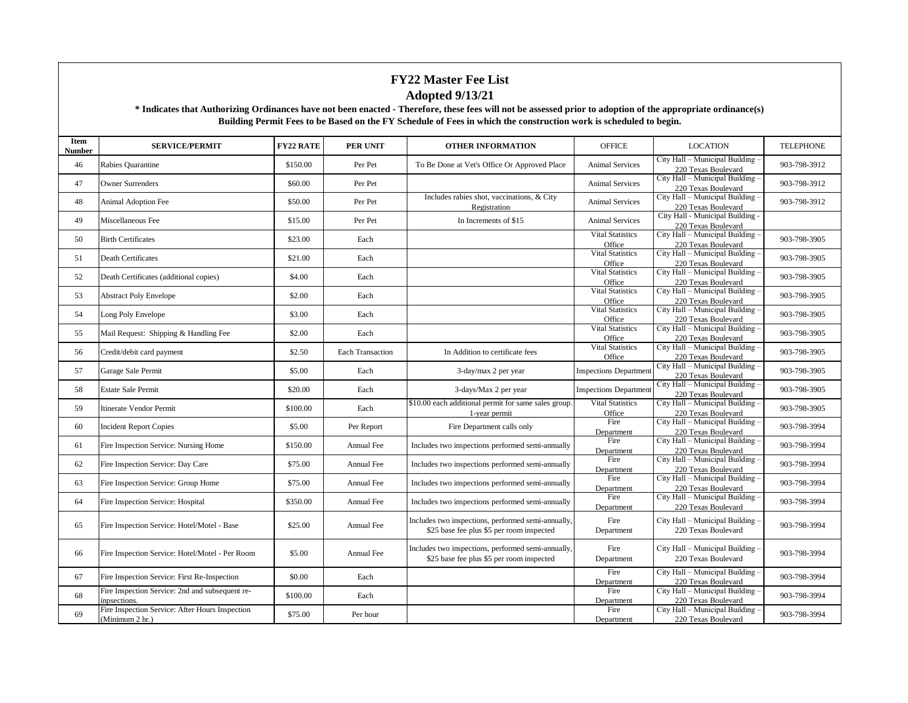| Item<br>Number | <b>SERVICE/PERMIT</b>                                              | <b>FY22 RATE</b> | <b>PER UNIT</b>         | <b>OTHER INFORMATION</b>                                                                        | <b>OFFICE</b>                     | <b>LOCATION</b>                                         | <b>TELEPHONE</b> |
|----------------|--------------------------------------------------------------------|------------------|-------------------------|-------------------------------------------------------------------------------------------------|-----------------------------------|---------------------------------------------------------|------------------|
| 46             | Rabies Quarantine                                                  | \$150.00         | Per Pet                 | To Be Done at Vet's Office Or Approved Place                                                    | <b>Animal Services</b>            | City Hall - Municipal Building -<br>220 Texas Boulevard | 903-798-3912     |
| 47             | <b>Owner Surrenders</b>                                            | \$60.00          | Per Pet                 |                                                                                                 | <b>Animal Services</b>            | City Hall - Municipal Building -<br>220 Texas Boulevard | 903-798-3912     |
| 48             | Animal Adoption Fee                                                | \$50.00          | Per Pet                 | Includes rabies shot, vaccinations, & City<br>Registration                                      | <b>Animal Services</b>            | City Hall - Municipal Building -<br>220 Texas Boulevard | 903-798-3912     |
| 49             | Miscellaneous Fee                                                  | \$15.00          | Per Pet                 | In Increments of \$15                                                                           | <b>Animal Services</b>            | City Hall - Municipal Building -<br>220 Texas Boulevard |                  |
| 50             | <b>Birth Certificates</b>                                          | \$23.00          | Each                    |                                                                                                 | <b>Vital Statistics</b><br>Office | City Hall - Municipal Building -<br>220 Texas Boulevard | 903-798-3905     |
| 51             | Death Certificates                                                 | \$21.00          | Each                    |                                                                                                 | <b>Vital Statistics</b><br>Office | City Hall - Municipal Building -<br>220 Texas Boulevard | 903-798-3905     |
| 52             | Death Certificates (additional copies)                             | \$4.00           | Each                    |                                                                                                 | <b>Vital Statistics</b><br>Office | City Hall - Municipal Building -<br>220 Texas Boulevard | 903-798-3905     |
| 53             | <b>Abstract Poly Envelope</b>                                      | \$2.00           | Each                    |                                                                                                 | <b>Vital Statistics</b><br>Office | City Hall - Municipal Building -<br>220 Texas Boulevard | 903-798-3905     |
| 54             | Long Poly Envelope                                                 | \$3.00           | Each                    |                                                                                                 | <b>Vital Statistics</b><br>Office | City Hall - Municipal Building -<br>220 Texas Boulevard | 903-798-3905     |
| 55             | Mail Request: Shipping & Handling Fee                              | \$2.00           | Each                    |                                                                                                 | <b>Vital Statistics</b><br>Office | City Hall - Municipal Building -<br>220 Texas Boulevard | 903-798-3905     |
| 56             | Credit/debit card payment                                          | \$2.50           | <b>Each Transaction</b> | In Addition to certificate fees                                                                 | <b>Vital Statistics</b><br>Office | City Hall - Municipal Building -<br>220 Texas Boulevard | 903-798-3905     |
| 57             | Garage Sale Permit                                                 | \$5.00           | Each                    | 3-day/max 2 per year                                                                            | <b>Inspections Departmen</b>      | City Hall - Municipal Building -<br>220 Texas Boulevard | 903-798-3905     |
| 58             | <b>Estate Sale Permit</b>                                          | \$20.00          | Each                    | 3-days/Max 2 per year                                                                           | <b>Inspections Departmen</b>      | City Hall - Municipal Building -<br>220 Texas Boulevard | 903-798-3905     |
| 59             | Itinerate Vendor Permit                                            | \$100.00         | Each                    | \$10.00 each additional permit for same sales group.<br>1-year permit                           | <b>Vital Statistics</b><br>Office | City Hall - Municipal Building -<br>220 Texas Boulevard | 903-798-3905     |
| 60             | <b>Incident Report Copies</b>                                      | \$5.00           | Per Report              | Fire Department calls only                                                                      | Fire<br>Department                | City Hall - Municipal Building -<br>220 Texas Boulevard | 903-798-3994     |
| 61             | Fire Inspection Service: Nursing Home                              | \$150.00         | Annual Fee              | Includes two inspections performed semi-annually                                                | Fire<br>Department                | City Hall - Municipal Building -<br>220 Texas Boulevard | 903-798-3994     |
| 62             | Fire Inspection Service: Day Care                                  | \$75.00          | Annual Fee              | Includes two inspections performed semi-annually                                                | Fire<br>Department                | City Hall - Municipal Building -<br>220 Texas Boulevard | 903-798-3994     |
| 63             | Fire Inspection Service: Group Home                                | \$75.00          | Annual Fee              | Includes two inspections performed semi-annually                                                | Fire<br>Department                | City Hall - Municipal Building -<br>220 Texas Boulevard | 903-798-3994     |
| 64             | Fire Inspection Service: Hospital                                  | \$350.00         | Annual Fee              | Includes two inspections performed semi-annually                                                | Fire<br>Department                | City Hall - Municipal Building -<br>220 Texas Boulevard | 903-798-3994     |
| 65             | Fire Inspection Service: Hotel/Motel - Base                        | \$25.00          | Annual Fee              | Includes two inspections, performed semi-annually.<br>\$25 base fee plus \$5 per room inspected | Fire<br>Department                | City Hall - Municipal Building -<br>220 Texas Boulevard | 903-798-3994     |
| 66             | Fire Inspection Service: Hotel/Motel - Per Room                    | \$5.00           | Annual Fee              | Includes two inspections, performed semi-annually<br>\$25 base fee plus \$5 per room inspected  | Fire<br>Department                | City Hall - Municipal Building -<br>220 Texas Boulevard | 903-798-3994     |
| 67             | Fire Inspection Service: First Re-Inspection                       | \$0.00           | Each                    |                                                                                                 | Fire<br>Department                | City Hall - Municipal Building -<br>220 Texas Boulevard | 903-798-3994     |
| 68             | Fire Inspection Service: 2nd and subsequent re-<br>inpsections.    | \$100.00         | Each                    |                                                                                                 | Fire<br>Department                | City Hall - Municipal Building -<br>220 Texas Boulevard | 903-798-3994     |
| 69             | Fire Inspection Service: After Hours Inspection<br>(Minimum 2 hr.) | \$75.00          | Per hour                |                                                                                                 | Fire<br>Department                | City Hall - Municipal Building -<br>220 Texas Boulevard | 903-798-3994     |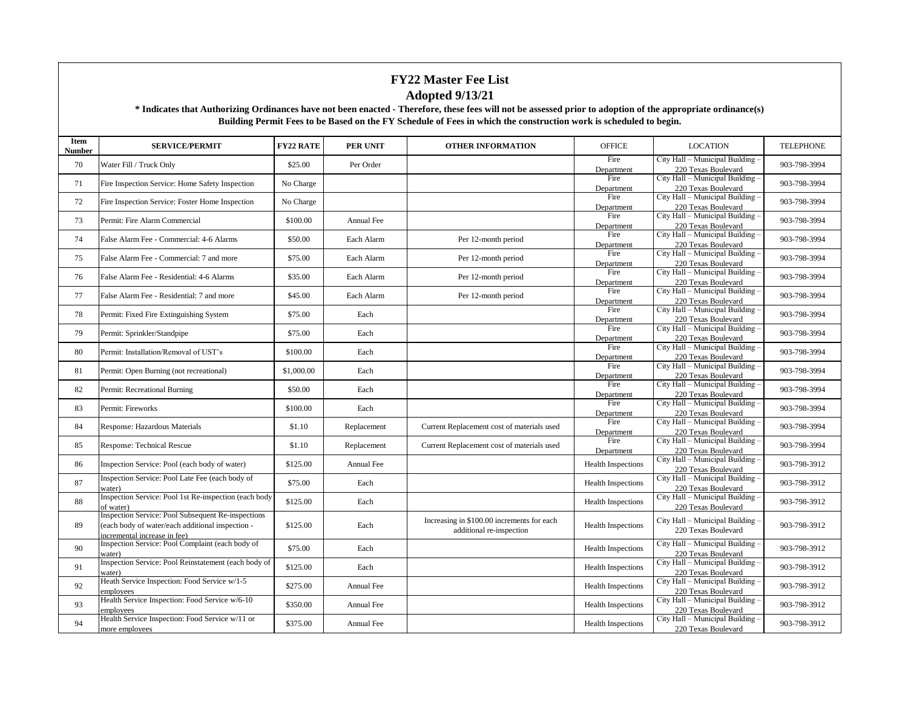| Item<br>Number | <b>SERVICE/PERMIT</b>                                                                                                                  | <b>FY22 RATE</b> | <b>PER UNIT</b>   | <b>OTHER INFORMATION</b>                                               | <b>OFFICE</b>             | <b>LOCATION</b>                                         | <b>TELEPHONE</b> |
|----------------|----------------------------------------------------------------------------------------------------------------------------------------|------------------|-------------------|------------------------------------------------------------------------|---------------------------|---------------------------------------------------------|------------------|
| 70             | Water Fill / Truck Only                                                                                                                | \$25.00          | Per Order         |                                                                        | Fire<br>Department        | City Hall - Municipal Building<br>220 Texas Boulevard   | 903-798-3994     |
| 71             | Fire Inspection Service: Home Safety Inspection                                                                                        | No Charge        |                   |                                                                        | Fire<br>Department        | City Hall - Municipal Building -<br>220 Texas Boulevard | 903-798-3994     |
| 72             | Fire Inspection Service: Foster Home Inspection                                                                                        | No Charge        |                   |                                                                        | Fire<br>Department        | City Hall - Municipal Building<br>220 Texas Boulevard   | 903-798-3994     |
| 73             | Permit: Fire Alarm Commercial                                                                                                          | \$100.00         | <b>Annual Fee</b> |                                                                        | Fire<br>Department        | City Hall - Municipal Building<br>220 Texas Boulevard   | 903-798-3994     |
| 74             | False Alarm Fee - Commercial: 4-6 Alarms                                                                                               | \$50.00          | Each Alarm        | Per 12-month period                                                    | Fire<br>Department        | City Hall - Municipal Building<br>220 Texas Boulevard   | 903-798-3994     |
| 75             | False Alarm Fee - Commercial: 7 and more                                                                                               | \$75.00          | Each Alarm        | Per 12-month period                                                    | Fire<br>Department        | City Hall - Municipal Building -<br>220 Texas Boulevard | 903-798-3994     |
| 76             | False Alarm Fee - Residential: 4-6 Alarms                                                                                              | \$35.00          | Each Alarm        | Per 12-month period                                                    | Fire<br>Department        | City Hall - Municipal Building -<br>220 Texas Boulevard | 903-798-3994     |
| 77             | False Alarm Fee - Residential: 7 and more                                                                                              | \$45.00          | Each Alarm        | Per 12-month period                                                    | Fire<br>Department        | City Hall - Municipal Building<br>220 Texas Boulevard   | 903-798-3994     |
| 78             | Permit: Fixed Fire Extinguishing System                                                                                                | \$75.00          | Each              |                                                                        | Fire<br>Department        | City Hall - Municipal Building<br>220 Texas Boulevard   | 903-798-3994     |
| 79             | Permit: Sprinkler/Standpipe                                                                                                            | \$75.00          | Each              |                                                                        | Fire<br>Department        | City Hall - Municipal Building -<br>220 Texas Boulevard | 903-798-3994     |
| 80             | Permit: Installation/Removal of UST's                                                                                                  | \$100.00         | Each              |                                                                        | Fire<br>Department        | City Hall - Municipal Building<br>220 Texas Boulevard   | 903-798-3994     |
| 81             | Permit: Open Burning (not recreational)                                                                                                | \$1,000.00       | Each              |                                                                        | Fire<br>Department        | City Hall - Municipal Building -<br>220 Texas Boulevard | 903-798-3994     |
| 82             | Permit: Recreational Burning                                                                                                           | \$50.00          | Each              |                                                                        | Fire<br>Department        | City Hall - Municipal Building<br>220 Texas Boulevard   | 903-798-3994     |
| 83             | Permit: Fireworks                                                                                                                      | \$100.00         | Each              |                                                                        | Fire<br>Department        | City Hall - Municipal Building<br>220 Texas Boulevard   | 903-798-3994     |
| 84             | Response: Hazardous Materials                                                                                                          | \$1.10           | Replacement       | Current Replacement cost of materials used                             | Fire<br>Department        | City Hall - Municipal Building -<br>220 Texas Boulevard | 903-798-3994     |
| 85             | Response: Technical Rescue                                                                                                             | \$1.10           | Replacement       | Current Replacement cost of materials used                             | Fire<br>Department        | City Hall - Municipal Building<br>220 Texas Boulevard   | 903-798-3994     |
| 86             | Inspection Service: Pool (each body of water)                                                                                          | \$125.00         | Annual Fee        |                                                                        | <b>Health Inspections</b> | City Hall - Municipal Building -<br>220 Texas Boulevard | 903-798-3912     |
| 87             | Inspection Service: Pool Late Fee (each body of<br>water)                                                                              | \$75.00          | Each              |                                                                        | <b>Health Inspections</b> | City Hall - Municipal Building<br>220 Texas Boulevard   | 903-798-3912     |
| 88             | Inspection Service: Pool 1st Re-inspection (each body<br>of water)                                                                     | \$125.00         | Each              |                                                                        | <b>Health Inspections</b> | City Hall - Municipal Building<br>220 Texas Boulevard   | 903-798-3912     |
| 89             | Inspection Service: Pool Subsequent Re-inspections<br>(each body of water/each additional inspection -<br>incremental increase in fee) | \$125.00         | Each              | Increasing in \$100.00 increments for each<br>additional re-inspection | <b>Health Inspections</b> | City Hall - Municipal Building<br>220 Texas Boulevard   | 903-798-3912     |
| 90             | Inspection Service: Pool Complaint (each body of<br>water)                                                                             | \$75.00          | Each              |                                                                        | <b>Health Inspections</b> | City Hall - Municipal Building<br>220 Texas Boulevard   | 903-798-3912     |
| 91             | Inspection Service: Pool Reinstatement (each body of<br>water)                                                                         | \$125.00         | Each              |                                                                        | <b>Health Inspections</b> | City Hall - Municipal Building<br>220 Texas Boulevard   | 903-798-3912     |
| 92             | Heath Service Inspection: Food Service w/1-5<br>employees                                                                              | \$275.00         | Annual Fee        |                                                                        | <b>Health Inspections</b> | City Hall - Municipal Building -<br>220 Texas Boulevard | 903-798-3912     |
| 93             | Health Service Inspection: Food Service w/6-10<br>employees                                                                            | \$350.00         | Annual Fee        |                                                                        | <b>Health Inspections</b> | City Hall - Municipal Building -<br>220 Texas Boulevard | 903-798-3912     |
| 94             | Health Service Inspection: Food Service w/11 or<br>more employees                                                                      | \$375.00         | Annual Fee        |                                                                        | Health Inspections        | City Hall - Municipal Building<br>220 Texas Boulevard   | 903-798-3912     |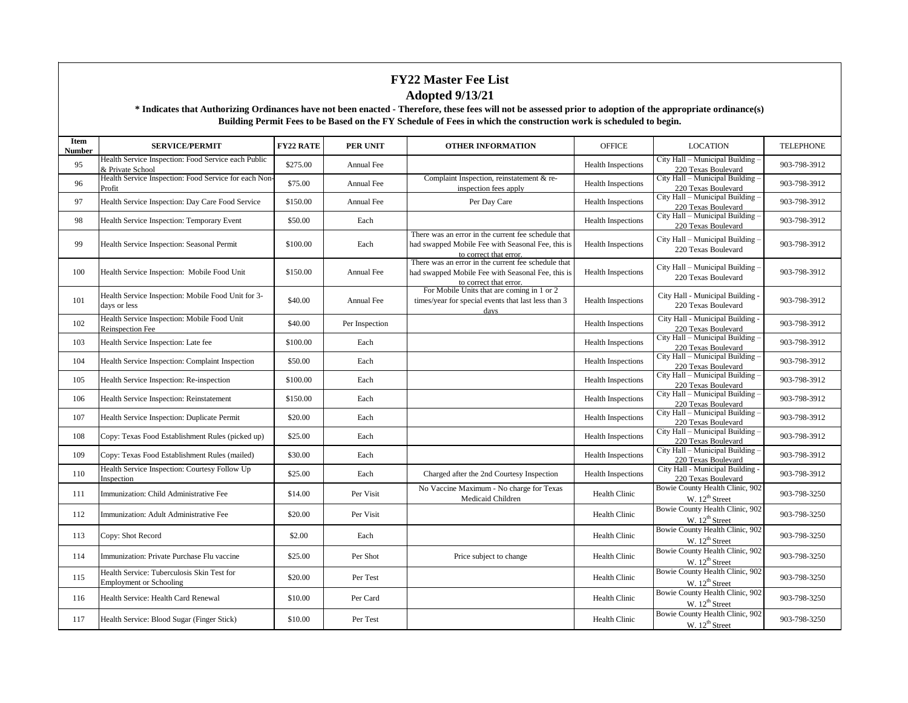| Item<br>Number | <b>SERVICE/PERMIT</b>                                                        | <b>FY22 RATE</b> | <b>PER UNIT</b>   | <b>OTHER INFORMATION</b>                                                                                                           | <b>OFFICE</b>             | <b>LOCATION</b>                                         | <b>TELEPHONE</b> |
|----------------|------------------------------------------------------------------------------|------------------|-------------------|------------------------------------------------------------------------------------------------------------------------------------|---------------------------|---------------------------------------------------------|------------------|
| 95             | Health Service Inspection: Food Service each Public<br>& Private School      | \$275.00         | <b>Annual Fee</b> |                                                                                                                                    | Health Inspections        | City Hall - Municipal Building<br>220 Texas Boulevard   | 903-798-3912     |
| 96             | Health Service Inspection: Food Service for each Non-<br>Profit              | \$75.00          | Annual Fee        | Complaint Inspection, reinstatement & re-<br>inspection fees apply                                                                 | Health Inspections        | City Hall - Municipal Building -<br>220 Texas Boulevard | 903-798-3912     |
| 97             | Health Service Inspection: Day Care Food Service                             | \$150.00         | Annual Fee        | Per Day Care                                                                                                                       | <b>Health Inspections</b> | City Hall - Municipal Building<br>220 Texas Boulevard   | 903-798-3912     |
| 98             | Health Service Inspection: Temporary Event                                   | \$50.00          | Each              |                                                                                                                                    | <b>Health Inspections</b> | City Hall - Municipal Building<br>220 Texas Boulevard   | 903-798-3912     |
| 99             | Health Service Inspection: Seasonal Permit                                   | \$100.00         | Each              | There was an error in the current fee schedule that<br>had swapped Mobile Fee with Seasonal Fee, this is<br>to correct that error. | <b>Health Inspections</b> | City Hall - Municipal Building<br>220 Texas Boulevard   | 903-798-3912     |
| 100            | Health Service Inspection: Mobile Food Unit                                  | \$150.00         | Annual Fee        | There was an error in the current fee schedule that<br>had swapped Mobile Fee with Seasonal Fee, this is<br>to correct that error. | <b>Health Inspections</b> | City Hall - Municipal Building<br>220 Texas Boulevard   | 903-798-3912     |
| 101            | Health Service Inspection: Mobile Food Unit for 3-<br>days or less           | \$40.00          | Annual Fee        | For Mobile Units that are coming in 1 or 2<br>times/year for special events that last less than 3<br>davs                          | <b>Health Inspections</b> | City Hall - Municipal Building<br>220 Texas Boulevard   | 903-798-3912     |
| 102            | Health Service Inspection: Mobile Food Unit<br><b>Reinspection Fee</b>       | \$40.00          | Per Inspection    |                                                                                                                                    | <b>Health Inspections</b> | City Hall - Municipal Building<br>220 Texas Boulevard   | 903-798-3912     |
| 103            | Health Service Inspection: Late fee                                          | \$100.00         | Each              |                                                                                                                                    | <b>Health Inspections</b> | City Hall - Municipal Building<br>220 Texas Boulevard   | 903-798-3912     |
| 104            | Health Service Inspection: Complaint Inspection                              | \$50.00          | Each              |                                                                                                                                    | <b>Health Inspections</b> | City Hall - Municipal Building<br>220 Texas Boulevard   | 903-798-3912     |
| 105            | Health Service Inspection: Re-inspection                                     | \$100.00         | Each              |                                                                                                                                    | <b>Health Inspections</b> | City Hall - Municipal Building<br>220 Texas Boulevard   | 903-798-3912     |
| 106            | Health Service Inspection: Reinstatement                                     | \$150.00         | Each              |                                                                                                                                    | <b>Health Inspections</b> | City Hall - Municipal Building<br>220 Texas Boulevard   | 903-798-3912     |
| 107            | Health Service Inspection: Duplicate Permit                                  | \$20.00          | Each              |                                                                                                                                    | <b>Health Inspections</b> | City Hall - Municipal Building<br>220 Texas Boulevard   | 903-798-3912     |
| 108            | Copy: Texas Food Establishment Rules (picked up)                             | \$25.00          | Each              |                                                                                                                                    | <b>Health Inspections</b> | City Hall - Municipal Building<br>220 Texas Boulevard   | 903-798-3912     |
| 109            | Copy: Texas Food Establishment Rules (mailed)                                | \$30.00          | Each              |                                                                                                                                    | <b>Health Inspections</b> | City Hall - Municipal Building<br>220 Texas Boulevard   | 903-798-3912     |
| 110            | Health Service Inspection: Courtesy Follow Up<br>Inspection                  | \$25.00          | Each              | Charged after the 2nd Courtesy Inspection                                                                                          | <b>Health Inspections</b> | City Hall - Municipal Building -<br>220 Texas Boulevard | 903-798-3912     |
| 111            | Immunization: Child Administrative Fee                                       | \$14.00          | Per Visit         | No Vaccine Maximum - No charge for Texas<br>Medicaid Children                                                                      | <b>Health Clinic</b>      | Bowie County Health Clinic, 902<br>W. $12^{th}$ Street  | 903-798-3250     |
| 112            | Immunization: Adult Administrative Fee                                       | \$20.00          | Per Visit         |                                                                                                                                    | Health Clinic             | Bowie County Health Clinic, 902<br>W. $12^{th}$ Street  | 903-798-3250     |
| 113            | Copy: Shot Record                                                            | \$2.00           | Each              |                                                                                                                                    | Health Clinic             | Bowie County Health Clinic, 902<br>W. $12^{th}$ Street  | 903-798-3250     |
| 114            | Immunization: Private Purchase Flu vaccine                                   | \$25.00          | Per Shot          | Price subject to change                                                                                                            | Health Clinic             | Bowie County Health Clinic, 902<br>W. $12^{th}$ Street  | 903-798-3250     |
| 115            | Health Service: Tuberculosis Skin Test for<br><b>Employment or Schooling</b> | \$20.00          | Per Test          |                                                                                                                                    | <b>Health Clinic</b>      | Bowie County Health Clinic, 902<br>W. $12^{th}$ Street  | 903-798-3250     |
| 116            | Health Service: Health Card Renewal                                          | \$10.00          | Per Card          |                                                                                                                                    | Health Clinic             | Bowie County Health Clinic, 902<br>W. $12^{th}$ Street  | 903-798-3250     |
| 117            | Health Service: Blood Sugar (Finger Stick)                                   | \$10.00          | Per Test          |                                                                                                                                    | Health Clinic             | Bowie County Health Clinic, 902<br>W. $12^{th}$ Street  | 903-798-3250     |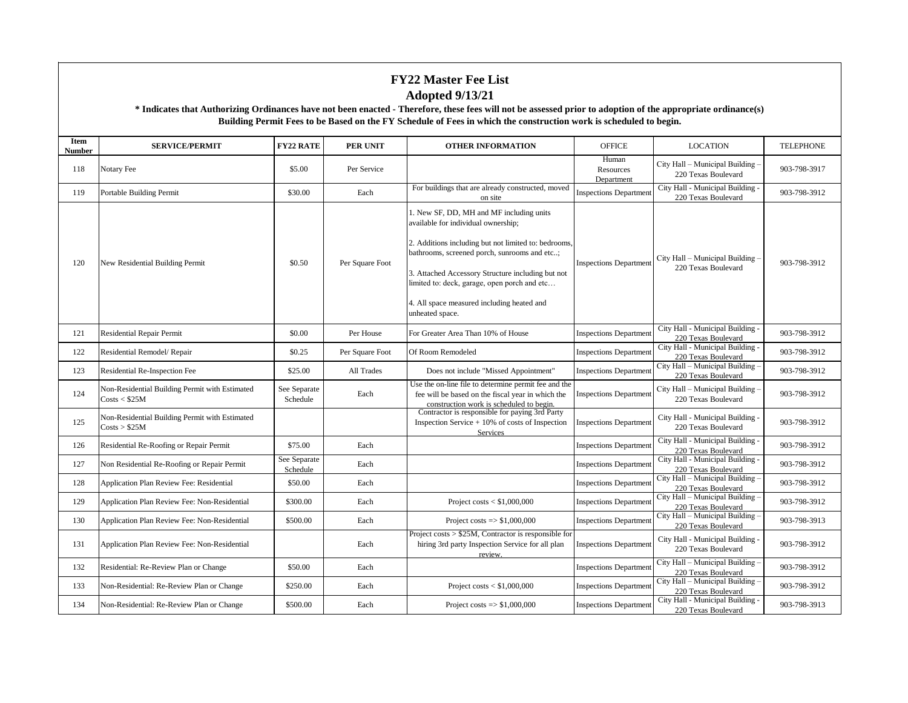| Item<br>Number | <b>SERVICE/PERMIT</b>                                           | <b>FY22 RATE</b>         | <b>PER UNIT</b> | <b>OTHER INFORMATION</b>                                                                                                                                                                                                                                                                                                                                      | <b>OFFICE</b>                    | <b>LOCATION</b>                                         | <b>TELEPHONE</b> |
|----------------|-----------------------------------------------------------------|--------------------------|-----------------|---------------------------------------------------------------------------------------------------------------------------------------------------------------------------------------------------------------------------------------------------------------------------------------------------------------------------------------------------------------|----------------------------------|---------------------------------------------------------|------------------|
| 118            | Notary Fee                                                      | \$5.00                   | Per Service     |                                                                                                                                                                                                                                                                                                                                                               | Human<br>Resources<br>Department | City Hall - Municipal Building -<br>220 Texas Boulevard | 903-798-3917     |
| 119            | Portable Building Permit                                        | \$30.00                  | Each            | For buildings that are already constructed, moved<br>on site                                                                                                                                                                                                                                                                                                  | <b>Inspections Departmen</b>     | City Hall - Municipal Building -<br>220 Texas Boulevard | 903-798-3912     |
| 120            | New Residential Building Permit                                 | \$0.50                   | Per Square Foot | 1. New SF, DD, MH and MF including units<br>available for individual ownership;<br>2. Additions including but not limited to: bedrooms,<br>bathrooms, screened porch, sunrooms and etc;<br>3. Attached Accessory Structure including but not<br>limited to: deck, garage, open porch and etc<br>4. All space measured including heated and<br>unheated space. | <b>Inspections Department</b>    | City Hall - Municipal Building -<br>220 Texas Boulevard | 903-798-3912     |
| 121            | <b>Residential Repair Permit</b>                                | \$0.00                   | Per House       | For Greater Area Than 10% of House                                                                                                                                                                                                                                                                                                                            | <b>Inspections Department</b>    | City Hall - Municipal Building -<br>220 Texas Boulevard | 903-798-3912     |
| 122            | Residential Remodel/ Repair                                     | \$0.25                   | Per Square Foot | Of Room Remodeled                                                                                                                                                                                                                                                                                                                                             | <b>Inspections Departmen</b>     | City Hall - Municipal Building -<br>220 Texas Boulevard | 903-798-3912     |
| 123            | Residential Re-Inspection Fee                                   | \$25.00                  | All Trades      | Does not include "Missed Appointment"                                                                                                                                                                                                                                                                                                                         | <b>Inspections Department</b>    | City Hall - Municipal Building -<br>220 Texas Boulevard | 903-798-3912     |
| 124            | Non-Residential Building Permit with Estimated<br>Costs < \$25M | See Separate<br>Schedule | Each            | Use the on-line file to determine permit fee and the<br>fee will be based on the fiscal year in which the<br>construction work is scheduled to begin.                                                                                                                                                                                                         | <b>Inspections Department</b>    | City Hall - Municipal Building -<br>220 Texas Boulevard | 903-798-3912     |
| 125            | Non-Residential Building Permit with Estimated<br>Costs > \$25M |                          |                 | Contractor is responsible for paying 3rd Party<br>Inspection Service $+10\%$ of costs of Inspection<br>Services                                                                                                                                                                                                                                               | <b>Inspections Department</b>    | City Hall - Municipal Building -<br>220 Texas Boulevard | 903-798-3912     |
| 126            | Residential Re-Roofing or Repair Permit                         | \$75.00                  | Each            |                                                                                                                                                                                                                                                                                                                                                               | <b>Inspections Departmen</b>     | City Hall - Municipal Building -<br>220 Texas Boulevard | 903-798-3912     |
| 127            | Non Residential Re-Roofing or Repair Permit                     | See Separate<br>Schedule | Each            |                                                                                                                                                                                                                                                                                                                                                               | <b>Inspections Departmen</b>     | City Hall - Municipal Building -<br>220 Texas Boulevard | 903-798-3912     |
| 128            | Application Plan Review Fee: Residential                        | \$50.00                  | Each            |                                                                                                                                                                                                                                                                                                                                                               | <b>Inspections Departmen</b>     | City Hall - Municipal Building -<br>220 Texas Boulevard | 903-798-3912     |
| 129            | Application Plan Review Fee: Non-Residential                    | \$300.00                 | Each            | Project costs $<$ \$1,000,000                                                                                                                                                                                                                                                                                                                                 | <b>Inspections Department</b>    | City Hall - Municipal Building -<br>220 Texas Boulevard | 903-798-3912     |
| 130            | Application Plan Review Fee: Non-Residential                    | \$500.00                 | Each            | Project costs $\Rightarrow$ \$1,000,000                                                                                                                                                                                                                                                                                                                       | <b>Inspections Department</b>    | City Hall - Municipal Building -<br>220 Texas Boulevard | 903-798-3913     |
| 131            | Application Plan Review Fee: Non-Residential                    |                          | Each            | Project costs $> $25M$ , Contractor is responsible for<br>hiring 3rd party Inspection Service for all plan<br>review.                                                                                                                                                                                                                                         | <b>Inspections Department</b>    | City Hall - Municipal Building -<br>220 Texas Boulevard | 903-798-3912     |
| 132            | Residential: Re-Review Plan or Change                           | \$50.00                  | Each            |                                                                                                                                                                                                                                                                                                                                                               | <b>Inspections Department</b>    | City Hall - Municipal Building -<br>220 Texas Boulevard | 903-798-3912     |
| 133            | Non-Residential: Re-Review Plan or Change                       | \$250.00                 | Each            | Project costs $<$ \$1,000,000                                                                                                                                                                                                                                                                                                                                 | <b>Inspections Departmen</b>     | City Hall - Municipal Building -<br>220 Texas Boulevard | 903-798-3912     |
| 134            | Non-Residential: Re-Review Plan or Change                       | \$500.00                 | Each            | Project costs $\Rightarrow$ \$1,000,000                                                                                                                                                                                                                                                                                                                       | <b>Inspections Department</b>    | City Hall - Municipal Building -<br>220 Texas Boulevard | 903-798-3913     |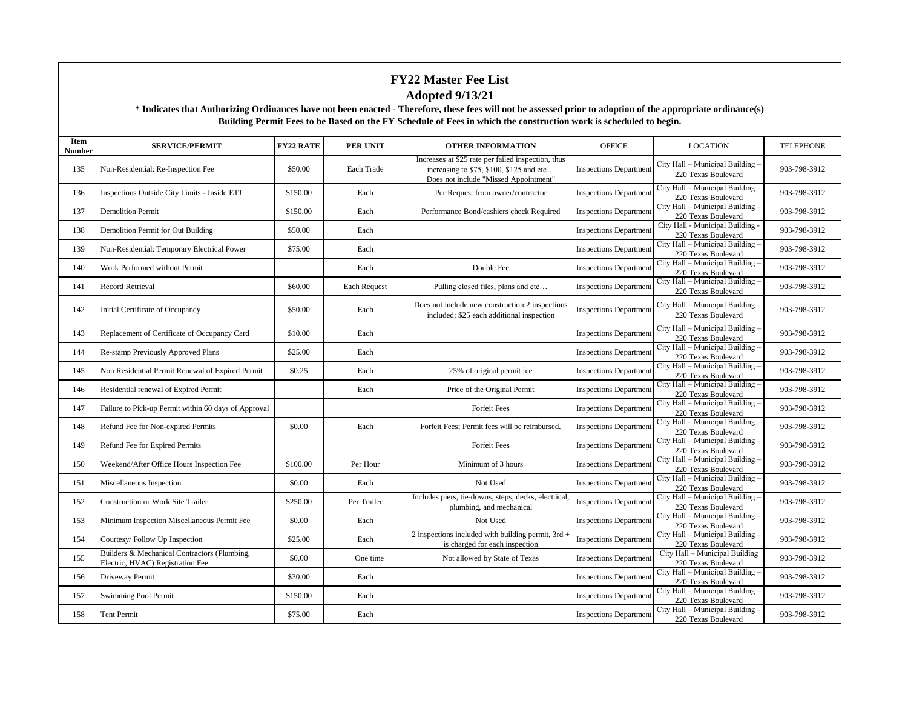| Item<br><b>Number</b> | <b>SERVICE/PERMIT</b>                                                            | <b>FY22 RATE</b> | <b>PER UNIT</b> | <b>OTHER INFORMATION</b>                                                                                                               | <b>OFFICE</b>                 | <b>LOCATION</b>                                         | <b>TELEPHONE</b> |
|-----------------------|----------------------------------------------------------------------------------|------------------|-----------------|----------------------------------------------------------------------------------------------------------------------------------------|-------------------------------|---------------------------------------------------------|------------------|
| 135                   | Non-Residential: Re-Inspection Fee                                               | \$50.00          | Each Trade      | Increases at \$25 rate per failed inspection, thus<br>increasing to $$75, $100, $125$ and etc<br>Does not include "Missed Appointment" | <b>Inspections Department</b> | City Hall – Municipal Building<br>220 Texas Boulevard   | 903-798-3912     |
| 136                   | Inspections Outside City Limits - Inside ETJ                                     | \$150.00         | Each            | Per Request from owner/contractor                                                                                                      | <b>Inspections Departmen</b>  | City Hall - Municipal Building -<br>220 Texas Boulevard | 903-798-3912     |
| 137                   | <b>Demolition Permit</b>                                                         | \$150.00         | Each            | Performance Bond/cashiers check Required                                                                                               | <b>Inspections Departmen</b>  | City Hall - Municipal Building -<br>220 Texas Boulevard | 903-798-3912     |
| 138                   | Demolition Permit for Out Building                                               | \$50.00          | Each            |                                                                                                                                        | <b>Inspections Departmen</b>  | City Hall - Municipal Building -<br>220 Texas Boulevard | 903-798-3912     |
| 139                   | Non-Residential: Temporary Electrical Power                                      | \$75.00          | Each            |                                                                                                                                        | <b>Inspections Department</b> | City Hall - Municipal Building -<br>220 Texas Boulevard | 903-798-3912     |
| 140                   | Work Performed without Permit                                                    |                  | Each            | Double Fee                                                                                                                             | <b>Inspections Department</b> | City Hall - Municipal Building<br>220 Texas Boulevard   | 903-798-3912     |
| 141                   | <b>Record Retrieval</b>                                                          | \$60.00          | Each Request    | Pulling closed files, plans and etc                                                                                                    | <b>Inspections Department</b> | City Hall - Municipal Building<br>220 Texas Boulevard   | 903-798-3912     |
| 142                   | Initial Certificate of Occupancy                                                 | \$50.00          | Each            | Does not include new construction;2 inspections<br>included; \$25 each additional inspection                                           | Inspections Department        | City Hall - Municipal Building -<br>220 Texas Boulevard | 903-798-3912     |
| 143                   | Replacement of Certificate of Occupancy Card                                     | \$10.00          | Each            |                                                                                                                                        | <b>Inspections Department</b> | City Hall - Municipal Building<br>220 Texas Boulevard   | 903-798-3912     |
| 144                   | Re-stamp Previously Approved Plans                                               | \$25.00          | Each            |                                                                                                                                        | <b>Inspections Departmen</b>  | City Hall - Municipal Building -<br>220 Texas Boulevard | 903-798-3912     |
| 145                   | Non Residential Permit Renewal of Expired Permit                                 | \$0.25           | Each            | 25% of original permit fee                                                                                                             | <b>Inspections Departmen</b>  | City Hall - Municipal Building -<br>220 Texas Boulevard | 903-798-3912     |
| 146                   | Residential renewal of Expired Permit                                            |                  | Each            | Price of the Original Permit                                                                                                           | <b>Inspections Departmen</b>  | City Hall - Municipal Building -<br>220 Texas Boulevard | 903-798-3912     |
| 147                   | Failure to Pick-up Permit within 60 days of Approval                             |                  |                 | <b>Forfeit Fees</b>                                                                                                                    | <b>Inspections Department</b> | City Hall - Municipal Building -<br>220 Texas Boulevard | 903-798-3912     |
| 148                   | Refund Fee for Non-expired Permits                                               | \$0.00           | Each            | Forfeit Fees; Permit fees will be reimbursed.                                                                                          | <b>Inspections Departmen</b>  | City Hall - Municipal Building -<br>220 Texas Boulevard | 903-798-3912     |
| 149                   | Refund Fee for Expired Permits                                                   |                  |                 | <b>Forfeit Fees</b>                                                                                                                    | <b>Inspections Departmen</b>  | City Hall - Municipal Building -<br>220 Texas Boulevard | 903-798-3912     |
| 150                   | Weekend/After Office Hours Inspection Fee                                        | \$100.00         | Per Hour        | Minimum of 3 hours                                                                                                                     | <b>Inspections Department</b> | City Hall - Municipal Building -<br>220 Texas Boulevard | 903-798-3912     |
| 151                   | Miscellaneous Inspection                                                         | \$0.00           | Each            | Not Used                                                                                                                               | <b>Inspections Department</b> | City Hall - Municipal Building<br>220 Texas Boulevard   | 903-798-3912     |
| 152                   | Construction or Work Site Trailer                                                | \$250.00         | Per Trailer     | Includes piers, tie-downs, steps, decks, electrical,<br>plumbing, and mechanical                                                       | <b>Inspections Departmen</b>  | City Hall - Municipal Building -<br>220 Texas Boulevard | 903-798-3912     |
| 153                   | Minimum Inspection Miscellaneous Permit Fee                                      | \$0.00           | Each            | Not Used                                                                                                                               | <b>Inspections Department</b> | City Hall - Municipal Building<br>220 Texas Boulevard   | 903-798-3912     |
| 154                   | Courtesy/Follow Up Inspection                                                    | \$25.00          | Each            | 2 inspections included with building permit, $3rd +$<br>is charged for each inspection                                                 | <b>Inspections Departmen</b>  | City Hall - Municipal Building -<br>220 Texas Boulevard | 903-798-3912     |
| 155                   | Builders & Mechanical Contractors (Plumbing,<br>Electric, HVAC) Registration Fee | \$0.00           | One time        | Not allowed by State of Texas                                                                                                          | <b>Inspections Department</b> | City Hall - Municipal Building<br>220 Texas Boulevard   | 903-798-3912     |
| 156                   | Driveway Permit                                                                  | \$30.00          | Each            |                                                                                                                                        | <b>Inspections Departmen</b>  | City Hall - Municipal Building -<br>220 Texas Boulevard | 903-798-3912     |
| 157                   | Swimming Pool Permit                                                             | \$150.00         | Each            |                                                                                                                                        | <b>Inspections Departmen</b>  | City Hall - Municipal Building -<br>220 Texas Boulevard | 903-798-3912     |
| 158                   | <b>Tent Permit</b>                                                               | \$75.00          | Each            |                                                                                                                                        | <b>Inspections Department</b> | City Hall - Municipal Building -<br>220 Texas Boulevard | 903-798-3912     |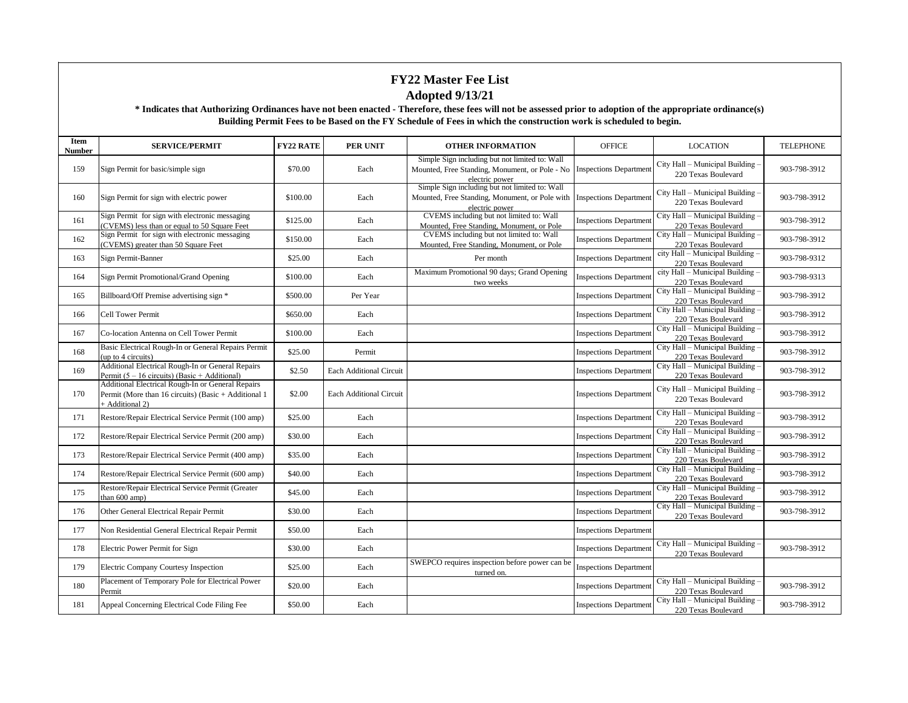| Item<br><b>Number</b> | <b>SERVICE/PERMIT</b>                                                                                                        | <b>FY22 RATE</b> | <b>PER UNIT</b>                | <b>OTHER INFORMATION</b>                                                                                                                  | <b>OFFICE</b>                 | <b>LOCATION</b>                                         | <b>TELEPHONE</b> |
|-----------------------|------------------------------------------------------------------------------------------------------------------------------|------------------|--------------------------------|-------------------------------------------------------------------------------------------------------------------------------------------|-------------------------------|---------------------------------------------------------|------------------|
| 159                   | Sign Permit for basic/simple sign                                                                                            | \$70.00          | Each                           | Simple Sign including but not limited to: Wall<br>Mounted, Free Standing, Monument, or Pole - No Inspections Department<br>electric power |                               | City Hall - Municipal Building<br>220 Texas Boulevard   | 903-798-3912     |
| 160                   | Sign Permit for sign with electric power                                                                                     | \$100.00         | Each                           | Simple Sign including but not limited to: Wall<br>Mounted, Free Standing, Monument, or Pole with Inspections Department<br>electric power |                               | City Hall - Municipal Building<br>220 Texas Boulevard   | 903-798-3912     |
| 161                   | Sign Permit for sign with electronic messaging<br>(CVEMS) less than or equal to 50 Square Feet                               | \$125.00         | Each                           | CVEMS including but not limited to: Wall<br>Mounted, Free Standing, Monument, or Pole                                                     | <b>Inspections Department</b> | City Hall - Municipal Building<br>220 Texas Boulevard   | 903-798-3912     |
| 162                   | Sign Permit for sign with electronic messaging<br>(CVEMS) greater than 50 Square Feet                                        | \$150.00         | Each                           | CVEMS including but not limited to: Wall<br>Mounted, Free Standing, Monument, or Pole                                                     | <b>Inspections Department</b> | City Hall - Municipal Building<br>220 Texas Boulevard   | 903-798-3912     |
| 163                   | Sign Permit-Banner                                                                                                           | \$25.00          | Each                           | Per month                                                                                                                                 | <b>Inspections Department</b> | city Hall - Municipal Building -<br>220 Texas Boulevard | 903-798-9312     |
| 164                   | Sign Permit Promotional/Grand Opening                                                                                        | \$100.00         | Each                           | Maximum Promotional 90 days; Grand Opening<br>two weeks                                                                                   | <b>Inspections Department</b> | city Hall - Municipal Building -<br>220 Texas Boulevard | 903-798-9313     |
| 165                   | Billboard/Off Premise advertising sign *                                                                                     | \$500.00         | Per Year                       |                                                                                                                                           | <b>Inspections Department</b> | City Hall - Municipal Building<br>220 Texas Boulevard   | 903-798-3912     |
| 166                   | Cell Tower Permit                                                                                                            | \$650.00         | Each                           |                                                                                                                                           | <b>Inspections Department</b> | City Hall - Municipal Building<br>220 Texas Boulevard   | 903-798-3912     |
| 167                   | Co-location Antenna on Cell Tower Permit                                                                                     | \$100.00         | Each                           |                                                                                                                                           | <b>Inspections Department</b> | City Hall - Municipal Building<br>220 Texas Boulevard   | 903-798-3912     |
| 168                   | Basic Electrical Rough-In or General Repairs Permit<br>(up to 4 circuits)                                                    | \$25.00          | Permit                         |                                                                                                                                           | <b>Inspections Department</b> | City Hall - Municipal Building<br>220 Texas Boulevard   | 903-798-3912     |
| 169                   | Additional Electrical Rough-In or General Repairs<br>Permit $(5 – 16$ circuits) (Basic + Additional)                         | \$2.50           | <b>Each Additional Circuit</b> |                                                                                                                                           | <b>Inspections Department</b> | City Hall - Municipal Building<br>220 Texas Boulevard   | 903-798-3912     |
| 170                   | Additional Electrical Rough-In or General Repairs<br>Permit (More than 16 circuits) (Basic + Additional 1<br>+ Additional 2) | \$2.00           | <b>Each Additional Circuit</b> |                                                                                                                                           | <b>Inspections Department</b> | City Hall - Municipal Building<br>220 Texas Boulevard   | 903-798-3912     |
| 171                   | Restore/Repair Electrical Service Permit (100 amp)                                                                           | \$25.00          | Each                           |                                                                                                                                           | <b>Inspections Department</b> | City Hall - Municipal Building<br>220 Texas Boulevard   | 903-798-3912     |
| 172                   | Restore/Repair Electrical Service Permit (200 amp)                                                                           | \$30.00          | Each                           |                                                                                                                                           | <b>Inspections Department</b> | City Hall - Municipal Building<br>220 Texas Boulevard   | 903-798-3912     |
| 173                   | Restore/Repair Electrical Service Permit (400 amp)                                                                           | \$35.00          | Each                           |                                                                                                                                           | <b>Inspections Department</b> | City Hall - Municipal Building<br>220 Texas Boulevard   | 903-798-3912     |
| 174                   | Restore/Repair Electrical Service Permit (600 amp)                                                                           | \$40.00          | Each                           |                                                                                                                                           | <b>Inspections Department</b> | City Hall - Municipal Building<br>220 Texas Boulevard   | 903-798-3912     |
| 175                   | Restore/Repair Electrical Service Permit (Greater<br>than 600 amp)                                                           | \$45.00          | Each                           |                                                                                                                                           | <b>Inspections Department</b> | City Hall - Municipal Building<br>220 Texas Boulevard   | 903-798-3912     |
| 176                   | Other General Electrical Repair Permit                                                                                       | \$30.00          | Each                           |                                                                                                                                           | <b>Inspections Department</b> | City Hall - Municipal Building<br>220 Texas Boulevard   | 903-798-3912     |
| 177                   | Non Residential General Electrical Repair Permit                                                                             | \$50.00          | Each                           |                                                                                                                                           | <b>Inspections Department</b> |                                                         |                  |
| 178                   | Electric Power Permit for Sign                                                                                               | \$30.00          | Each                           |                                                                                                                                           | <b>Inspections Department</b> | City Hall - Municipal Building<br>220 Texas Boulevard   | 903-798-3912     |
| 179                   | Electric Company Courtesy Inspection                                                                                         | \$25.00          | Each                           | SWEPCO requires inspection before power can be<br>turned on.                                                                              | <b>Inspections Department</b> |                                                         |                  |
| 180                   | Placement of Temporary Pole for Electrical Power<br>Permit                                                                   | \$20.00          | Each                           |                                                                                                                                           | <b>Inspections Departmen</b>  | City Hall - Municipal Building<br>220 Texas Boulevard   | 903-798-3912     |
| 181                   | Appeal Concerning Electrical Code Filing Fee                                                                                 | \$50.00          | Each                           |                                                                                                                                           | <b>Inspections Department</b> | City Hall - Municipal Building<br>220 Texas Boulevard   | 903-798-3912     |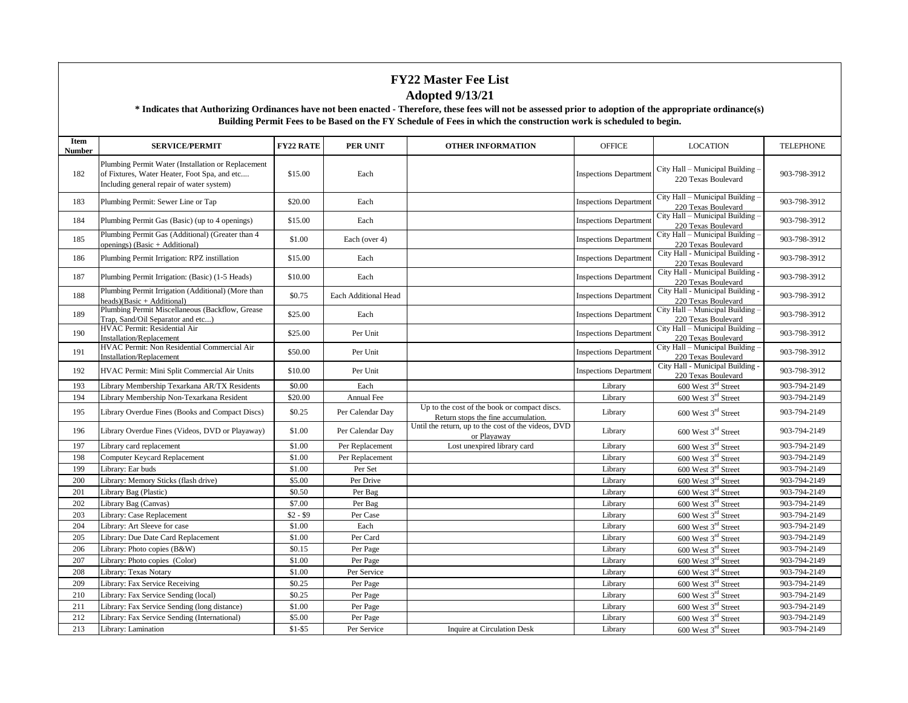| Item<br><b>Number</b> | <b>SERVICE/PERMIT</b>                                                                                                                           | <b>FY22 RATE</b> | <b>PER UNIT</b>      | <b>OTHER INFORMATION</b>                                                            | <b>OFFICE</b>                 | <b>LOCATION</b>                                         | <b>TELEPHONE</b> |
|-----------------------|-------------------------------------------------------------------------------------------------------------------------------------------------|------------------|----------------------|-------------------------------------------------------------------------------------|-------------------------------|---------------------------------------------------------|------------------|
| 182                   | Plumbing Permit Water (Installation or Replacement<br>of Fixtures, Water Heater, Foot Spa, and etc<br>Including general repair of water system) | \$15.00          | Each                 |                                                                                     | <b>Inspections Department</b> | City Hall - Municipal Building -<br>220 Texas Boulevard | 903-798-3912     |
| 183                   | Plumbing Permit: Sewer Line or Tap                                                                                                              | \$20.00          | Each                 |                                                                                     | <b>Inspections Department</b> | City Hall - Municipal Building -<br>220 Texas Boulevard | 903-798-3912     |
| 184                   | Plumbing Permit Gas (Basic) (up to 4 openings)                                                                                                  | \$15.00          | Each                 |                                                                                     | <b>Inspections Departmen</b>  | City Hall - Municipal Building -<br>220 Texas Boulevard | 903-798-3912     |
| 185                   | Plumbing Permit Gas (Additional) (Greater than 4<br>openings) (Basic + Additional)                                                              | \$1.00           | Each (over 4)        |                                                                                     | <b>Inspections Department</b> | City Hall - Municipal Building -<br>220 Texas Boulevard | 903-798-3912     |
| 186                   | Plumbing Permit Irrigation: RPZ instillation                                                                                                    | \$15.00          | Each                 |                                                                                     | <b>Inspections Department</b> | City Hall - Municipal Building -<br>220 Texas Boulevard | 903-798-3912     |
| 187                   | Plumbing Permit Irrigation: (Basic) (1-5 Heads)                                                                                                 | \$10.00          | Each                 |                                                                                     | <b>Inspections Department</b> | City Hall - Municipal Building -<br>220 Texas Boulevard | 903-798-3912     |
| 188                   | Plumbing Permit Irrigation (Additional) (More than<br>heads)(Basic + Additional)                                                                | \$0.75           | Each Additional Head |                                                                                     | <b>Inspections Departmen</b>  | City Hall - Municipal Building -<br>220 Texas Boulevard | 903-798-3912     |
| 189                   | Plumbing Permit Miscellaneous (Backflow, Grease<br>Trap, Sand/Oil Separator and etc)                                                            | \$25.00          | Each                 |                                                                                     | <b>Inspections Department</b> | City Hall - Municipal Building -<br>220 Texas Boulevard | 903-798-3912     |
| 190                   | HVAC Permit: Residential Air<br><b>Installation/Replacement</b>                                                                                 | \$25.00          | Per Unit             |                                                                                     | <b>Inspections Departmen</b>  | City Hall - Municipal Building -<br>220 Texas Boulevard | 903-798-3912     |
| 191                   | HVAC Permit: Non Residential Commercial Air<br>Installation/Replacement                                                                         | \$50.00          | Per Unit             |                                                                                     | <b>Inspections Department</b> | City Hall - Municipal Building -<br>220 Texas Boulevard | 903-798-3912     |
| 192                   | HVAC Permit: Mini Split Commercial Air Units                                                                                                    | \$10.00          | Per Unit             |                                                                                     | <b>Inspections Department</b> | City Hall - Municipal Building -<br>220 Texas Boulevard | 903-798-3912     |
| 193                   | Library Membership Texarkana AR/TX Residents                                                                                                    | \$0.00           | Each                 |                                                                                     | Library                       | 600 West 3rd Street                                     | 903-794-2149     |
| 194                   | Library Membership Non-Texarkana Resident                                                                                                       | \$20.00          | Annual Fee           |                                                                                     | Library                       | 600 West 3rd Street                                     | 903-794-2149     |
| 195                   | Library Overdue Fines (Books and Compact Discs)                                                                                                 | \$0.25           | Per Calendar Day     | Up to the cost of the book or compact discs.<br>Return stops the fine accumulation. | Library                       | 600 West 3 <sup>rd</sup> Street                         | 903-794-2149     |
| 196                   | Library Overdue Fines (Videos, DVD or Playaway)                                                                                                 | \$1.00           | Per Calendar Day     | Until the return, up to the cost of the videos, DVD<br>or Playaway                  | Library                       | 600 West 3 <sup>rd</sup> Street                         | 903-794-2149     |
| 197                   | Library card replacement                                                                                                                        | \$1.00           | Per Replacement      | Lost unexpired library card                                                         | Library                       | 600 West 3rd Street                                     | 903-794-2149     |
| 198                   | Computer Keycard Replacement                                                                                                                    | \$1.00           | Per Replacement      |                                                                                     | Library                       | 600 West 3 <sup>rd</sup> Street                         | 903-794-2149     |
| 199                   | Library: Ear buds                                                                                                                               | \$1.00           | Per Set              |                                                                                     | Library                       | 600 West 3rd Street                                     | 903-794-2149     |
| 200                   | Library: Memory Sticks (flash drive)                                                                                                            | \$5.00           | Per Drive            |                                                                                     | Library                       | 600 West 3 <sup>rd</sup> Street                         | 903-794-2149     |
| 201                   | Library Bag (Plastic)                                                                                                                           | \$0.50           | Per Bag              |                                                                                     | Library                       | 600 West 3 <sup>rd</sup> Street                         | 903-794-2149     |
| 202                   | Library Bag (Canvas)                                                                                                                            | \$7.00           | Per Bag              |                                                                                     | Library                       | 600 West 3 <sup>rd</sup> Street                         | 903-794-2149     |
| 203                   | Library: Case Replacement                                                                                                                       | $$2 - $9$        | Per Case             |                                                                                     | Library                       | 600 West 3rd Street                                     | 903-794-2149     |
| 204                   | Library: Art Sleeve for case                                                                                                                    | \$1.00           | Each                 |                                                                                     | Library                       | 600 West 3rd Street                                     | 903-794-2149     |
| 205                   | Library: Due Date Card Replacement                                                                                                              | \$1.00           | Per Card             |                                                                                     | Library                       | 600 West 3 <sup>rd</sup> Street                         | 903-794-2149     |
| 206                   | Library: Photo copies (B&W)                                                                                                                     | \$0.15           | Per Page             |                                                                                     | Library                       | 600 West 3rd Street                                     | 903-794-2149     |
| 207                   | Library: Photo copies (Color)                                                                                                                   | \$1.00           | Per Page             |                                                                                     | Library                       | 600 West 3 <sup>rd</sup> Street                         | 903-794-2149     |
| 208                   | Library: Texas Notary                                                                                                                           | \$1.00           | Per Service          |                                                                                     | Library                       | 600 West 3 <sup>rd</sup> Street                         | 903-794-2149     |
| 209                   | Library: Fax Service Receiving                                                                                                                  | \$0.25           | Per Page             |                                                                                     | Library                       | 600 West 3 <sup>rd</sup> Street                         | 903-794-2149     |
| 210                   | Library: Fax Service Sending (local)                                                                                                            | \$0.25           | Per Page             |                                                                                     | Library                       | 600 West 3rd Street                                     | 903-794-2149     |
| 211                   | Library: Fax Service Sending (long distance)                                                                                                    | \$1.00           | Per Page             |                                                                                     | Library                       | 600 West 3 <sup>rd</sup> Street                         | 903-794-2149     |
| 212                   | Library: Fax Service Sending (International)                                                                                                    | \$5.00           | Per Page             |                                                                                     | Library                       | 600 West 3 <sup>rd</sup> Street                         | 903-794-2149     |
| 213                   | Library: Lamination                                                                                                                             | $$1-$5$          | Per Service          | <b>Inquire at Circulation Desk</b>                                                  | Library                       | 600 West 3rd Street                                     | 903-794-2149     |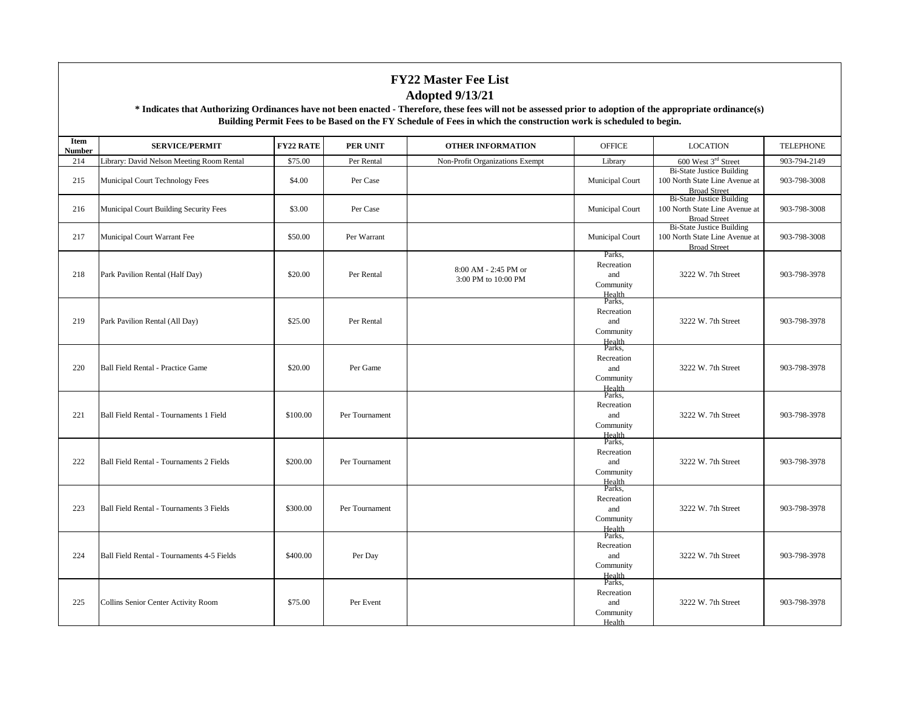| Item<br><b>Number</b> | <b>SERVICE/PERMIT</b>                           | <b>FY22 RATE</b> | PER UNIT       | <b>OTHER INFORMATION</b>                    | <b>OFFICE</b>                                                | <b>LOCATION</b>                                                                           | <b>TELEPHONE</b> |
|-----------------------|-------------------------------------------------|------------------|----------------|---------------------------------------------|--------------------------------------------------------------|-------------------------------------------------------------------------------------------|------------------|
| 214                   | Library: David Nelson Meeting Room Rental       | \$75.00          | Per Rental     | Non-Profit Organizations Exempt             | Library                                                      | 600 West 3rd Street                                                                       | 903-794-2149     |
| 215                   | Municipal Court Technology Fees                 | \$4.00           | Per Case       |                                             | Municipal Court                                              | <b>Bi-State Justice Building</b><br>100 North State Line Avenue at<br><b>Broad Street</b> | 903-798-3008     |
| 216                   | Municipal Court Building Security Fees          | \$3.00           | Per Case       |                                             | Municipal Court                                              | <b>Bi-State Justice Building</b><br>100 North State Line Avenue at<br><b>Broad Street</b> | 903-798-3008     |
| 217                   | Municipal Court Warrant Fee                     | \$50.00          | Per Warrant    |                                             | Municipal Court                                              | <b>Bi-State Justice Building</b><br>100 North State Line Avenue at<br><b>Broad Street</b> | 903-798-3008     |
| 218                   | Park Pavilion Rental (Half Day)                 | \$20.00          | Per Rental     | 8:00 AM - 2:45 PM or<br>3:00 PM to 10:00 PM | Parks,<br>Recreation<br>and<br>Community<br>Health<br>Parks, | 3222 W. 7th Street                                                                        | 903-798-3978     |
| 219                   | Park Pavilion Rental (All Day)                  | \$25.00          | Per Rental     |                                             | Recreation<br>and<br>Community<br>Health<br>Parks,           | 3222 W. 7th Street                                                                        | 903-798-3978     |
| 220                   | Ball Field Rental - Practice Game               | \$20.00          | Per Game       |                                             | Recreation<br>and<br>Community<br>Health                     | 3222 W. 7th Street                                                                        | 903-798-3978     |
| 221                   | Ball Field Rental - Tournaments 1 Field         | \$100.00         | Per Tournament |                                             | Parks,<br>Recreation<br>and<br>Community<br>Health<br>Parks, | 3222 W. 7th Street                                                                        | 903-798-3978     |
| 222                   | <b>Ball Field Rental - Tournaments 2 Fields</b> | \$200.00         | Per Tournament |                                             | Recreation<br>and<br>Community<br>Health                     | 3222 W. 7th Street                                                                        | 903-798-3978     |
| 223                   | Ball Field Rental - Tournaments 3 Fields        | \$300.00         | Per Tournament |                                             | Parks,<br>Recreation<br>and<br>Community<br>Health<br>Parks, | 3222 W. 7th Street                                                                        | 903-798-3978     |
| 224                   | Ball Field Rental - Tournaments 4-5 Fields      | \$400.00         | Per Day        |                                             | Recreation<br>and<br>Community<br>Health<br>Parks,           | 3222 W. 7th Street                                                                        | 903-798-3978     |
| 225                   | Collins Senior Center Activity Room             | \$75.00          | Per Event      |                                             | Recreation<br>and<br>Community<br>Health                     | 3222 W. 7th Street                                                                        | 903-798-3978     |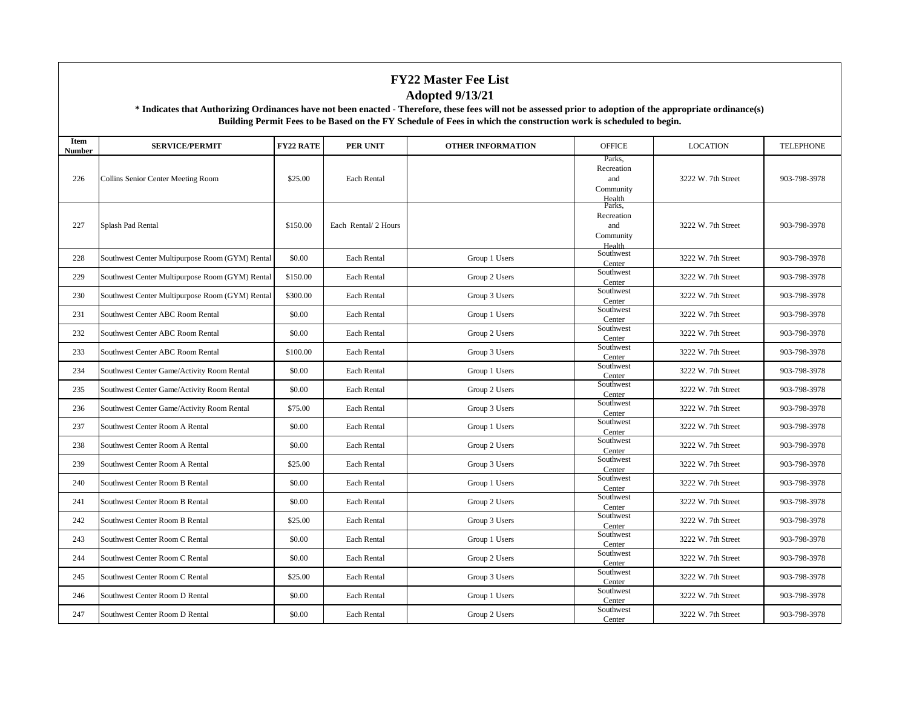| Item<br>Number | <b>SERVICE/PERMIT</b>                           | <b>FY22 RATE</b> | <b>PER UNIT</b>      | <b>OTHER INFORMATION</b> | <b>OFFICE</b>                                      | <b>LOCATION</b>    | <b>TELEPHONE</b> |
|----------------|-------------------------------------------------|------------------|----------------------|--------------------------|----------------------------------------------------|--------------------|------------------|
| 226            | Collins Senior Center Meeting Room              | \$25.00          | Each Rental          |                          | Parks,<br>Recreation<br>and<br>Community<br>Health | 3222 W. 7th Street | 903-798-3978     |
| 227            | Splash Pad Rental                               | \$150.00         | Each Rental/ 2 Hours |                          | Parks.<br>Recreation<br>and<br>Community<br>Health | 3222 W. 7th Street | 903-798-3978     |
| 228            | Southwest Center Multipurpose Room (GYM) Rental | \$0.00           | Each Rental          | Group 1 Users            | Southwest<br>Center                                | 3222 W. 7th Street | 903-798-3978     |
| 229            | Southwest Center Multipurpose Room (GYM) Rental | \$150.00         | Each Rental          | Group 2 Users            | Southwest<br>Center                                | 3222 W. 7th Street | 903-798-3978     |
| 230            | Southwest Center Multipurpose Room (GYM) Rental | \$300.00         | Each Rental          | Group 3 Users            | Southwest<br>Center                                | 3222 W. 7th Street | 903-798-3978     |
| 231            | Southwest Center ABC Room Rental                | \$0.00           | Each Rental          | Group 1 Users            | Southwest<br>Center                                | 3222 W. 7th Street | 903-798-3978     |
| 232            | Southwest Center ABC Room Rental                | \$0.00           | Each Rental          | Group 2 Users            | Southwest<br>Center                                | 3222 W. 7th Street | 903-798-3978     |
| 233            | Southwest Center ABC Room Rental                | \$100.00         | Each Rental          | Group 3 Users            | Southwest<br>Center                                | 3222 W. 7th Street | 903-798-3978     |
| 234            | Southwest Center Game/Activity Room Rental      | \$0.00           | Each Rental          | Group 1 Users            | Southwest<br>Center                                | 3222 W. 7th Street | 903-798-3978     |
| 235            | Southwest Center Game/Activity Room Rental      | \$0.00           | Each Rental          | Group 2 Users            | Southwest<br>Center                                | 3222 W. 7th Street | 903-798-3978     |
| 236            | Southwest Center Game/Activity Room Rental      | \$75.00          | Each Rental          | Group 3 Users            | Southwest<br>Center                                | 3222 W. 7th Street | 903-798-3978     |
| 237            | Southwest Center Room A Rental                  | \$0.00           | Each Rental          | Group 1 Users            | Southwest<br>Center                                | 3222 W. 7th Street | 903-798-3978     |
| 238            | Southwest Center Room A Rental                  | \$0.00           | Each Rental          | Group 2 Users            | Southwest<br>Center                                | 3222 W. 7th Street | 903-798-3978     |
| 239            | Southwest Center Room A Rental                  | \$25.00          | Each Rental          | Group 3 Users            | Southwest<br>Center                                | 3222 W. 7th Street | 903-798-3978     |
| 240            | Southwest Center Room B Rental                  | \$0.00           | Each Rental          | Group 1 Users            | Southwest<br>Center                                | 3222 W. 7th Street | 903-798-3978     |
| 241            | Southwest Center Room B Rental                  | \$0.00           | Each Rental          | Group 2 Users            | Southwest<br>Center                                | 3222 W. 7th Street | 903-798-3978     |
| 242            | Southwest Center Room B Rental                  | \$25.00          | Each Rental          | Group 3 Users            | Southwest<br>Center                                | 3222 W. 7th Street | 903-798-3978     |
| 243            | Southwest Center Room C Rental                  | \$0.00           | Each Rental          | Group 1 Users            | Southwest<br>Center                                | 3222 W. 7th Street | 903-798-3978     |
| 244            | Southwest Center Room C Rental                  | \$0.00           | Each Rental          | Group 2 Users            | Southwest<br>Center                                | 3222 W. 7th Street | 903-798-3978     |
| 245            | Southwest Center Room C Rental                  | \$25.00          | Each Rental          | Group 3 Users            | Southwest<br>Center                                | 3222 W. 7th Street | 903-798-3978     |
| 246            | Southwest Center Room D Rental                  | \$0.00           | Each Rental          | Group 1 Users            | Southwest<br>Center                                | 3222 W. 7th Street | 903-798-3978     |
| 247            | Southwest Center Room D Rental                  | \$0.00           | Each Rental          | Group 2 Users            | Southwest<br>Center                                | 3222 W. 7th Street | 903-798-3978     |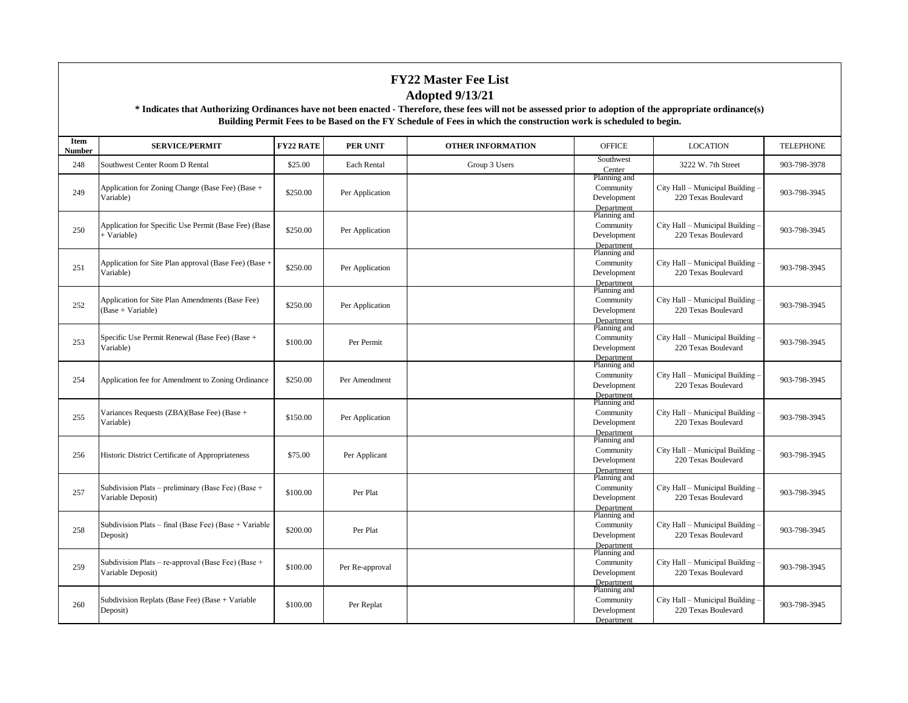| Item<br>Number | <b>SERVICE/PERMIT</b>                                                   | <b>FY22 RATE</b> | <b>PER UNIT</b> | <b>OTHER INFORMATION</b> | <b>OFFICE</b>                                          | <b>LOCATION</b>                                         | <b>TELEPHONE</b> |
|----------------|-------------------------------------------------------------------------|------------------|-----------------|--------------------------|--------------------------------------------------------|---------------------------------------------------------|------------------|
| 248            | Southwest Center Room D Rental                                          | \$25.00          | Each Rental     | Group 3 Users            | Southwest<br>Center                                    | 3222 W. 7th Street                                      | 903-798-3978     |
| 249            | Application for Zoning Change (Base Fee) (Base +<br>Variable)           | \$250.00         | Per Application |                          | Planning and<br>Community<br>Development<br>Department | City Hall - Municipal Building<br>220 Texas Boulevard   | 903-798-3945     |
| 250            | Application for Specific Use Permit (Base Fee) (Base<br>+ Variable)     | \$250.00         | Per Application |                          | Planning and<br>Community<br>Development<br>Department | City Hall - Municipal Building<br>220 Texas Boulevard   | 903-798-3945     |
| 251            | Application for Site Plan approval (Base Fee) (Base +<br>Variable)      | \$250.00         | Per Application |                          | Planning and<br>Community<br>Development<br>Department | City Hall - Municipal Building<br>220 Texas Boulevard   | 903-798-3945     |
| 252            | Application for Site Plan Amendments (Base Fee)<br>(Base + Variable)    | \$250.00         | Per Application |                          | Planning and<br>Community<br>Development<br>Department | City Hall - Municipal Building<br>220 Texas Boulevard   | 903-798-3945     |
| 253            | Specific Use Permit Renewal (Base Fee) (Base +<br>Variable)             | \$100.00         | Per Permit      |                          | Planning and<br>Community<br>Development<br>Department | City Hall - Municipal Building -<br>220 Texas Boulevard | 903-798-3945     |
| 254            | Application fee for Amendment to Zoning Ordinance                       | \$250.00         | Per Amendment   |                          | Planning and<br>Community<br>Development<br>Department | City Hall - Municipal Building<br>220 Texas Boulevard   | 903-798-3945     |
| 255            | Variances Requests (ZBA)(Base Fee) (Base +<br>Variable)                 | \$150.00         | Per Application |                          | Planning and<br>Community<br>Development<br>Department | City Hall - Municipal Building -<br>220 Texas Boulevard | 903-798-3945     |
| 256            | Historic District Certificate of Appropriateness                        | \$75.00          | Per Applicant   |                          | Planning and<br>Community<br>Development<br>Department | City Hall - Municipal Building<br>220 Texas Boulevard   | 903-798-3945     |
| 257            | Subdivision Plats - preliminary (Base Fee) (Base +<br>Variable Deposit) | \$100.00         | Per Plat        |                          | Planning and<br>Community<br>Development<br>Department | City Hall - Municipal Building -<br>220 Texas Boulevard | 903-798-3945     |
| 258            | Subdivision Plats – final (Base Fee) (Base + Variable<br>Deposit)       | \$200.00         | Per Plat        |                          | Planning and<br>Community<br>Development<br>Department | City Hall - Municipal Building<br>220 Texas Boulevard   | 903-798-3945     |
| 259            | Subdivision Plats – re-approval (Base Fee) (Base +<br>Variable Deposit) | \$100.00         | Per Re-approval |                          | Planning and<br>Community<br>Development<br>Department | City Hall - Municipal Building<br>220 Texas Boulevard   | 903-798-3945     |
| 260            | Subdivision Replats (Base Fee) (Base + Variable<br>Deposit)             | \$100.00         | Per Replat      |                          | Planning and<br>Community<br>Development<br>Department | City Hall - Municipal Building<br>220 Texas Boulevard   | 903-798-3945     |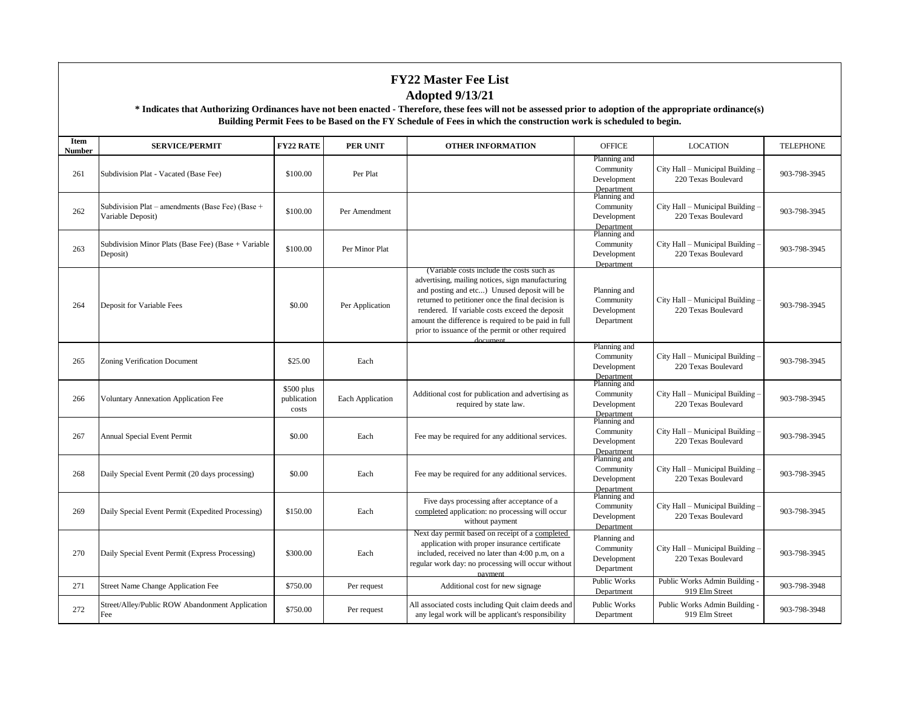| Item<br><b>Number</b> | <b>SERVICE/PERMIT</b>                                                 | <b>FY22 RATE</b>                   | <b>PER UNIT</b>  | <b>OTHER INFORMATION</b>                                                                                                                                                                                                                                                                                                                                                     | <b>OFFICE</b>                                          | <b>LOCATION</b>                                         | <b>TELEPHONE</b> |
|-----------------------|-----------------------------------------------------------------------|------------------------------------|------------------|------------------------------------------------------------------------------------------------------------------------------------------------------------------------------------------------------------------------------------------------------------------------------------------------------------------------------------------------------------------------------|--------------------------------------------------------|---------------------------------------------------------|------------------|
| 261                   | Subdivision Plat - Vacated (Base Fee)                                 | \$100.00                           | Per Plat         |                                                                                                                                                                                                                                                                                                                                                                              | Planning and<br>Community<br>Development<br>Department | City Hall - Municipal Building -<br>220 Texas Boulevard | 903-798-3945     |
| 262                   | Subdivision Plat – amendments (Base Fee) (Base +<br>Variable Deposit) | \$100.00                           | Per Amendment    |                                                                                                                                                                                                                                                                                                                                                                              | Planning and<br>Community<br>Development<br>Department | City Hall - Municipal Building -<br>220 Texas Boulevard | 903-798-3945     |
| 263                   | Subdivision Minor Plats (Base Fee) (Base + Variable<br>Deposit)       | \$100.00                           | Per Minor Plat   |                                                                                                                                                                                                                                                                                                                                                                              | Planning and<br>Community<br>Development<br>Department | City Hall - Municipal Building -<br>220 Texas Boulevard | 903-798-3945     |
| 264                   | Deposit for Variable Fees                                             | \$0.00                             | Per Application  | (Variable costs include the costs such as<br>advertising, mailing notices, sign manufacturing<br>and posting and etc) Unused deposit will be<br>returned to petitioner once the final decision is<br>rendered. If variable costs exceed the deposit<br>amount the difference is required to be paid in full<br>prior to issuance of the permit or other required<br>document | Planning and<br>Community<br>Development<br>Department | City Hall - Municipal Building -<br>220 Texas Boulevard | 903-798-3945     |
| 265                   | Zoning Verification Document                                          | \$25.00                            | Each             |                                                                                                                                                                                                                                                                                                                                                                              | Planning and<br>Community<br>Development<br>Department | City Hall – Municipal Building -<br>220 Texas Boulevard | 903-798-3945     |
| 266                   | <b>Voluntary Annexation Application Fee</b>                           | \$500 plus<br>publication<br>costs | Each Application | Additional cost for publication and advertising as<br>required by state law.                                                                                                                                                                                                                                                                                                 | Planning and<br>Community<br>Development<br>Department | City Hall - Municipal Building -<br>220 Texas Boulevard | 903-798-3945     |
| 267                   | <b>Annual Special Event Permit</b>                                    | \$0.00                             | Each             | Fee may be required for any additional services.                                                                                                                                                                                                                                                                                                                             | Planning and<br>Community<br>Development<br>Department | City Hall - Municipal Building -<br>220 Texas Boulevard | 903-798-3945     |
| 268                   | Daily Special Event Permit (20 days processing)                       | \$0.00                             | Each             | Fee may be required for any additional services.                                                                                                                                                                                                                                                                                                                             | Planning and<br>Community<br>Development<br>Department | City Hall - Municipal Building -<br>220 Texas Boulevard | 903-798-3945     |
| 269                   | Daily Special Event Permit (Expedited Processing)                     | \$150.00                           | Each             | Five days processing after acceptance of a<br>completed application: no processing will occur<br>without payment                                                                                                                                                                                                                                                             | Planning and<br>Community<br>Development<br>Department | City Hall – Municipal Building -<br>220 Texas Boulevard | 903-798-3945     |
| 270                   | Daily Special Event Permit (Express Processing)                       | \$300.00                           | Each             | Next day permit based on receipt of a completed<br>application with proper insurance certificate<br>included, received no later than 4:00 p.m, on a<br>regular work day: no processing will occur without<br>payment                                                                                                                                                         | Planning and<br>Community<br>Development<br>Department | City Hall - Municipal Building -<br>220 Texas Boulevard | 903-798-3945     |
| 271                   | <b>Street Name Change Application Fee</b>                             | \$750.00                           | Per request      | Additional cost for new signage                                                                                                                                                                                                                                                                                                                                              | Public Works<br>Department                             | Public Works Admin Building -<br>919 Elm Street         | 903-798-3948     |
| 272                   | Street/Alley/Public ROW Abandonment Application<br>Fee                | \$750.00                           | Per request      | All associated costs including Quit claim deeds and<br>any legal work will be applicant's responsibility                                                                                                                                                                                                                                                                     | Public Works<br>Department                             | Public Works Admin Building -<br>919 Elm Street         | 903-798-3948     |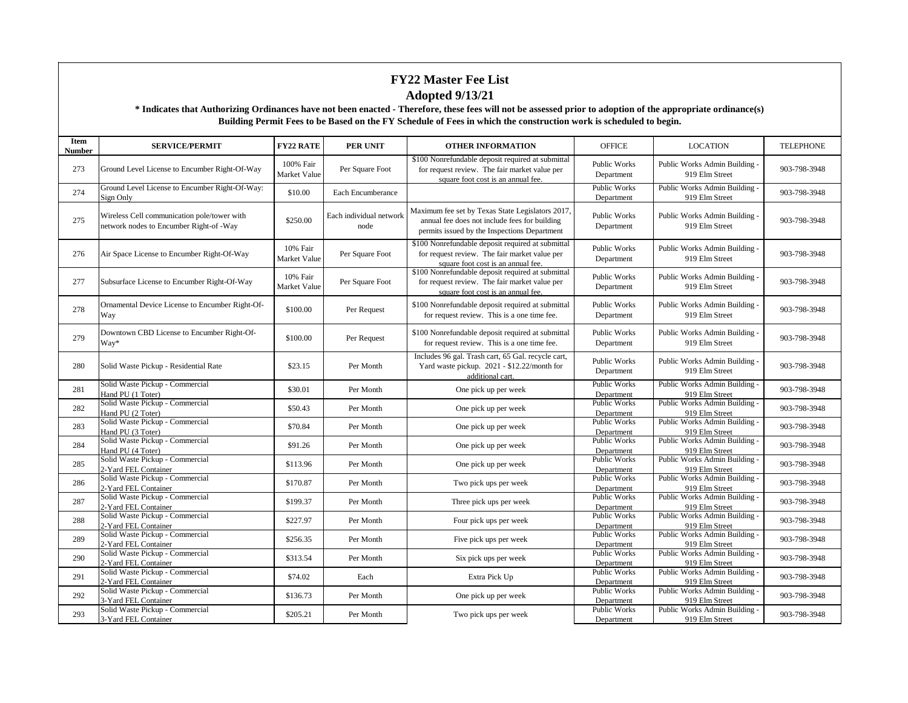| <b>Item</b><br><b>Number</b> | <b>SERVICE/PERMIT</b>                                                                  | <b>FY22 RATE</b>          | <b>PER UNIT</b>                 | <b>OTHER INFORMATION</b>                                                                                                                          | <b>OFFICE</b>                     | <b>LOCATION</b>                                 | <b>TELEPHONE</b> |
|------------------------------|----------------------------------------------------------------------------------------|---------------------------|---------------------------------|---------------------------------------------------------------------------------------------------------------------------------------------------|-----------------------------------|-------------------------------------------------|------------------|
| 273                          | Ground Level License to Encumber Right-Of-Way                                          | 100% Fair<br>Market Value | Per Square Foot                 | \$100 Nonrefundable deposit required at submittal<br>for request review. The fair market value per<br>square foot cost is an annual fee.          | <b>Public Works</b><br>Department | Public Works Admin Building -<br>919 Elm Street | 903-798-3948     |
| 274                          | Ground Level License to Encumber Right-Of-Way:<br>Sign Only                            | \$10.00                   | Each Encumberance               |                                                                                                                                                   | <b>Public Works</b><br>Department | Public Works Admin Building -<br>919 Elm Street | 903-798-3948     |
| 275                          | Wireless Cell communication pole/tower with<br>network nodes to Encumber Right-of -Way | \$250.00                  | Each individual network<br>node | Maximum fee set by Texas State Legislators 2017,<br>annual fee does not include fees for building<br>permits issued by the Inspections Department | Public Works<br>Department        | Public Works Admin Building -<br>919 Elm Street | 903-798-3948     |
| 276                          | Air Space License to Encumber Right-Of-Way                                             | 10% Fair<br>Market Value  | Per Square Foot                 | \$100 Nonrefundable deposit required at submittal<br>for request review. The fair market value per<br>square foot cost is an annual fee.          | Public Works<br>Department        | Public Works Admin Building -<br>919 Elm Street | 903-798-3948     |
| 277                          | Subsurface License to Encumber Right-Of-Way                                            | 10% Fair<br>Market Value  | Per Square Foot                 | \$100 Nonrefundable deposit required at submittal<br>for request review. The fair market value per<br>square foot cost is an annual fee.          | <b>Public Works</b><br>Department | Public Works Admin Building -<br>919 Elm Street | 903-798-3948     |
| 278                          | Ornamental Device License to Encumber Right-Of-<br>Way                                 | \$100.00                  | Per Request                     | \$100 Nonrefundable deposit required at submittal<br>for request review. This is a one time fee.                                                  | Public Works<br>Department        | Public Works Admin Building -<br>919 Elm Street | 903-798-3948     |
| 279                          | Downtown CBD License to Encumber Right-Of-<br>Way*                                     | \$100.00                  | Per Request                     | \$100 Nonrefundable deposit required at submittal<br>for request review. This is a one time fee.                                                  | Public Works<br>Department        | Public Works Admin Building -<br>919 Elm Street | 903-798-3948     |
| 280                          | Solid Waste Pickup - Residential Rate                                                  | \$23.15                   | Per Month                       | Includes 96 gal. Trash cart, 65 Gal. recycle cart,<br>Yard waste pickup. 2021 - \$12.22/month for<br>additional cart.                             | <b>Public Works</b><br>Department | Public Works Admin Building -<br>919 Elm Street | 903-798-3948     |
| 281                          | Solid Waste Pickup - Commercial<br>Hand PU (1 Toter)                                   | \$30.01                   | Per Month                       | One pick up per week                                                                                                                              | Public Works<br>Department        | Public Works Admin Building -<br>919 Elm Street | 903-798-3948     |
| 282                          | Solid Waste Pickup - Commercial<br>Hand PU (2 Toter)                                   | \$50.43                   | Per Month                       | One pick up per week                                                                                                                              | <b>Public Works</b><br>Department | Public Works Admin Building -<br>919 Elm Street | 903-798-3948     |
| 283                          | Solid Waste Pickup - Commercial<br>Hand PU (3 Toter)                                   | \$70.84                   | Per Month                       | One pick up per week                                                                                                                              | Public Works<br>Department        | Public Works Admin Building -<br>919 Elm Street | 903-798-3948     |
| 284                          | Solid Waste Pickup - Commercial<br>Hand PU (4 Toter)                                   | \$91.26                   | Per Month                       | One pick up per week                                                                                                                              | <b>Public Works</b><br>Department | Public Works Admin Building -<br>919 Elm Street | 903-798-3948     |
| 285                          | Solid Waste Pickup - Commercial<br>2-Yard FEL Container                                | \$113.96                  | Per Month                       | One pick up per week                                                                                                                              | <b>Public Works</b><br>Department | Public Works Admin Building -<br>919 Elm Street | 903-798-3948     |
| 286                          | Solid Waste Pickup - Commercial<br>2-Yard FEL Container                                | \$170.87                  | Per Month                       | Two pick ups per week                                                                                                                             | <b>Public Works</b><br>Department | Public Works Admin Building -<br>919 Elm Street | 903-798-3948     |
| 287                          | Solid Waste Pickup - Commercial<br>2-Yard FEL Container                                | \$199.37                  | Per Month                       | Three pick ups per week                                                                                                                           | Public Works<br>Department        | Public Works Admin Building -<br>919 Elm Street | 903-798-3948     |
| 288                          | Solid Waste Pickup - Commercial<br>2-Yard FEL Container                                | \$227.97                  | Per Month                       | Four pick ups per week                                                                                                                            | Public Works<br>Department        | Public Works Admin Building -<br>919 Elm Street | 903-798-3948     |
| 289                          | Solid Waste Pickup - Commercial<br>2-Yard FEL Container                                | \$256.35                  | Per Month                       | Five pick ups per week                                                                                                                            | Public Works<br>Department        | Public Works Admin Building -<br>919 Elm Street | 903-798-3948     |
| 290                          | Solid Waste Pickup - Commercial<br>2-Yard FEL Container                                | \$313.54                  | Per Month                       | Six pick ups per week                                                                                                                             | <b>Public Works</b><br>Department | Public Works Admin Building -<br>919 Elm Street | 903-798-3948     |
| 291                          | Solid Waste Pickup - Commercial<br>2-Yard FEL Container                                | \$74.02                   | Each                            | Extra Pick Up                                                                                                                                     | Public Works<br>Department        | Public Works Admin Building -<br>919 Elm Street | 903-798-3948     |
| 292                          | Solid Waste Pickup - Commercial<br>3-Yard FEL Container                                | \$136.73                  | Per Month                       | One pick up per week                                                                                                                              | <b>Public Works</b><br>Department | Public Works Admin Building -<br>919 Elm Street | 903-798-3948     |
| 293                          | Solid Waste Pickup - Commercial<br>3-Yard FEL Container                                | \$205.21                  | Per Month                       | Two pick ups per week                                                                                                                             | Public Works<br>Department        | Public Works Admin Building -<br>919 Elm Street | 903-798-3948     |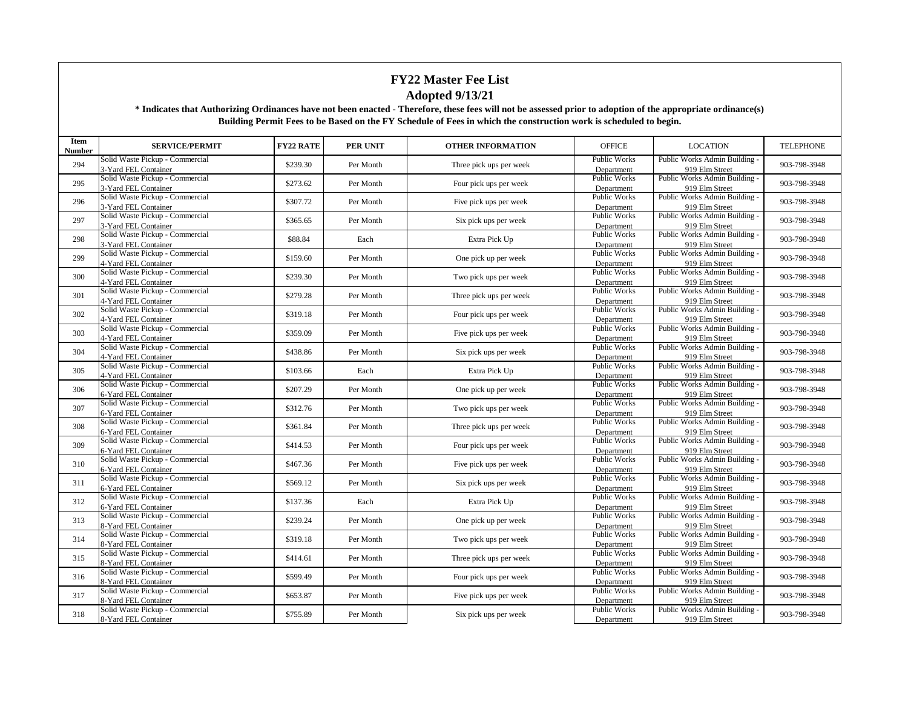| Item<br>Number | <b>SERVICE/PERMIT</b>                                   | <b>FY22 RATE</b> | <b>PER UNIT</b> | <b>OTHER INFORMATION</b> | <b>OFFICE</b>                     | <b>LOCATION</b>                                 | <b>TELEPHONE</b> |
|----------------|---------------------------------------------------------|------------------|-----------------|--------------------------|-----------------------------------|-------------------------------------------------|------------------|
| 294            | Solid Waste Pickup - Commercial<br>3-Yard FEL Container | \$239.30         | Per Month       | Three pick ups per week  | <b>Public Works</b><br>Department | Public Works Admin Building<br>919 Elm Street   | 903-798-3948     |
| 295            | Solid Waste Pickup - Commercial<br>3-Yard FEL Container | \$273.62         | Per Month       | Four pick ups per week   | <b>Public Works</b><br>Department | Public Works Admin Building -<br>919 Elm Street | 903-798-3948     |
| 296            | Solid Waste Pickup - Commercial<br>3-Yard FEL Container | \$307.72         | Per Month       | Five pick ups per week   | Public Works<br>Department        | Public Works Admin Building -<br>919 Elm Street | 903-798-3948     |
| 297            | Solid Waste Pickup - Commercial<br>3-Yard FEL Container | \$365.65         | Per Month       | Six pick ups per week    | <b>Public Works</b><br>Department | Public Works Admin Building -<br>919 Elm Street | 903-798-3948     |
| 298            | Solid Waste Pickup - Commercial<br>3-Yard FEL Container | \$88.84          | Each            | Extra Pick Up            | <b>Public Works</b><br>Department | Public Works Admin Building -<br>919 Elm Street | 903-798-3948     |
| 299            | Solid Waste Pickup - Commercial<br>4-Yard FEL Container | \$159.60         | Per Month       | One pick up per week     | Public Works<br>Department        | Public Works Admin Building -<br>919 Elm Street | 903-798-3948     |
| 300            | Solid Waste Pickup - Commercial<br>4-Yard FEL Container | \$239.30         | Per Month       | Two pick ups per week    | <b>Public Works</b><br>Department | Public Works Admin Building -<br>919 Elm Street | 903-798-3948     |
| 301            | Solid Waste Pickup - Commercial<br>4-Yard FEL Container | \$279.28         | Per Month       | Three pick ups per week  | <b>Public Works</b><br>Department | Public Works Admin Building -<br>919 Elm Street | 903-798-3948     |
| 302            | Solid Waste Pickup - Commercial<br>4-Yard FEL Container | \$319.18         | Per Month       | Four pick ups per week   | <b>Public Works</b><br>Department | Public Works Admin Building -<br>919 Elm Street | 903-798-3948     |
| 303            | Solid Waste Pickup - Commercial<br>4-Yard FEL Container | \$359.09         | Per Month       | Five pick ups per week   | <b>Public Works</b><br>Department | Public Works Admin Building -<br>919 Elm Street | 903-798-3948     |
| 304            | Solid Waste Pickup - Commercial<br>4-Yard FEL Container | \$438.86         | Per Month       | Six pick ups per week    | Public Works<br>Department        | Public Works Admin Building -<br>919 Elm Street | 903-798-3948     |
| 305            | Solid Waste Pickup - Commercial<br>4-Yard FEL Container | \$103.66         | Each            | Extra Pick Up            | <b>Public Works</b><br>Department | Public Works Admin Building -<br>919 Elm Street | 903-798-3948     |
| 306            | Solid Waste Pickup - Commercial<br>6-Yard FEL Container | \$207.29         | Per Month       | One pick up per week     | <b>Public Works</b><br>Department | Public Works Admin Building -<br>919 Elm Street | 903-798-3948     |
| 307            | Solid Waste Pickup - Commercial<br>6-Yard FEL Container | \$312.76         | Per Month       | Two pick ups per week    | Public Works<br>Department        | Public Works Admin Building -<br>919 Elm Street | 903-798-3948     |
| 308            | Solid Waste Pickup - Commercial<br>6-Yard FEL Container | \$361.84         | Per Month       | Three pick ups per week  | Public Works<br>Department        | Public Works Admin Building -<br>919 Elm Street | 903-798-3948     |
| 309            | Solid Waste Pickup - Commercial<br>6-Yard FEL Container | \$414.53         | Per Month       | Four pick ups per week   | Public Works<br>Department        | Public Works Admin Building -<br>919 Elm Street | 903-798-3948     |
| 310            | Solid Waste Pickup - Commercial<br>6-Yard FEL Container | \$467.36         | Per Month       | Five pick ups per week   | <b>Public Works</b><br>Department | Public Works Admin Building -<br>919 Elm Street | 903-798-3948     |
| 311            | Solid Waste Pickup - Commercial<br>6-Yard FEL Container | \$569.12         | Per Month       | Six pick ups per week    | Public Works<br>Department        | Public Works Admin Building -<br>919 Elm Street | 903-798-3948     |
| 312            | Solid Waste Pickup - Commercial<br>6-Yard FEL Container | \$137.36         | Each            | Extra Pick Up            | <b>Public Works</b><br>Department | Public Works Admin Building -<br>919 Elm Street | 903-798-3948     |
| 313            | Solid Waste Pickup - Commercial<br>8-Yard FEL Container | \$239.24         | Per Month       | One pick up per week     | <b>Public Works</b><br>Department | Public Works Admin Building -<br>919 Elm Street | 903-798-3948     |
| 314            | Solid Waste Pickup - Commercial<br>8-Yard FEL Container | \$319.18         | Per Month       | Two pick ups per week    | <b>Public Works</b><br>Department | Public Works Admin Building -<br>919 Elm Street | 903-798-3948     |
| 315            | Solid Waste Pickup - Commercial<br>8-Yard FEL Container | \$414.61         | Per Month       | Three pick ups per week  | <b>Public Works</b><br>Department | Public Works Admin Building -<br>919 Elm Street | 903-798-3948     |
| 316            | Solid Waste Pickup - Commercial<br>8-Yard FEL Container | \$599.49         | Per Month       | Four pick ups per week   | Public Works<br>Department        | Public Works Admin Building -<br>919 Elm Street | 903-798-3948     |
| 317            | Solid Waste Pickup - Commercial<br>8-Yard FEL Container | \$653.87         | Per Month       | Five pick ups per week   | <b>Public Works</b><br>Department | Public Works Admin Building -<br>919 Elm Street | 903-798-3948     |
| 318            | Solid Waste Pickup - Commercial<br>8-Yard FEL Container | \$755.89         | Per Month       | Six pick ups per week    | <b>Public Works</b><br>Department | Public Works Admin Building -<br>919 Elm Street | 903-798-3948     |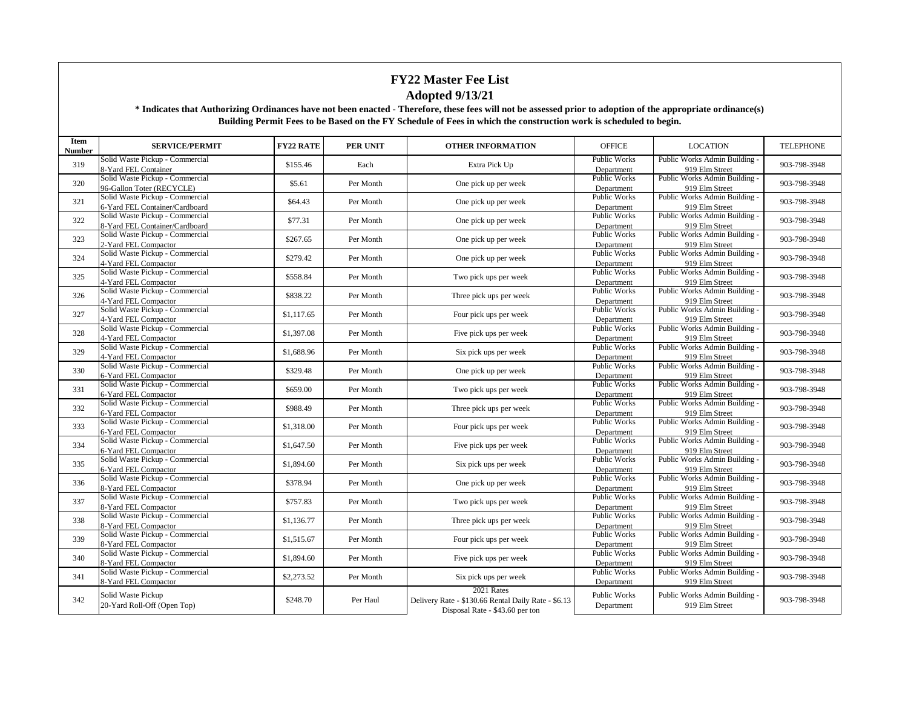| Item<br><b>Number</b> | <b>SERVICE/PERMIT</b>                                             | <b>FY22 RATE</b> | <b>PER UNIT</b> | <b>OTHER INFORMATION</b>                                                                             | <b>OFFICE</b>                     | <b>LOCATION</b>                                 | <b>TELEPHONE</b> |
|-----------------------|-------------------------------------------------------------------|------------------|-----------------|------------------------------------------------------------------------------------------------------|-----------------------------------|-------------------------------------------------|------------------|
| 319                   | Solid Waste Pickup - Commercial<br>8-Yard FEL Container           | \$155.46         | Each            | Extra Pick Up                                                                                        | <b>Public Works</b><br>Department | Public Works Admin Building -<br>919 Elm Street | 903-798-3948     |
| 320                   | Solid Waste Pickup - Commercial<br>96-Gallon Toter (RECYCLE)      | \$5.61           | Per Month       | One pick up per week                                                                                 | <b>Public Works</b><br>Department | Public Works Admin Building -<br>919 Elm Street | 903-798-3948     |
| 321                   | Solid Waste Pickup - Commercial<br>6-Yard FEL Container/Cardboard | \$64.43          | Per Month       | One pick up per week                                                                                 | <b>Public Works</b><br>Department | Public Works Admin Building -<br>919 Elm Street | 903-798-3948     |
| 322                   | Solid Waste Pickup - Commercial<br>8-Yard FEL Container/Cardboard | \$77.31          | Per Month       | One pick up per week                                                                                 | <b>Public Works</b><br>Department | Public Works Admin Building -<br>919 Elm Street | 903-798-3948     |
| 323                   | Solid Waste Pickup - Commercial<br>2-Yard FEL Compactor           | \$267.65         | Per Month       | One pick up per week                                                                                 | <b>Public Works</b><br>Department | Public Works Admin Building -<br>919 Elm Street | 903-798-3948     |
| 324                   | Solid Waste Pickup - Commercial<br>4-Yard FEL Compactor           | \$279.42         | Per Month       | One pick up per week                                                                                 | Public Works<br>Department        | Public Works Admin Building -<br>919 Elm Street | 903-798-3948     |
| 325                   | Solid Waste Pickup - Commercial<br>4-Yard FEL Compactor           | \$558.84         | Per Month       | Two pick ups per week                                                                                | <b>Public Works</b><br>Department | Public Works Admin Building -<br>919 Elm Street | 903-798-3948     |
| 326                   | Solid Waste Pickup - Commercial<br>4-Yard FEL Compactor           | \$838.22         | Per Month       | Three pick ups per week                                                                              | <b>Public Works</b><br>Department | Public Works Admin Building -<br>919 Elm Street | 903-798-3948     |
| 327                   | Solid Waste Pickup - Commercial<br>4-Yard FEL Compactor           | \$1,117.65       | Per Month       | Four pick ups per week                                                                               | Public Works<br>Department        | Public Works Admin Building -<br>919 Elm Street | 903-798-3948     |
| 328                   | Solid Waste Pickup - Commercial<br>4-Yard FEL Compactor           | \$1,397.08       | Per Month       | Five pick ups per week                                                                               | <b>Public Works</b><br>Department | Public Works Admin Building -<br>919 Elm Street | 903-798-3948     |
| 329                   | Solid Waste Pickup - Commercial<br>4-Yard FEL Compactor           | \$1,688.96       | Per Month       | Six pick ups per week                                                                                | Public Works<br>Department        | Public Works Admin Building -<br>919 Elm Street | 903-798-3948     |
| 330                   | Solid Waste Pickup - Commercial<br>6-Yard FEL Compactor           | \$329.48         | Per Month       | One pick up per week                                                                                 | Public Works<br>Department        | Public Works Admin Building -<br>919 Elm Street | 903-798-3948     |
| 331                   | Solid Waste Pickup - Commercial<br>6-Yard FEL Compactor           | \$659.00         | Per Month       | Two pick ups per week                                                                                | <b>Public Works</b><br>Department | Public Works Admin Building -<br>919 Elm Street | 903-798-3948     |
| 332                   | Solid Waste Pickup - Commercial<br>6-Yard FEL Compactor           | \$988.49         | Per Month       | Three pick ups per week                                                                              | <b>Public Works</b><br>Department | Public Works Admin Building -<br>919 Elm Street | 903-798-3948     |
| 333                   | Solid Waste Pickup - Commercial<br>6-Yard FEL Compactor           | \$1,318.00       | Per Month       | Four pick ups per week                                                                               | <b>Public Works</b><br>Department | Public Works Admin Building -<br>919 Elm Street | 903-798-3948     |
| 334                   | Solid Waste Pickup - Commercial<br>6-Yard FEL Compactor           | \$1,647.50       | Per Month       | Five pick ups per week                                                                               | <b>Public Works</b><br>Department | Public Works Admin Building -<br>919 Elm Street | 903-798-3948     |
| 335                   | Solid Waste Pickup - Commercial<br>6-Yard FEL Compactor           | \$1,894.60       | Per Month       | Six pick ups per week                                                                                | Public Works<br>Department        | Public Works Admin Building -<br>919 Elm Street | 903-798-3948     |
| 336                   | Solid Waste Pickup - Commercial<br>8-Yard FEL Compactor           | \$378.94         | Per Month       | One pick up per week                                                                                 | <b>Public Works</b><br>Department | Public Works Admin Building -<br>919 Elm Street | 903-798-3948     |
| 337                   | Solid Waste Pickup - Commercial<br>8-Yard FEL Compactor           | \$757.83         | Per Month       | Two pick ups per week                                                                                | <b>Public Works</b><br>Department | Public Works Admin Building -<br>919 Elm Street | 903-798-3948     |
| 338                   | Solid Waste Pickup - Commercial<br>8-Yard FEL Compactor           | \$1,136.77       | Per Month       | Three pick ups per week                                                                              | Public Works<br>Department        | Public Works Admin Building -<br>919 Elm Street | 903-798-3948     |
| 339                   | Solid Waste Pickup - Commercial<br>8-Yard FEL Compactor           | \$1,515.67       | Per Month       | Four pick ups per week                                                                               | <b>Public Works</b><br>Department | Public Works Admin Building -<br>919 Elm Street | 903-798-3948     |
| 340                   | Solid Waste Pickup - Commercial<br>8-Yard FEL Compactor           | \$1,894.60       | Per Month       | Five pick ups per week                                                                               | <b>Public Works</b><br>Department | Public Works Admin Building -<br>919 Elm Street | 903-798-3948     |
| 341                   | Solid Waste Pickup - Commercial<br>8-Yard FEL Compactor           | \$2,273.52       | Per Month       | Six pick ups per week                                                                                | Public Works<br>Department        | Public Works Admin Building -<br>919 Elm Street | 903-798-3948     |
| 342                   | Solid Waste Pickup<br>20-Yard Roll-Off (Open Top)                 | \$248.70         | Per Haul        | 2021 Rates<br>Delivery Rate - \$130.66 Rental Daily Rate - \$6.13<br>Disposal Rate - \$43.60 per ton | <b>Public Works</b><br>Department | Public Works Admin Building -<br>919 Elm Street | 903-798-3948     |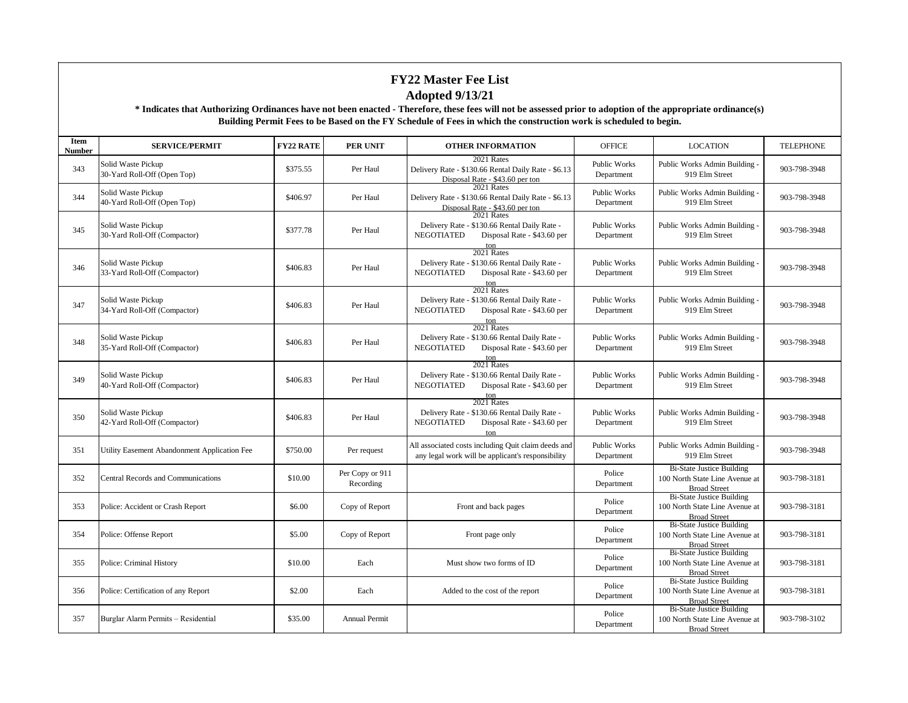| <b>Item</b><br><b>Number</b> | <b>SERVICE/PERMIT</b>                              | <b>FY22 RATE</b> | <b>PER UNIT</b>              | <b>OTHER INFORMATION</b>                                                                                                                                 | <b>OFFICE</b>                     | <b>LOCATION</b>                                                                           | <b>TELEPHONE</b> |
|------------------------------|----------------------------------------------------|------------------|------------------------------|----------------------------------------------------------------------------------------------------------------------------------------------------------|-----------------------------------|-------------------------------------------------------------------------------------------|------------------|
| 343                          | Solid Waste Pickup<br>30-Yard Roll-Off (Open Top)  | \$375.55         | Per Haul                     | 2021 Rates<br>Delivery Rate - \$130.66 Rental Daily Rate - \$6.13<br>Disposal Rate - \$43.60 per ton                                                     | Public Works<br>Department        | Public Works Admin Building -<br>919 Elm Street                                           | 903-798-3948     |
| 344                          | Solid Waste Pickup<br>40-Yard Roll-Off (Open Top)  | \$406.97         | Per Haul                     | 2021 Rates<br>Delivery Rate - \$130.66 Rental Daily Rate - \$6.13<br>Disposal Rate - \$43.60 per ton                                                     | <b>Public Works</b><br>Department | Public Works Admin Building -<br>919 Elm Street                                           | 903-798-3948     |
| 345                          | Solid Waste Pickup<br>30-Yard Roll-Off (Compactor) | \$377.78         | Per Haul                     | 2021 Rates<br>Delivery Rate - \$130.66 Rental Daily Rate -<br><b>NEGOTIATED</b><br>Disposal Rate - \$43.60 per<br>ton                                    | Public Works<br>Department        | Public Works Admin Building -<br>919 Elm Street                                           | 903-798-3948     |
| 346                          | Solid Waste Pickup<br>33-Yard Roll-Off (Compactor) | \$406.83         | Per Haul                     | 2021 Rates<br>Delivery Rate - \$130.66 Rental Daily Rate -<br><b>NEGOTIATED</b><br>Disposal Rate - \$43.60 per<br>$\frac{\text{ton}}{\text{2021 Rates}}$ | <b>Public Works</b><br>Department | Public Works Admin Building<br>919 Elm Street                                             | 903-798-3948     |
| 347                          | Solid Waste Pickup<br>34-Yard Roll-Off (Compactor) | \$406.83         | Per Haul                     | Delivery Rate - \$130.66 Rental Daily Rate -<br><b>NEGOTIATED</b><br>Disposal Rate - \$43.60 per<br>ton                                                  | <b>Public Works</b><br>Department | Public Works Admin Building -<br>919 Elm Street                                           | 903-798-3948     |
| 348                          | Solid Waste Pickup<br>35-Yard Roll-Off (Compactor) | \$406.83         | Per Haul                     | 2021 Rates<br>Delivery Rate - \$130.66 Rental Daily Rate -<br><b>NEGOTIATED</b><br>Disposal Rate - \$43.60 per<br>ton                                    | Public Works<br>Department        | Public Works Admin Building -<br>919 Elm Street                                           | 903-798-3948     |
| 349                          | Solid Waste Pickup<br>40-Yard Roll-Off (Compactor) | \$406.83         | Per Haul                     | 2021 Rates<br>Delivery Rate - \$130.66 Rental Daily Rate -<br><b>NEGOTIATED</b><br>Disposal Rate - \$43.60 per                                           | <b>Public Works</b><br>Department | Public Works Admin Building -<br>919 Elm Street                                           | 903-798-3948     |
| 350                          | Solid Waste Pickup<br>42-Yard Roll-Off (Compactor) | \$406.83         | Per Haul                     | $\frac{\text{ton}}{\text{2021 Rates}}$<br>Delivery Rate - \$130.66 Rental Daily Rate -<br><b>NEGOTIATED</b><br>Disposal Rate - \$43.60 per<br>ton        | Public Works<br>Department        | Public Works Admin Building<br>919 Elm Street                                             | 903-798-3948     |
| 351                          | Utility Easement Abandonment Application Fee       | \$750.00         | Per request                  | All associated costs including Quit claim deeds and<br>any legal work will be applicant's responsibility                                                 | <b>Public Works</b><br>Department | Public Works Admin Building -<br>919 Elm Street                                           | 903-798-3948     |
| 352                          | Central Records and Communications                 | \$10.00          | Per Copy or 911<br>Recording |                                                                                                                                                          | Police<br>Department              | <b>Bi-State Justice Building</b><br>100 North State Line Avenue at<br><b>Broad Street</b> | 903-798-3181     |
| 353                          | Police: Accident or Crash Report                   | \$6.00           | Copy of Report               | Front and back pages                                                                                                                                     | Police<br>Department              | <b>Bi-State Justice Building</b><br>100 North State Line Avenue at<br><b>Broad Street</b> | 903-798-3181     |
| 354                          | Police: Offense Report                             | \$5.00           | Copy of Report               | Front page only                                                                                                                                          | Police<br>Department              | <b>Bi-State Justice Building</b><br>100 North State Line Avenue at<br><b>Broad Street</b> | 903-798-3181     |
| 355                          | Police: Criminal History                           | \$10.00          | Each                         | Must show two forms of ID                                                                                                                                | Police<br>Department              | <b>Bi-State Justice Building</b><br>100 North State Line Avenue at<br><b>Broad Street</b> | 903-798-3181     |
| 356                          | Police: Certification of any Report                | \$2.00           | Each                         | Added to the cost of the report                                                                                                                          | Police<br>Department              | <b>Bi-State Justice Building</b><br>100 North State Line Avenue at<br><b>Broad Street</b> | 903-798-3181     |
| 357                          | Burglar Alarm Permits - Residential                | \$35.00          | <b>Annual Permit</b>         |                                                                                                                                                          | Police<br>Department              | <b>Bi-State Justice Building</b><br>100 North State Line Avenue at<br><b>Broad Street</b> | 903-798-3102     |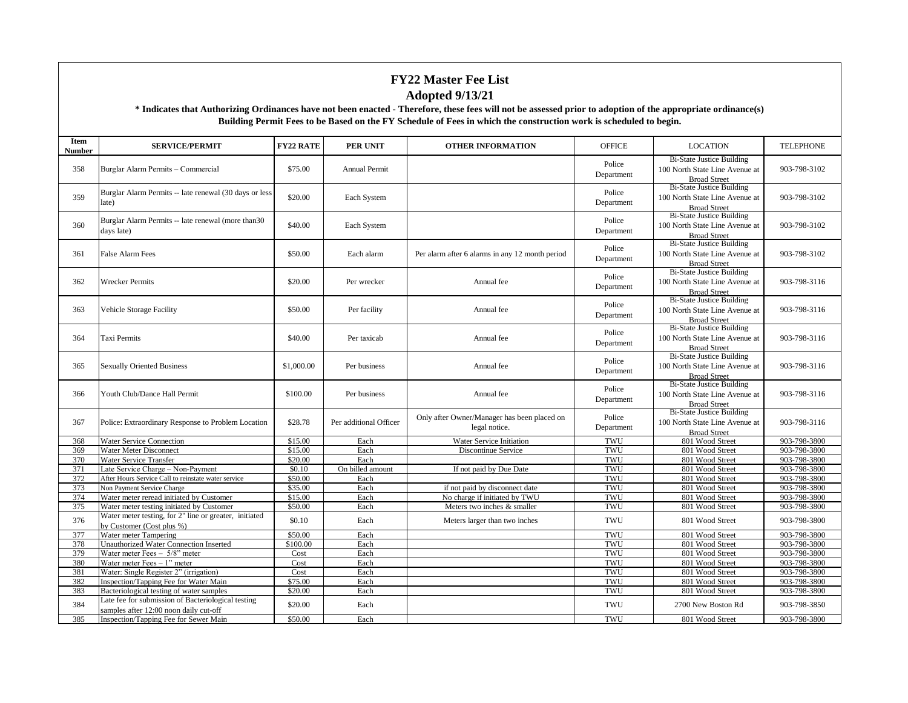| Item<br><b>Number</b> | <b>SERVICE/PERMIT</b>                                                                        | <b>FY22 RATE</b> | <b>PER UNIT</b>        | <b>OTHER INFORMATION</b>                                     | <b>OFFICE</b>        | <b>LOCATION</b>                                                                           | <b>TELEPHONE</b> |
|-----------------------|----------------------------------------------------------------------------------------------|------------------|------------------------|--------------------------------------------------------------|----------------------|-------------------------------------------------------------------------------------------|------------------|
| 358                   | Burglar Alarm Permits - Commercial                                                           | \$75.00          | <b>Annual Permit</b>   |                                                              | Police<br>Department | <b>Bi-State Justice Building</b><br>100 North State Line Avenue at<br><b>Broad Street</b> | 903-798-3102     |
| 359                   | Burglar Alarm Permits -- late renewal (30 days or less<br>late)                              | \$20.00          | Each System            |                                                              | Police<br>Department | <b>Bi-State Justice Building</b><br>100 North State Line Avenue at<br><b>Broad Street</b> | 903-798-3102     |
| 360                   | Burglar Alarm Permits -- late renewal (more than 30)<br>days late)                           | \$40.00          | Each System            |                                                              | Police<br>Department | <b>Bi-State Justice Building</b><br>100 North State Line Avenue at<br><b>Broad Street</b> | 903-798-3102     |
| 361                   | <b>False Alarm Fees</b>                                                                      | \$50.00          | Each alarm             | Per alarm after 6 alarms in any 12 month period              | Police<br>Department | <b>Bi-State Justice Building</b><br>100 North State Line Avenue at<br><b>Broad Street</b> | 903-798-3102     |
| 362                   | <b>Wrecker Permits</b>                                                                       | \$20.00          | Per wrecker            | Annual fee                                                   | Police<br>Department | <b>Bi-State Justice Building</b><br>100 North State Line Avenue at<br><b>Broad Street</b> | 903-798-3116     |
| 363                   | Vehicle Storage Facility                                                                     | \$50.00          | Per facility           | Annual fee                                                   | Police<br>Department | <b>Bi-State Justice Building</b><br>100 North State Line Avenue at<br><b>Broad Street</b> | 903-798-3116     |
| 364                   | <b>Taxi Permits</b>                                                                          | \$40.00          | Per taxicab            | Annual fee                                                   | Police<br>Department | <b>Bi-State Justice Building</b><br>100 North State Line Avenue at<br><b>Broad Street</b> | 903-798-3116     |
| 365                   | <b>Sexually Oriented Business</b>                                                            | \$1,000.00       | Per business           | Annual fee                                                   | Police<br>Department | <b>Bi-State Justice Building</b><br>100 North State Line Avenue at<br><b>Broad Street</b> | 903-798-3116     |
| 366                   | Youth Club/Dance Hall Permit                                                                 | \$100.00         | Per business           | Annual fee                                                   | Police<br>Department | <b>Bi-State Justice Building</b><br>100 North State Line Avenue at<br><b>Broad Street</b> | 903-798-3116     |
| 367                   | Police: Extraordinary Response to Problem Location                                           | \$28.78          | Per additional Officer | Only after Owner/Manager has been placed on<br>legal notice. | Police<br>Department | <b>Bi-State Justice Building</b><br>100 North State Line Avenue at<br><b>Broad Street</b> | 903-798-3116     |
| 368                   | <b>Water Service Connection</b>                                                              | \$15.00          | Each                   | Water Service Initiation                                     | TWU                  | 801 Wood Street                                                                           | 903-798-3800     |
| 369                   | Water Meter Disconnect                                                                       | \$15.00          | Each                   | Discontinue Service                                          | TWU                  | 801 Wood Street                                                                           | 903-798-3800     |
| 370                   | Water Service Transfer                                                                       | \$20.00          | Each                   |                                                              | TWU                  | 801 Wood Street                                                                           | 903-798-3800     |
| 371                   | Late Service Charge - Non-Payment                                                            | \$0.10           | On billed amount       | If not paid by Due Date                                      | TWU                  | 801 Wood Street                                                                           | 903-798-3800     |
| 372                   | After Hours Service Call to reinstate water service                                          | \$50.00          | Each                   |                                                              | TWU                  | 801 Wood Street                                                                           | 903-798-3800     |
| 373                   | Non Payment Service Charge                                                                   | \$35.00          | Each                   | if not paid by disconnect date                               | TWU                  | 801 Wood Street                                                                           | 903-798-3800     |
| 374                   | Water meter reread initiated by Customer                                                     | \$15.00          | Each                   | No charge if initiated by TWU                                | TWU                  | 801 Wood Street                                                                           | 903-798-3800     |
| 375                   | Water meter testing initiated by Customer                                                    | \$50.00          | Each                   | Meters two inches & smaller                                  | TWU                  | 801 Wood Street                                                                           | 903-798-3800     |
| 376                   | Water meter testing, for 2" line or greater, initiated<br>by Customer (Cost plus %)          | \$0.10           | Each                   | Meters larger than two inches                                | TWU                  | 801 Wood Street                                                                           | 903-798-3800     |
| 377                   | Water meter Tampering                                                                        | \$50.00          | Each                   |                                                              | TWU                  | 801 Wood Street                                                                           | 903-798-3800     |
| 378                   | <b>Unauthorized Water Connection Inserted</b>                                                | \$100.00         | Each                   |                                                              | TWU                  | 801 Wood Street                                                                           | 903-798-3800     |
| 379                   | Water meter Fees $-5/8$ " meter                                                              | Cost             | Each                   |                                                              | TWU                  | 801 Wood Street                                                                           | 903-798-3800     |
| 380                   | Water meter $Fees - 1$ " meter                                                               | Cost             | Each                   |                                                              | TWU                  | 801 Wood Street                                                                           | 903-798-3800     |
| 381                   | Water: Single Register 2" (irrigation)                                                       | Cost             | Each                   |                                                              | TWU                  | 801 Wood Street                                                                           | 903-798-3800     |
| 382                   | Inspection/Tapping Fee for Water Main                                                        | \$75.00          | Each                   |                                                              | TWU                  | 801 Wood Street                                                                           | 903-798-3800     |
| 383                   | Bacteriological testing of water samples                                                     | \$20.00          | Each                   |                                                              | TWU                  | 801 Wood Street                                                                           | 903-798-3800     |
| 384                   | Late fee for submission of Bacteriological testing<br>samples after 12:00 noon daily cut-off | \$20.00          | Each                   |                                                              | TWU                  | 2700 New Boston Rd                                                                        | 903-798-3850     |
| 385                   | Inspection/Tapping Fee for Sewer Main                                                        | \$50.00          | Each                   |                                                              | TWU                  | 801 Wood Street                                                                           | 903-798-3800     |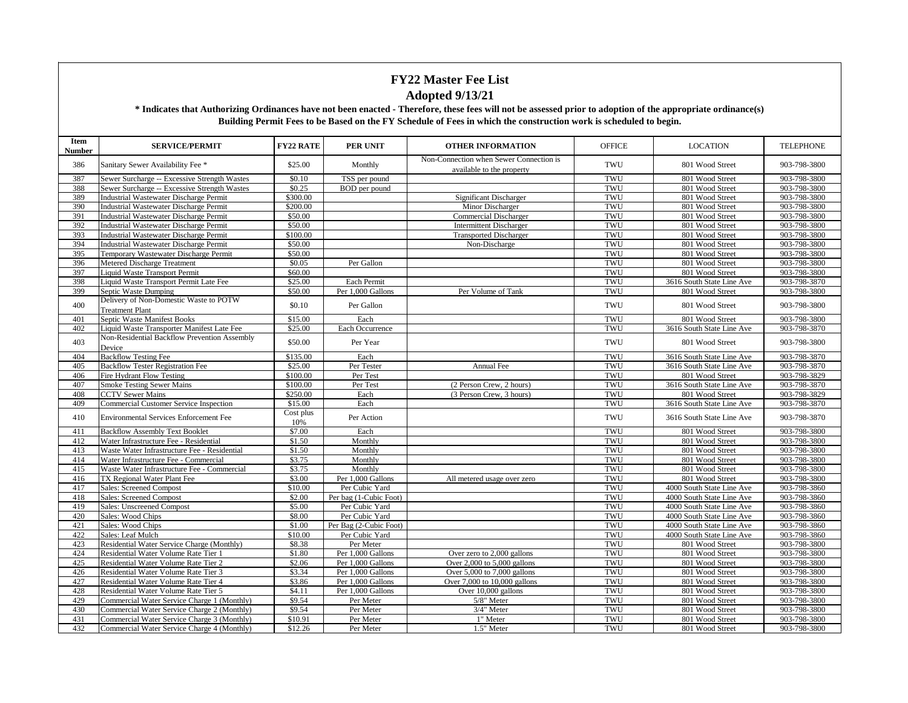| Non-Connection when Sewer Connection is<br>386<br>\$25.00<br>TWU<br>801 Wood Street<br>903-798-3800<br>Sanitary Sewer Availability Fee *<br>Monthly<br>available to the property<br>387<br>\$0.10<br>TWU<br>903-798-3800<br>Sewer Surcharge -- Excessive Strength Wastes<br>TSS per pound<br>801 Wood Street<br>388<br>Sewer Surcharge -- Excessive Strength Wastes<br>\$0.25<br>BOD per pound<br>TWU<br>801 Wood Street<br>903-798-3800<br>389<br>\$300.00<br>TWU<br>801 Wood Street<br>903-798-3800<br><b>Industrial Wastewater Discharge Permit</b><br>Significant Discharger<br>\$200.00<br>TWU<br>903-798-3800<br>390<br><b>Industrial Wastewater Discharge Permit</b><br>Minor Discharger<br>801 Wood Street<br>391<br>\$50.00<br><b>Commercial Discharger</b><br>TWU<br>801 Wood Street<br>903-798-3800<br><b>Industrial Wastewater Discharge Permit</b><br>392<br>\$50.00<br>TWU<br>801 Wood Street<br>903-798-3800<br><b>Industrial Wastewater Discharge Permit</b><br><b>Intermittent Discharger</b><br>393<br>\$100.00<br>TWU<br>801 Wood Street<br>903-798-3800<br><b>Industrial Wastewater Discharge Permit</b><br><b>Transported Discharger</b><br>394<br>\$50.00<br>TWU<br><b>Industrial Wastewater Discharge Permit</b><br>Non-Discharge<br>801 Wood Street<br>903-798-3800<br>395<br>TWU<br>Temporary Wastewater Discharge Permit<br>\$50.00<br>801 Wood Street<br>903-798-3800<br>396<br>Metered Discharge Treatment<br>\$0.05<br>TWU<br>801 Wood Street<br>903-798-3800<br>Per Gallon<br>\$60.00<br>TWU<br>903-798-3800<br>397<br>801 Wood Street<br>Liquid Waste Transport Permit<br>\$25.00<br>TWU<br>903-798-3870<br>398<br>Liquid Waste Transport Permit Late Fee<br>Each Permit<br>3616 South State Line Ave<br>399<br>\$50.00<br>Per 1,000 Gallons<br>TWU<br>903-798-3800<br>Septic Waste Dumping<br>Per Volume of Tank<br>801 Wood Street<br>Delivery of Non-Domestic Waste to POTW<br>400<br>\$0.10<br>Per Gallon<br>TWU<br>801 Wood Street<br>903-798-3800<br><b>Treatment Plant</b><br>Septic Waste Manifest Books<br>\$15.00<br>TWU<br>401<br>Each<br>801 Wood Street<br>903-798-3800<br>402<br>\$25.00<br>TWU<br>903-798-3870<br>Liquid Waste Transporter Manifest Late Fee<br>Each Occurrence<br>3616 South State Line Ave<br>Non-Residential Backflow Prevention Assembly<br>403<br>\$50.00<br>Per Year<br>TWU<br>801 Wood Street<br>903-798-3800<br>Device<br><b>Backflow Testing Fee</b><br>404<br>\$135.00<br>Each<br>TWU<br>3616 South State Line Ave<br>903-798-3870<br>\$25.00<br>TWU<br>405<br><b>Backflow Tester Registration Fee</b><br>Per Tester<br>Annual Fee<br>3616 South State Line Ave<br>903-798-3870<br>\$100.00<br>TWU<br>903-798-3829<br>406<br>Fire Hydrant Flow Testing<br>Per Test<br>801 Wood Street<br>TWU<br>903-798-3870<br>407<br><b>Smoke Testing Sewer Mains</b><br>\$100.00<br>Per Test<br>3616 South State Line Ave<br>(2 Person Crew, 2 hours)<br>408<br>\$250.00<br>TWU<br>903-798-3829<br><b>CCTV Sewer Mains</b><br>Each<br>(3 Person Crew, 3 hours)<br>801 Wood Street<br>409<br>\$15.00<br>Each<br>TWU<br>3616 South State Line Ave<br>903-798-3870<br><b>Commercial Customer Service Inspection</b><br>Cost plus<br>410<br>TWU<br>903-798-3870<br><b>Environmental Services Enforcement Fee</b><br>Per Action<br>3616 South State Line Ave<br>10%<br>\$7.00<br>TWU<br>903-798-3800<br>411<br><b>Backflow Assembly Text Booklet</b><br>Each<br>801 Wood Street<br>412<br>\$1.50<br>Monthly<br>TWU<br>801 Wood Street<br>903-798-3800<br>Water Infrastructure Fee - Residential<br>413<br>\$1.50<br>TWU<br>Waste Water Infrastructure Fee - Residential<br>Monthly<br>801 Wood Street<br>903-798-3800<br>\$3.75<br>TWU<br>414<br>Water Infrastructure Fee - Commercial<br>Monthly<br>801 Wood Street<br>903-798-3800<br>415<br>Waste Water Infrastructure Fee - Commercial<br>\$3.75<br>TWU<br>801 Wood Street<br>903-798-3800<br>Monthly<br>\$3.00<br>TWU<br>903-798-3800<br>416<br>TX Regional Water Plant Fee<br>Per 1,000 Gallons<br>801 Wood Street<br>All metered usage over zero<br>TWU<br>903-798-3860<br>417<br><b>Sales: Screened Compost</b><br>\$10.00<br>Per Cubic Yard<br>4000 South State Line Ave<br>418<br>\$2.00<br>TWU<br>903-798-3860<br><b>Sales: Screened Compost</b><br>Per bag (1-Cubic Foot)<br>4000 South State Line Ave<br>419<br>\$5.00<br>TWU<br>903-798-3860<br><b>Sales: Unscreened Compost</b><br>Per Cubic Yard<br>4000 South State Line Ave<br>420<br>\$8.00<br>TWU<br>903-798-3860<br>Sales: Wood Chips<br>Per Cubic Yard<br>4000 South State Line Ave<br>\$1.00<br>TWU<br>903-798-3860<br>421<br>Sales: Wood Chips<br>Per Bag (2-Cubic Foot)<br>4000 South State Line Ave<br>422<br>\$10.00<br>TWU<br>903-798-3860<br>Sales: Leaf Mulch<br>Per Cubic Yard<br>4000 South State Line Ave<br>423<br>\$8.38<br>Per Meter<br>TWU<br>903-798-3800<br>Residential Water Service Charge (Monthly)<br>801 Wood Street<br>424<br>\$1.80<br>Per 1,000 Gallons<br>Over zero to 2,000 gallons<br>TWU<br>903-798-3800<br>Residential Water Volume Rate Tier 1<br>801 Wood Street<br>\$2.06<br>TWU<br>425<br>Residential Water Volume Rate Tier 2<br>Per 1,000 Gallons<br>801 Wood Street<br>903-798-3800<br>Over $2,000$ to $5,000$ gallons<br>\$3.34<br>TWU<br>426<br>Residential Water Volume Rate Tier 3<br>Per 1,000 Gallons<br>Over 5,000 to 7,000 gallons<br>801 Wood Street<br>903-798-3800<br>TWU<br>427<br>\$3.86<br>Per 1,000 Gallons<br>801 Wood Street<br>903-798-3800<br>Residential Water Volume Rate Tier 4<br>Over 7,000 to 10,000 gallons<br>428<br>\$4.11<br>TWU<br>801 Wood Street<br>903-798-3800<br>Residential Water Volume Rate Tier 5<br>Per 1,000 Gallons<br>Over 10,000 gallons<br>429<br>\$9.54<br>Per Meter<br>5/8" Meter<br>TWU<br>801 Wood Street<br>903-798-3800<br>Commercial Water Service Charge 1 (Monthly)<br>TWU<br>430<br>\$9.54<br>Per Meter<br>3/4" Meter<br>801 Wood Street<br>903-798-3800<br>Commercial Water Service Charge 2 (Monthly)<br>\$10.91<br>1" Meter<br>TWU<br>431<br>Commercial Water Service Charge 3 (Monthly)<br>Per Meter<br>801 Wood Street<br>903-798-3800<br>432<br>\$12.26<br>TWU<br>903-798-3800<br>Commercial Water Service Charge 4 (Monthly)<br>Per Meter<br>1.5" Meter<br>801 Wood Street | Item<br>Number | <b>SERVICE/PERMIT</b> | <b>FY22 RATE</b> | <b>PER UNIT</b> | <b>OTHER INFORMATION</b> | <b>OFFICE</b> | <b>LOCATION</b> | <b>TELEPHONE</b> |
|-----------------------------------------------------------------------------------------------------------------------------------------------------------------------------------------------------------------------------------------------------------------------------------------------------------------------------------------------------------------------------------------------------------------------------------------------------------------------------------------------------------------------------------------------------------------------------------------------------------------------------------------------------------------------------------------------------------------------------------------------------------------------------------------------------------------------------------------------------------------------------------------------------------------------------------------------------------------------------------------------------------------------------------------------------------------------------------------------------------------------------------------------------------------------------------------------------------------------------------------------------------------------------------------------------------------------------------------------------------------------------------------------------------------------------------------------------------------------------------------------------------------------------------------------------------------------------------------------------------------------------------------------------------------------------------------------------------------------------------------------------------------------------------------------------------------------------------------------------------------------------------------------------------------------------------------------------------------------------------------------------------------------------------------------------------------------------------------------------------------------------------------------------------------------------------------------------------------------------------------------------------------------------------------------------------------------------------------------------------------------------------------------------------------------------------------------------------------------------------------------------------------------------------------------------------------------------------------------------------------------------------------------------------------------------------------------------------------------------------------------------------------------------------------------------------------------------------------------------------------------------------------------------------------------------------------------------------------------------------------------------------------------------------------------------------------------------------------------------------------------------------------------------------------------------------------------------------------------------------------------------------------------------------------------------------------------------------------------------------------------------------------------------------------------------------------------------------------------------------------------------------------------------------------------------------------------------------------------------------------------------------------------------------------------------------------------------------------------------------------------------------------------------------------------------------------------------------------------------------------------------------------------------------------------------------------------------------------------------------------------------------------------------------------------------------------------------------------------------------------------------------------------------------------------------------------------------------------------------------------------------------------------------------------------------------------------------------------------------------------------------------------------------------------------------------------------------------------------------------------------------------------------------------------------------------------------------------------------------------------------------------------------------------------------------------------------------------------------------------------------------------------------------------------------------------------------------------------------------------------------------------------------------------------------------------------------------------------------------------------------------------------------------------------------------------------------------------------------------------------------------------------------------------------------------------------------------------------------------------------------------------------------------------------------------------------------------------------------------------------------------------------------------------------------------------------------------------------------------------------------------------------------------------------------------------------------------------------------------------------------------------------------------------------------------------------------------------------------------------------------------------------------------------------------------------------------------------------------------------------------------------------------------------------------------------------------------------------------------------------------------------------------------------------------------------------------------------------------------------------------------------------------------------------------------------------------------------------------------------------------------------|----------------|-----------------------|------------------|-----------------|--------------------------|---------------|-----------------|------------------|
|                                                                                                                                                                                                                                                                                                                                                                                                                                                                                                                                                                                                                                                                                                                                                                                                                                                                                                                                                                                                                                                                                                                                                                                                                                                                                                                                                                                                                                                                                                                                                                                                                                                                                                                                                                                                                                                                                                                                                                                                                                                                                                                                                                                                                                                                                                                                                                                                                                                                                                                                                                                                                                                                                                                                                                                                                                                                                                                                                                                                                                                                                                                                                                                                                                                                                                                                                                                                                                                                                                                                                                                                                                                                                                                                                                                                                                                                                                                                                                                                                                                                                                                                                                                                                                                                                                                                                                                                                                                                                                                                                                                                                                                                                                                                                                                                                                                                                                                                                                                                                                                                                                                                                                                                                                                                                                                                                                                                                                                                                                                                                                                                                                                                                                                                                                                                                                                                                                                                                                                                                                                                                                                                                                                                                                                           |                |                       |                  |                 |                          |               |                 |                  |
|                                                                                                                                                                                                                                                                                                                                                                                                                                                                                                                                                                                                                                                                                                                                                                                                                                                                                                                                                                                                                                                                                                                                                                                                                                                                                                                                                                                                                                                                                                                                                                                                                                                                                                                                                                                                                                                                                                                                                                                                                                                                                                                                                                                                                                                                                                                                                                                                                                                                                                                                                                                                                                                                                                                                                                                                                                                                                                                                                                                                                                                                                                                                                                                                                                                                                                                                                                                                                                                                                                                                                                                                                                                                                                                                                                                                                                                                                                                                                                                                                                                                                                                                                                                                                                                                                                                                                                                                                                                                                                                                                                                                                                                                                                                                                                                                                                                                                                                                                                                                                                                                                                                                                                                                                                                                                                                                                                                                                                                                                                                                                                                                                                                                                                                                                                                                                                                                                                                                                                                                                                                                                                                                                                                                                                                           |                |                       |                  |                 |                          |               |                 |                  |
|                                                                                                                                                                                                                                                                                                                                                                                                                                                                                                                                                                                                                                                                                                                                                                                                                                                                                                                                                                                                                                                                                                                                                                                                                                                                                                                                                                                                                                                                                                                                                                                                                                                                                                                                                                                                                                                                                                                                                                                                                                                                                                                                                                                                                                                                                                                                                                                                                                                                                                                                                                                                                                                                                                                                                                                                                                                                                                                                                                                                                                                                                                                                                                                                                                                                                                                                                                                                                                                                                                                                                                                                                                                                                                                                                                                                                                                                                                                                                                                                                                                                                                                                                                                                                                                                                                                                                                                                                                                                                                                                                                                                                                                                                                                                                                                                                                                                                                                                                                                                                                                                                                                                                                                                                                                                                                                                                                                                                                                                                                                                                                                                                                                                                                                                                                                                                                                                                                                                                                                                                                                                                                                                                                                                                                                           |                |                       |                  |                 |                          |               |                 |                  |
|                                                                                                                                                                                                                                                                                                                                                                                                                                                                                                                                                                                                                                                                                                                                                                                                                                                                                                                                                                                                                                                                                                                                                                                                                                                                                                                                                                                                                                                                                                                                                                                                                                                                                                                                                                                                                                                                                                                                                                                                                                                                                                                                                                                                                                                                                                                                                                                                                                                                                                                                                                                                                                                                                                                                                                                                                                                                                                                                                                                                                                                                                                                                                                                                                                                                                                                                                                                                                                                                                                                                                                                                                                                                                                                                                                                                                                                                                                                                                                                                                                                                                                                                                                                                                                                                                                                                                                                                                                                                                                                                                                                                                                                                                                                                                                                                                                                                                                                                                                                                                                                                                                                                                                                                                                                                                                                                                                                                                                                                                                                                                                                                                                                                                                                                                                                                                                                                                                                                                                                                                                                                                                                                                                                                                                                           |                |                       |                  |                 |                          |               |                 |                  |
|                                                                                                                                                                                                                                                                                                                                                                                                                                                                                                                                                                                                                                                                                                                                                                                                                                                                                                                                                                                                                                                                                                                                                                                                                                                                                                                                                                                                                                                                                                                                                                                                                                                                                                                                                                                                                                                                                                                                                                                                                                                                                                                                                                                                                                                                                                                                                                                                                                                                                                                                                                                                                                                                                                                                                                                                                                                                                                                                                                                                                                                                                                                                                                                                                                                                                                                                                                                                                                                                                                                                                                                                                                                                                                                                                                                                                                                                                                                                                                                                                                                                                                                                                                                                                                                                                                                                                                                                                                                                                                                                                                                                                                                                                                                                                                                                                                                                                                                                                                                                                                                                                                                                                                                                                                                                                                                                                                                                                                                                                                                                                                                                                                                                                                                                                                                                                                                                                                                                                                                                                                                                                                                                                                                                                                                           |                |                       |                  |                 |                          |               |                 |                  |
|                                                                                                                                                                                                                                                                                                                                                                                                                                                                                                                                                                                                                                                                                                                                                                                                                                                                                                                                                                                                                                                                                                                                                                                                                                                                                                                                                                                                                                                                                                                                                                                                                                                                                                                                                                                                                                                                                                                                                                                                                                                                                                                                                                                                                                                                                                                                                                                                                                                                                                                                                                                                                                                                                                                                                                                                                                                                                                                                                                                                                                                                                                                                                                                                                                                                                                                                                                                                                                                                                                                                                                                                                                                                                                                                                                                                                                                                                                                                                                                                                                                                                                                                                                                                                                                                                                                                                                                                                                                                                                                                                                                                                                                                                                                                                                                                                                                                                                                                                                                                                                                                                                                                                                                                                                                                                                                                                                                                                                                                                                                                                                                                                                                                                                                                                                                                                                                                                                                                                                                                                                                                                                                                                                                                                                                           |                |                       |                  |                 |                          |               |                 |                  |
|                                                                                                                                                                                                                                                                                                                                                                                                                                                                                                                                                                                                                                                                                                                                                                                                                                                                                                                                                                                                                                                                                                                                                                                                                                                                                                                                                                                                                                                                                                                                                                                                                                                                                                                                                                                                                                                                                                                                                                                                                                                                                                                                                                                                                                                                                                                                                                                                                                                                                                                                                                                                                                                                                                                                                                                                                                                                                                                                                                                                                                                                                                                                                                                                                                                                                                                                                                                                                                                                                                                                                                                                                                                                                                                                                                                                                                                                                                                                                                                                                                                                                                                                                                                                                                                                                                                                                                                                                                                                                                                                                                                                                                                                                                                                                                                                                                                                                                                                                                                                                                                                                                                                                                                                                                                                                                                                                                                                                                                                                                                                                                                                                                                                                                                                                                                                                                                                                                                                                                                                                                                                                                                                                                                                                                                           |                |                       |                  |                 |                          |               |                 |                  |
|                                                                                                                                                                                                                                                                                                                                                                                                                                                                                                                                                                                                                                                                                                                                                                                                                                                                                                                                                                                                                                                                                                                                                                                                                                                                                                                                                                                                                                                                                                                                                                                                                                                                                                                                                                                                                                                                                                                                                                                                                                                                                                                                                                                                                                                                                                                                                                                                                                                                                                                                                                                                                                                                                                                                                                                                                                                                                                                                                                                                                                                                                                                                                                                                                                                                                                                                                                                                                                                                                                                                                                                                                                                                                                                                                                                                                                                                                                                                                                                                                                                                                                                                                                                                                                                                                                                                                                                                                                                                                                                                                                                                                                                                                                                                                                                                                                                                                                                                                                                                                                                                                                                                                                                                                                                                                                                                                                                                                                                                                                                                                                                                                                                                                                                                                                                                                                                                                                                                                                                                                                                                                                                                                                                                                                                           |                |                       |                  |                 |                          |               |                 |                  |
|                                                                                                                                                                                                                                                                                                                                                                                                                                                                                                                                                                                                                                                                                                                                                                                                                                                                                                                                                                                                                                                                                                                                                                                                                                                                                                                                                                                                                                                                                                                                                                                                                                                                                                                                                                                                                                                                                                                                                                                                                                                                                                                                                                                                                                                                                                                                                                                                                                                                                                                                                                                                                                                                                                                                                                                                                                                                                                                                                                                                                                                                                                                                                                                                                                                                                                                                                                                                                                                                                                                                                                                                                                                                                                                                                                                                                                                                                                                                                                                                                                                                                                                                                                                                                                                                                                                                                                                                                                                                                                                                                                                                                                                                                                                                                                                                                                                                                                                                                                                                                                                                                                                                                                                                                                                                                                                                                                                                                                                                                                                                                                                                                                                                                                                                                                                                                                                                                                                                                                                                                                                                                                                                                                                                                                                           |                |                       |                  |                 |                          |               |                 |                  |
|                                                                                                                                                                                                                                                                                                                                                                                                                                                                                                                                                                                                                                                                                                                                                                                                                                                                                                                                                                                                                                                                                                                                                                                                                                                                                                                                                                                                                                                                                                                                                                                                                                                                                                                                                                                                                                                                                                                                                                                                                                                                                                                                                                                                                                                                                                                                                                                                                                                                                                                                                                                                                                                                                                                                                                                                                                                                                                                                                                                                                                                                                                                                                                                                                                                                                                                                                                                                                                                                                                                                                                                                                                                                                                                                                                                                                                                                                                                                                                                                                                                                                                                                                                                                                                                                                                                                                                                                                                                                                                                                                                                                                                                                                                                                                                                                                                                                                                                                                                                                                                                                                                                                                                                                                                                                                                                                                                                                                                                                                                                                                                                                                                                                                                                                                                                                                                                                                                                                                                                                                                                                                                                                                                                                                                                           |                |                       |                  |                 |                          |               |                 |                  |
|                                                                                                                                                                                                                                                                                                                                                                                                                                                                                                                                                                                                                                                                                                                                                                                                                                                                                                                                                                                                                                                                                                                                                                                                                                                                                                                                                                                                                                                                                                                                                                                                                                                                                                                                                                                                                                                                                                                                                                                                                                                                                                                                                                                                                                                                                                                                                                                                                                                                                                                                                                                                                                                                                                                                                                                                                                                                                                                                                                                                                                                                                                                                                                                                                                                                                                                                                                                                                                                                                                                                                                                                                                                                                                                                                                                                                                                                                                                                                                                                                                                                                                                                                                                                                                                                                                                                                                                                                                                                                                                                                                                                                                                                                                                                                                                                                                                                                                                                                                                                                                                                                                                                                                                                                                                                                                                                                                                                                                                                                                                                                                                                                                                                                                                                                                                                                                                                                                                                                                                                                                                                                                                                                                                                                                                           |                |                       |                  |                 |                          |               |                 |                  |
|                                                                                                                                                                                                                                                                                                                                                                                                                                                                                                                                                                                                                                                                                                                                                                                                                                                                                                                                                                                                                                                                                                                                                                                                                                                                                                                                                                                                                                                                                                                                                                                                                                                                                                                                                                                                                                                                                                                                                                                                                                                                                                                                                                                                                                                                                                                                                                                                                                                                                                                                                                                                                                                                                                                                                                                                                                                                                                                                                                                                                                                                                                                                                                                                                                                                                                                                                                                                                                                                                                                                                                                                                                                                                                                                                                                                                                                                                                                                                                                                                                                                                                                                                                                                                                                                                                                                                                                                                                                                                                                                                                                                                                                                                                                                                                                                                                                                                                                                                                                                                                                                                                                                                                                                                                                                                                                                                                                                                                                                                                                                                                                                                                                                                                                                                                                                                                                                                                                                                                                                                                                                                                                                                                                                                                                           |                |                       |                  |                 |                          |               |                 |                  |
|                                                                                                                                                                                                                                                                                                                                                                                                                                                                                                                                                                                                                                                                                                                                                                                                                                                                                                                                                                                                                                                                                                                                                                                                                                                                                                                                                                                                                                                                                                                                                                                                                                                                                                                                                                                                                                                                                                                                                                                                                                                                                                                                                                                                                                                                                                                                                                                                                                                                                                                                                                                                                                                                                                                                                                                                                                                                                                                                                                                                                                                                                                                                                                                                                                                                                                                                                                                                                                                                                                                                                                                                                                                                                                                                                                                                                                                                                                                                                                                                                                                                                                                                                                                                                                                                                                                                                                                                                                                                                                                                                                                                                                                                                                                                                                                                                                                                                                                                                                                                                                                                                                                                                                                                                                                                                                                                                                                                                                                                                                                                                                                                                                                                                                                                                                                                                                                                                                                                                                                                                                                                                                                                                                                                                                                           |                |                       |                  |                 |                          |               |                 |                  |
|                                                                                                                                                                                                                                                                                                                                                                                                                                                                                                                                                                                                                                                                                                                                                                                                                                                                                                                                                                                                                                                                                                                                                                                                                                                                                                                                                                                                                                                                                                                                                                                                                                                                                                                                                                                                                                                                                                                                                                                                                                                                                                                                                                                                                                                                                                                                                                                                                                                                                                                                                                                                                                                                                                                                                                                                                                                                                                                                                                                                                                                                                                                                                                                                                                                                                                                                                                                                                                                                                                                                                                                                                                                                                                                                                                                                                                                                                                                                                                                                                                                                                                                                                                                                                                                                                                                                                                                                                                                                                                                                                                                                                                                                                                                                                                                                                                                                                                                                                                                                                                                                                                                                                                                                                                                                                                                                                                                                                                                                                                                                                                                                                                                                                                                                                                                                                                                                                                                                                                                                                                                                                                                                                                                                                                                           |                |                       |                  |                 |                          |               |                 |                  |
|                                                                                                                                                                                                                                                                                                                                                                                                                                                                                                                                                                                                                                                                                                                                                                                                                                                                                                                                                                                                                                                                                                                                                                                                                                                                                                                                                                                                                                                                                                                                                                                                                                                                                                                                                                                                                                                                                                                                                                                                                                                                                                                                                                                                                                                                                                                                                                                                                                                                                                                                                                                                                                                                                                                                                                                                                                                                                                                                                                                                                                                                                                                                                                                                                                                                                                                                                                                                                                                                                                                                                                                                                                                                                                                                                                                                                                                                                                                                                                                                                                                                                                                                                                                                                                                                                                                                                                                                                                                                                                                                                                                                                                                                                                                                                                                                                                                                                                                                                                                                                                                                                                                                                                                                                                                                                                                                                                                                                                                                                                                                                                                                                                                                                                                                                                                                                                                                                                                                                                                                                                                                                                                                                                                                                                                           |                |                       |                  |                 |                          |               |                 |                  |
|                                                                                                                                                                                                                                                                                                                                                                                                                                                                                                                                                                                                                                                                                                                                                                                                                                                                                                                                                                                                                                                                                                                                                                                                                                                                                                                                                                                                                                                                                                                                                                                                                                                                                                                                                                                                                                                                                                                                                                                                                                                                                                                                                                                                                                                                                                                                                                                                                                                                                                                                                                                                                                                                                                                                                                                                                                                                                                                                                                                                                                                                                                                                                                                                                                                                                                                                                                                                                                                                                                                                                                                                                                                                                                                                                                                                                                                                                                                                                                                                                                                                                                                                                                                                                                                                                                                                                                                                                                                                                                                                                                                                                                                                                                                                                                                                                                                                                                                                                                                                                                                                                                                                                                                                                                                                                                                                                                                                                                                                                                                                                                                                                                                                                                                                                                                                                                                                                                                                                                                                                                                                                                                                                                                                                                                           |                |                       |                  |                 |                          |               |                 |                  |
|                                                                                                                                                                                                                                                                                                                                                                                                                                                                                                                                                                                                                                                                                                                                                                                                                                                                                                                                                                                                                                                                                                                                                                                                                                                                                                                                                                                                                                                                                                                                                                                                                                                                                                                                                                                                                                                                                                                                                                                                                                                                                                                                                                                                                                                                                                                                                                                                                                                                                                                                                                                                                                                                                                                                                                                                                                                                                                                                                                                                                                                                                                                                                                                                                                                                                                                                                                                                                                                                                                                                                                                                                                                                                                                                                                                                                                                                                                                                                                                                                                                                                                                                                                                                                                                                                                                                                                                                                                                                                                                                                                                                                                                                                                                                                                                                                                                                                                                                                                                                                                                                                                                                                                                                                                                                                                                                                                                                                                                                                                                                                                                                                                                                                                                                                                                                                                                                                                                                                                                                                                                                                                                                                                                                                                                           |                |                       |                  |                 |                          |               |                 |                  |
|                                                                                                                                                                                                                                                                                                                                                                                                                                                                                                                                                                                                                                                                                                                                                                                                                                                                                                                                                                                                                                                                                                                                                                                                                                                                                                                                                                                                                                                                                                                                                                                                                                                                                                                                                                                                                                                                                                                                                                                                                                                                                                                                                                                                                                                                                                                                                                                                                                                                                                                                                                                                                                                                                                                                                                                                                                                                                                                                                                                                                                                                                                                                                                                                                                                                                                                                                                                                                                                                                                                                                                                                                                                                                                                                                                                                                                                                                                                                                                                                                                                                                                                                                                                                                                                                                                                                                                                                                                                                                                                                                                                                                                                                                                                                                                                                                                                                                                                                                                                                                                                                                                                                                                                                                                                                                                                                                                                                                                                                                                                                                                                                                                                                                                                                                                                                                                                                                                                                                                                                                                                                                                                                                                                                                                                           |                |                       |                  |                 |                          |               |                 |                  |
|                                                                                                                                                                                                                                                                                                                                                                                                                                                                                                                                                                                                                                                                                                                                                                                                                                                                                                                                                                                                                                                                                                                                                                                                                                                                                                                                                                                                                                                                                                                                                                                                                                                                                                                                                                                                                                                                                                                                                                                                                                                                                                                                                                                                                                                                                                                                                                                                                                                                                                                                                                                                                                                                                                                                                                                                                                                                                                                                                                                                                                                                                                                                                                                                                                                                                                                                                                                                                                                                                                                                                                                                                                                                                                                                                                                                                                                                                                                                                                                                                                                                                                                                                                                                                                                                                                                                                                                                                                                                                                                                                                                                                                                                                                                                                                                                                                                                                                                                                                                                                                                                                                                                                                                                                                                                                                                                                                                                                                                                                                                                                                                                                                                                                                                                                                                                                                                                                                                                                                                                                                                                                                                                                                                                                                                           |                |                       |                  |                 |                          |               |                 |                  |
|                                                                                                                                                                                                                                                                                                                                                                                                                                                                                                                                                                                                                                                                                                                                                                                                                                                                                                                                                                                                                                                                                                                                                                                                                                                                                                                                                                                                                                                                                                                                                                                                                                                                                                                                                                                                                                                                                                                                                                                                                                                                                                                                                                                                                                                                                                                                                                                                                                                                                                                                                                                                                                                                                                                                                                                                                                                                                                                                                                                                                                                                                                                                                                                                                                                                                                                                                                                                                                                                                                                                                                                                                                                                                                                                                                                                                                                                                                                                                                                                                                                                                                                                                                                                                                                                                                                                                                                                                                                                                                                                                                                                                                                                                                                                                                                                                                                                                                                                                                                                                                                                                                                                                                                                                                                                                                                                                                                                                                                                                                                                                                                                                                                                                                                                                                                                                                                                                                                                                                                                                                                                                                                                                                                                                                                           |                |                       |                  |                 |                          |               |                 |                  |
|                                                                                                                                                                                                                                                                                                                                                                                                                                                                                                                                                                                                                                                                                                                                                                                                                                                                                                                                                                                                                                                                                                                                                                                                                                                                                                                                                                                                                                                                                                                                                                                                                                                                                                                                                                                                                                                                                                                                                                                                                                                                                                                                                                                                                                                                                                                                                                                                                                                                                                                                                                                                                                                                                                                                                                                                                                                                                                                                                                                                                                                                                                                                                                                                                                                                                                                                                                                                                                                                                                                                                                                                                                                                                                                                                                                                                                                                                                                                                                                                                                                                                                                                                                                                                                                                                                                                                                                                                                                                                                                                                                                                                                                                                                                                                                                                                                                                                                                                                                                                                                                                                                                                                                                                                                                                                                                                                                                                                                                                                                                                                                                                                                                                                                                                                                                                                                                                                                                                                                                                                                                                                                                                                                                                                                                           |                |                       |                  |                 |                          |               |                 |                  |
|                                                                                                                                                                                                                                                                                                                                                                                                                                                                                                                                                                                                                                                                                                                                                                                                                                                                                                                                                                                                                                                                                                                                                                                                                                                                                                                                                                                                                                                                                                                                                                                                                                                                                                                                                                                                                                                                                                                                                                                                                                                                                                                                                                                                                                                                                                                                                                                                                                                                                                                                                                                                                                                                                                                                                                                                                                                                                                                                                                                                                                                                                                                                                                                                                                                                                                                                                                                                                                                                                                                                                                                                                                                                                                                                                                                                                                                                                                                                                                                                                                                                                                                                                                                                                                                                                                                                                                                                                                                                                                                                                                                                                                                                                                                                                                                                                                                                                                                                                                                                                                                                                                                                                                                                                                                                                                                                                                                                                                                                                                                                                                                                                                                                                                                                                                                                                                                                                                                                                                                                                                                                                                                                                                                                                                                           |                |                       |                  |                 |                          |               |                 |                  |
|                                                                                                                                                                                                                                                                                                                                                                                                                                                                                                                                                                                                                                                                                                                                                                                                                                                                                                                                                                                                                                                                                                                                                                                                                                                                                                                                                                                                                                                                                                                                                                                                                                                                                                                                                                                                                                                                                                                                                                                                                                                                                                                                                                                                                                                                                                                                                                                                                                                                                                                                                                                                                                                                                                                                                                                                                                                                                                                                                                                                                                                                                                                                                                                                                                                                                                                                                                                                                                                                                                                                                                                                                                                                                                                                                                                                                                                                                                                                                                                                                                                                                                                                                                                                                                                                                                                                                                                                                                                                                                                                                                                                                                                                                                                                                                                                                                                                                                                                                                                                                                                                                                                                                                                                                                                                                                                                                                                                                                                                                                                                                                                                                                                                                                                                                                                                                                                                                                                                                                                                                                                                                                                                                                                                                                                           |                |                       |                  |                 |                          |               |                 |                  |
|                                                                                                                                                                                                                                                                                                                                                                                                                                                                                                                                                                                                                                                                                                                                                                                                                                                                                                                                                                                                                                                                                                                                                                                                                                                                                                                                                                                                                                                                                                                                                                                                                                                                                                                                                                                                                                                                                                                                                                                                                                                                                                                                                                                                                                                                                                                                                                                                                                                                                                                                                                                                                                                                                                                                                                                                                                                                                                                                                                                                                                                                                                                                                                                                                                                                                                                                                                                                                                                                                                                                                                                                                                                                                                                                                                                                                                                                                                                                                                                                                                                                                                                                                                                                                                                                                                                                                                                                                                                                                                                                                                                                                                                                                                                                                                                                                                                                                                                                                                                                                                                                                                                                                                                                                                                                                                                                                                                                                                                                                                                                                                                                                                                                                                                                                                                                                                                                                                                                                                                                                                                                                                                                                                                                                                                           |                |                       |                  |                 |                          |               |                 |                  |
|                                                                                                                                                                                                                                                                                                                                                                                                                                                                                                                                                                                                                                                                                                                                                                                                                                                                                                                                                                                                                                                                                                                                                                                                                                                                                                                                                                                                                                                                                                                                                                                                                                                                                                                                                                                                                                                                                                                                                                                                                                                                                                                                                                                                                                                                                                                                                                                                                                                                                                                                                                                                                                                                                                                                                                                                                                                                                                                                                                                                                                                                                                                                                                                                                                                                                                                                                                                                                                                                                                                                                                                                                                                                                                                                                                                                                                                                                                                                                                                                                                                                                                                                                                                                                                                                                                                                                                                                                                                                                                                                                                                                                                                                                                                                                                                                                                                                                                                                                                                                                                                                                                                                                                                                                                                                                                                                                                                                                                                                                                                                                                                                                                                                                                                                                                                                                                                                                                                                                                                                                                                                                                                                                                                                                                                           |                |                       |                  |                 |                          |               |                 |                  |
|                                                                                                                                                                                                                                                                                                                                                                                                                                                                                                                                                                                                                                                                                                                                                                                                                                                                                                                                                                                                                                                                                                                                                                                                                                                                                                                                                                                                                                                                                                                                                                                                                                                                                                                                                                                                                                                                                                                                                                                                                                                                                                                                                                                                                                                                                                                                                                                                                                                                                                                                                                                                                                                                                                                                                                                                                                                                                                                                                                                                                                                                                                                                                                                                                                                                                                                                                                                                                                                                                                                                                                                                                                                                                                                                                                                                                                                                                                                                                                                                                                                                                                                                                                                                                                                                                                                                                                                                                                                                                                                                                                                                                                                                                                                                                                                                                                                                                                                                                                                                                                                                                                                                                                                                                                                                                                                                                                                                                                                                                                                                                                                                                                                                                                                                                                                                                                                                                                                                                                                                                                                                                                                                                                                                                                                           |                |                       |                  |                 |                          |               |                 |                  |
|                                                                                                                                                                                                                                                                                                                                                                                                                                                                                                                                                                                                                                                                                                                                                                                                                                                                                                                                                                                                                                                                                                                                                                                                                                                                                                                                                                                                                                                                                                                                                                                                                                                                                                                                                                                                                                                                                                                                                                                                                                                                                                                                                                                                                                                                                                                                                                                                                                                                                                                                                                                                                                                                                                                                                                                                                                                                                                                                                                                                                                                                                                                                                                                                                                                                                                                                                                                                                                                                                                                                                                                                                                                                                                                                                                                                                                                                                                                                                                                                                                                                                                                                                                                                                                                                                                                                                                                                                                                                                                                                                                                                                                                                                                                                                                                                                                                                                                                                                                                                                                                                                                                                                                                                                                                                                                                                                                                                                                                                                                                                                                                                                                                                                                                                                                                                                                                                                                                                                                                                                                                                                                                                                                                                                                                           |                |                       |                  |                 |                          |               |                 |                  |
|                                                                                                                                                                                                                                                                                                                                                                                                                                                                                                                                                                                                                                                                                                                                                                                                                                                                                                                                                                                                                                                                                                                                                                                                                                                                                                                                                                                                                                                                                                                                                                                                                                                                                                                                                                                                                                                                                                                                                                                                                                                                                                                                                                                                                                                                                                                                                                                                                                                                                                                                                                                                                                                                                                                                                                                                                                                                                                                                                                                                                                                                                                                                                                                                                                                                                                                                                                                                                                                                                                                                                                                                                                                                                                                                                                                                                                                                                                                                                                                                                                                                                                                                                                                                                                                                                                                                                                                                                                                                                                                                                                                                                                                                                                                                                                                                                                                                                                                                                                                                                                                                                                                                                                                                                                                                                                                                                                                                                                                                                                                                                                                                                                                                                                                                                                                                                                                                                                                                                                                                                                                                                                                                                                                                                                                           |                |                       |                  |                 |                          |               |                 |                  |
|                                                                                                                                                                                                                                                                                                                                                                                                                                                                                                                                                                                                                                                                                                                                                                                                                                                                                                                                                                                                                                                                                                                                                                                                                                                                                                                                                                                                                                                                                                                                                                                                                                                                                                                                                                                                                                                                                                                                                                                                                                                                                                                                                                                                                                                                                                                                                                                                                                                                                                                                                                                                                                                                                                                                                                                                                                                                                                                                                                                                                                                                                                                                                                                                                                                                                                                                                                                                                                                                                                                                                                                                                                                                                                                                                                                                                                                                                                                                                                                                                                                                                                                                                                                                                                                                                                                                                                                                                                                                                                                                                                                                                                                                                                                                                                                                                                                                                                                                                                                                                                                                                                                                                                                                                                                                                                                                                                                                                                                                                                                                                                                                                                                                                                                                                                                                                                                                                                                                                                                                                                                                                                                                                                                                                                                           |                |                       |                  |                 |                          |               |                 |                  |
|                                                                                                                                                                                                                                                                                                                                                                                                                                                                                                                                                                                                                                                                                                                                                                                                                                                                                                                                                                                                                                                                                                                                                                                                                                                                                                                                                                                                                                                                                                                                                                                                                                                                                                                                                                                                                                                                                                                                                                                                                                                                                                                                                                                                                                                                                                                                                                                                                                                                                                                                                                                                                                                                                                                                                                                                                                                                                                                                                                                                                                                                                                                                                                                                                                                                                                                                                                                                                                                                                                                                                                                                                                                                                                                                                                                                                                                                                                                                                                                                                                                                                                                                                                                                                                                                                                                                                                                                                                                                                                                                                                                                                                                                                                                                                                                                                                                                                                                                                                                                                                                                                                                                                                                                                                                                                                                                                                                                                                                                                                                                                                                                                                                                                                                                                                                                                                                                                                                                                                                                                                                                                                                                                                                                                                                           |                |                       |                  |                 |                          |               |                 |                  |
|                                                                                                                                                                                                                                                                                                                                                                                                                                                                                                                                                                                                                                                                                                                                                                                                                                                                                                                                                                                                                                                                                                                                                                                                                                                                                                                                                                                                                                                                                                                                                                                                                                                                                                                                                                                                                                                                                                                                                                                                                                                                                                                                                                                                                                                                                                                                                                                                                                                                                                                                                                                                                                                                                                                                                                                                                                                                                                                                                                                                                                                                                                                                                                                                                                                                                                                                                                                                                                                                                                                                                                                                                                                                                                                                                                                                                                                                                                                                                                                                                                                                                                                                                                                                                                                                                                                                                                                                                                                                                                                                                                                                                                                                                                                                                                                                                                                                                                                                                                                                                                                                                                                                                                                                                                                                                                                                                                                                                                                                                                                                                                                                                                                                                                                                                                                                                                                                                                                                                                                                                                                                                                                                                                                                                                                           |                |                       |                  |                 |                          |               |                 |                  |
|                                                                                                                                                                                                                                                                                                                                                                                                                                                                                                                                                                                                                                                                                                                                                                                                                                                                                                                                                                                                                                                                                                                                                                                                                                                                                                                                                                                                                                                                                                                                                                                                                                                                                                                                                                                                                                                                                                                                                                                                                                                                                                                                                                                                                                                                                                                                                                                                                                                                                                                                                                                                                                                                                                                                                                                                                                                                                                                                                                                                                                                                                                                                                                                                                                                                                                                                                                                                                                                                                                                                                                                                                                                                                                                                                                                                                                                                                                                                                                                                                                                                                                                                                                                                                                                                                                                                                                                                                                                                                                                                                                                                                                                                                                                                                                                                                                                                                                                                                                                                                                                                                                                                                                                                                                                                                                                                                                                                                                                                                                                                                                                                                                                                                                                                                                                                                                                                                                                                                                                                                                                                                                                                                                                                                                                           |                |                       |                  |                 |                          |               |                 |                  |
|                                                                                                                                                                                                                                                                                                                                                                                                                                                                                                                                                                                                                                                                                                                                                                                                                                                                                                                                                                                                                                                                                                                                                                                                                                                                                                                                                                                                                                                                                                                                                                                                                                                                                                                                                                                                                                                                                                                                                                                                                                                                                                                                                                                                                                                                                                                                                                                                                                                                                                                                                                                                                                                                                                                                                                                                                                                                                                                                                                                                                                                                                                                                                                                                                                                                                                                                                                                                                                                                                                                                                                                                                                                                                                                                                                                                                                                                                                                                                                                                                                                                                                                                                                                                                                                                                                                                                                                                                                                                                                                                                                                                                                                                                                                                                                                                                                                                                                                                                                                                                                                                                                                                                                                                                                                                                                                                                                                                                                                                                                                                                                                                                                                                                                                                                                                                                                                                                                                                                                                                                                                                                                                                                                                                                                                           |                |                       |                  |                 |                          |               |                 |                  |
|                                                                                                                                                                                                                                                                                                                                                                                                                                                                                                                                                                                                                                                                                                                                                                                                                                                                                                                                                                                                                                                                                                                                                                                                                                                                                                                                                                                                                                                                                                                                                                                                                                                                                                                                                                                                                                                                                                                                                                                                                                                                                                                                                                                                                                                                                                                                                                                                                                                                                                                                                                                                                                                                                                                                                                                                                                                                                                                                                                                                                                                                                                                                                                                                                                                                                                                                                                                                                                                                                                                                                                                                                                                                                                                                                                                                                                                                                                                                                                                                                                                                                                                                                                                                                                                                                                                                                                                                                                                                                                                                                                                                                                                                                                                                                                                                                                                                                                                                                                                                                                                                                                                                                                                                                                                                                                                                                                                                                                                                                                                                                                                                                                                                                                                                                                                                                                                                                                                                                                                                                                                                                                                                                                                                                                                           |                |                       |                  |                 |                          |               |                 |                  |
|                                                                                                                                                                                                                                                                                                                                                                                                                                                                                                                                                                                                                                                                                                                                                                                                                                                                                                                                                                                                                                                                                                                                                                                                                                                                                                                                                                                                                                                                                                                                                                                                                                                                                                                                                                                                                                                                                                                                                                                                                                                                                                                                                                                                                                                                                                                                                                                                                                                                                                                                                                                                                                                                                                                                                                                                                                                                                                                                                                                                                                                                                                                                                                                                                                                                                                                                                                                                                                                                                                                                                                                                                                                                                                                                                                                                                                                                                                                                                                                                                                                                                                                                                                                                                                                                                                                                                                                                                                                                                                                                                                                                                                                                                                                                                                                                                                                                                                                                                                                                                                                                                                                                                                                                                                                                                                                                                                                                                                                                                                                                                                                                                                                                                                                                                                                                                                                                                                                                                                                                                                                                                                                                                                                                                                                           |                |                       |                  |                 |                          |               |                 |                  |
|                                                                                                                                                                                                                                                                                                                                                                                                                                                                                                                                                                                                                                                                                                                                                                                                                                                                                                                                                                                                                                                                                                                                                                                                                                                                                                                                                                                                                                                                                                                                                                                                                                                                                                                                                                                                                                                                                                                                                                                                                                                                                                                                                                                                                                                                                                                                                                                                                                                                                                                                                                                                                                                                                                                                                                                                                                                                                                                                                                                                                                                                                                                                                                                                                                                                                                                                                                                                                                                                                                                                                                                                                                                                                                                                                                                                                                                                                                                                                                                                                                                                                                                                                                                                                                                                                                                                                                                                                                                                                                                                                                                                                                                                                                                                                                                                                                                                                                                                                                                                                                                                                                                                                                                                                                                                                                                                                                                                                                                                                                                                                                                                                                                                                                                                                                                                                                                                                                                                                                                                                                                                                                                                                                                                                                                           |                |                       |                  |                 |                          |               |                 |                  |
|                                                                                                                                                                                                                                                                                                                                                                                                                                                                                                                                                                                                                                                                                                                                                                                                                                                                                                                                                                                                                                                                                                                                                                                                                                                                                                                                                                                                                                                                                                                                                                                                                                                                                                                                                                                                                                                                                                                                                                                                                                                                                                                                                                                                                                                                                                                                                                                                                                                                                                                                                                                                                                                                                                                                                                                                                                                                                                                                                                                                                                                                                                                                                                                                                                                                                                                                                                                                                                                                                                                                                                                                                                                                                                                                                                                                                                                                                                                                                                                                                                                                                                                                                                                                                                                                                                                                                                                                                                                                                                                                                                                                                                                                                                                                                                                                                                                                                                                                                                                                                                                                                                                                                                                                                                                                                                                                                                                                                                                                                                                                                                                                                                                                                                                                                                                                                                                                                                                                                                                                                                                                                                                                                                                                                                                           |                |                       |                  |                 |                          |               |                 |                  |
|                                                                                                                                                                                                                                                                                                                                                                                                                                                                                                                                                                                                                                                                                                                                                                                                                                                                                                                                                                                                                                                                                                                                                                                                                                                                                                                                                                                                                                                                                                                                                                                                                                                                                                                                                                                                                                                                                                                                                                                                                                                                                                                                                                                                                                                                                                                                                                                                                                                                                                                                                                                                                                                                                                                                                                                                                                                                                                                                                                                                                                                                                                                                                                                                                                                                                                                                                                                                                                                                                                                                                                                                                                                                                                                                                                                                                                                                                                                                                                                                                                                                                                                                                                                                                                                                                                                                                                                                                                                                                                                                                                                                                                                                                                                                                                                                                                                                                                                                                                                                                                                                                                                                                                                                                                                                                                                                                                                                                                                                                                                                                                                                                                                                                                                                                                                                                                                                                                                                                                                                                                                                                                                                                                                                                                                           |                |                       |                  |                 |                          |               |                 |                  |
|                                                                                                                                                                                                                                                                                                                                                                                                                                                                                                                                                                                                                                                                                                                                                                                                                                                                                                                                                                                                                                                                                                                                                                                                                                                                                                                                                                                                                                                                                                                                                                                                                                                                                                                                                                                                                                                                                                                                                                                                                                                                                                                                                                                                                                                                                                                                                                                                                                                                                                                                                                                                                                                                                                                                                                                                                                                                                                                                                                                                                                                                                                                                                                                                                                                                                                                                                                                                                                                                                                                                                                                                                                                                                                                                                                                                                                                                                                                                                                                                                                                                                                                                                                                                                                                                                                                                                                                                                                                                                                                                                                                                                                                                                                                                                                                                                                                                                                                                                                                                                                                                                                                                                                                                                                                                                                                                                                                                                                                                                                                                                                                                                                                                                                                                                                                                                                                                                                                                                                                                                                                                                                                                                                                                                                                           |                |                       |                  |                 |                          |               |                 |                  |
|                                                                                                                                                                                                                                                                                                                                                                                                                                                                                                                                                                                                                                                                                                                                                                                                                                                                                                                                                                                                                                                                                                                                                                                                                                                                                                                                                                                                                                                                                                                                                                                                                                                                                                                                                                                                                                                                                                                                                                                                                                                                                                                                                                                                                                                                                                                                                                                                                                                                                                                                                                                                                                                                                                                                                                                                                                                                                                                                                                                                                                                                                                                                                                                                                                                                                                                                                                                                                                                                                                                                                                                                                                                                                                                                                                                                                                                                                                                                                                                                                                                                                                                                                                                                                                                                                                                                                                                                                                                                                                                                                                                                                                                                                                                                                                                                                                                                                                                                                                                                                                                                                                                                                                                                                                                                                                                                                                                                                                                                                                                                                                                                                                                                                                                                                                                                                                                                                                                                                                                                                                                                                                                                                                                                                                                           |                |                       |                  |                 |                          |               |                 |                  |
|                                                                                                                                                                                                                                                                                                                                                                                                                                                                                                                                                                                                                                                                                                                                                                                                                                                                                                                                                                                                                                                                                                                                                                                                                                                                                                                                                                                                                                                                                                                                                                                                                                                                                                                                                                                                                                                                                                                                                                                                                                                                                                                                                                                                                                                                                                                                                                                                                                                                                                                                                                                                                                                                                                                                                                                                                                                                                                                                                                                                                                                                                                                                                                                                                                                                                                                                                                                                                                                                                                                                                                                                                                                                                                                                                                                                                                                                                                                                                                                                                                                                                                                                                                                                                                                                                                                                                                                                                                                                                                                                                                                                                                                                                                                                                                                                                                                                                                                                                                                                                                                                                                                                                                                                                                                                                                                                                                                                                                                                                                                                                                                                                                                                                                                                                                                                                                                                                                                                                                                                                                                                                                                                                                                                                                                           |                |                       |                  |                 |                          |               |                 |                  |
|                                                                                                                                                                                                                                                                                                                                                                                                                                                                                                                                                                                                                                                                                                                                                                                                                                                                                                                                                                                                                                                                                                                                                                                                                                                                                                                                                                                                                                                                                                                                                                                                                                                                                                                                                                                                                                                                                                                                                                                                                                                                                                                                                                                                                                                                                                                                                                                                                                                                                                                                                                                                                                                                                                                                                                                                                                                                                                                                                                                                                                                                                                                                                                                                                                                                                                                                                                                                                                                                                                                                                                                                                                                                                                                                                                                                                                                                                                                                                                                                                                                                                                                                                                                                                                                                                                                                                                                                                                                                                                                                                                                                                                                                                                                                                                                                                                                                                                                                                                                                                                                                                                                                                                                                                                                                                                                                                                                                                                                                                                                                                                                                                                                                                                                                                                                                                                                                                                                                                                                                                                                                                                                                                                                                                                                           |                |                       |                  |                 |                          |               |                 |                  |
|                                                                                                                                                                                                                                                                                                                                                                                                                                                                                                                                                                                                                                                                                                                                                                                                                                                                                                                                                                                                                                                                                                                                                                                                                                                                                                                                                                                                                                                                                                                                                                                                                                                                                                                                                                                                                                                                                                                                                                                                                                                                                                                                                                                                                                                                                                                                                                                                                                                                                                                                                                                                                                                                                                                                                                                                                                                                                                                                                                                                                                                                                                                                                                                                                                                                                                                                                                                                                                                                                                                                                                                                                                                                                                                                                                                                                                                                                                                                                                                                                                                                                                                                                                                                                                                                                                                                                                                                                                                                                                                                                                                                                                                                                                                                                                                                                                                                                                                                                                                                                                                                                                                                                                                                                                                                                                                                                                                                                                                                                                                                                                                                                                                                                                                                                                                                                                                                                                                                                                                                                                                                                                                                                                                                                                                           |                |                       |                  |                 |                          |               |                 |                  |
|                                                                                                                                                                                                                                                                                                                                                                                                                                                                                                                                                                                                                                                                                                                                                                                                                                                                                                                                                                                                                                                                                                                                                                                                                                                                                                                                                                                                                                                                                                                                                                                                                                                                                                                                                                                                                                                                                                                                                                                                                                                                                                                                                                                                                                                                                                                                                                                                                                                                                                                                                                                                                                                                                                                                                                                                                                                                                                                                                                                                                                                                                                                                                                                                                                                                                                                                                                                                                                                                                                                                                                                                                                                                                                                                                                                                                                                                                                                                                                                                                                                                                                                                                                                                                                                                                                                                                                                                                                                                                                                                                                                                                                                                                                                                                                                                                                                                                                                                                                                                                                                                                                                                                                                                                                                                                                                                                                                                                                                                                                                                                                                                                                                                                                                                                                                                                                                                                                                                                                                                                                                                                                                                                                                                                                                           |                |                       |                  |                 |                          |               |                 |                  |
|                                                                                                                                                                                                                                                                                                                                                                                                                                                                                                                                                                                                                                                                                                                                                                                                                                                                                                                                                                                                                                                                                                                                                                                                                                                                                                                                                                                                                                                                                                                                                                                                                                                                                                                                                                                                                                                                                                                                                                                                                                                                                                                                                                                                                                                                                                                                                                                                                                                                                                                                                                                                                                                                                                                                                                                                                                                                                                                                                                                                                                                                                                                                                                                                                                                                                                                                                                                                                                                                                                                                                                                                                                                                                                                                                                                                                                                                                                                                                                                                                                                                                                                                                                                                                                                                                                                                                                                                                                                                                                                                                                                                                                                                                                                                                                                                                                                                                                                                                                                                                                                                                                                                                                                                                                                                                                                                                                                                                                                                                                                                                                                                                                                                                                                                                                                                                                                                                                                                                                                                                                                                                                                                                                                                                                                           |                |                       |                  |                 |                          |               |                 |                  |
|                                                                                                                                                                                                                                                                                                                                                                                                                                                                                                                                                                                                                                                                                                                                                                                                                                                                                                                                                                                                                                                                                                                                                                                                                                                                                                                                                                                                                                                                                                                                                                                                                                                                                                                                                                                                                                                                                                                                                                                                                                                                                                                                                                                                                                                                                                                                                                                                                                                                                                                                                                                                                                                                                                                                                                                                                                                                                                                                                                                                                                                                                                                                                                                                                                                                                                                                                                                                                                                                                                                                                                                                                                                                                                                                                                                                                                                                                                                                                                                                                                                                                                                                                                                                                                                                                                                                                                                                                                                                                                                                                                                                                                                                                                                                                                                                                                                                                                                                                                                                                                                                                                                                                                                                                                                                                                                                                                                                                                                                                                                                                                                                                                                                                                                                                                                                                                                                                                                                                                                                                                                                                                                                                                                                                                                           |                |                       |                  |                 |                          |               |                 |                  |
|                                                                                                                                                                                                                                                                                                                                                                                                                                                                                                                                                                                                                                                                                                                                                                                                                                                                                                                                                                                                                                                                                                                                                                                                                                                                                                                                                                                                                                                                                                                                                                                                                                                                                                                                                                                                                                                                                                                                                                                                                                                                                                                                                                                                                                                                                                                                                                                                                                                                                                                                                                                                                                                                                                                                                                                                                                                                                                                                                                                                                                                                                                                                                                                                                                                                                                                                                                                                                                                                                                                                                                                                                                                                                                                                                                                                                                                                                                                                                                                                                                                                                                                                                                                                                                                                                                                                                                                                                                                                                                                                                                                                                                                                                                                                                                                                                                                                                                                                                                                                                                                                                                                                                                                                                                                                                                                                                                                                                                                                                                                                                                                                                                                                                                                                                                                                                                                                                                                                                                                                                                                                                                                                                                                                                                                           |                |                       |                  |                 |                          |               |                 |                  |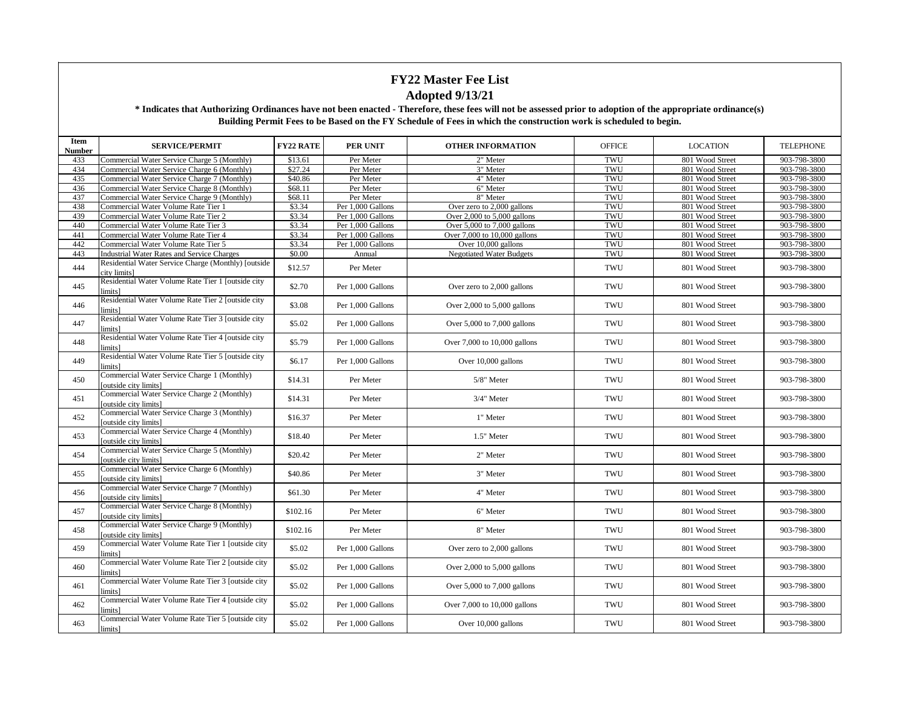| Item<br>Number | <b>SERVICE/PERMIT</b>                                                                                 | <b>FY22 RATE</b> | <b>PER UNIT</b>   | <b>OTHER INFORMATION</b>        | <b>OFFICE</b> | <b>LOCATION</b> | <b>TELEPHONE</b> |
|----------------|-------------------------------------------------------------------------------------------------------|------------------|-------------------|---------------------------------|---------------|-----------------|------------------|
| 433            | Commercial Water Service Charge 5 (Monthly)                                                           | \$13.61          | Per Meter         | 2" Meter                        | TWU           | 801 Wood Street | 903-798-3800     |
| 434            | Commercial Water Service Charge 6 (Monthly)                                                           | \$27.24          | Per Meter         | 3" Meter                        | TWU           | 801 Wood Street | 903-798-3800     |
| 435            | Commercial Water Service Charge 7 (Monthly)                                                           | \$40.86          | Per Meter         | 4" Meter                        | TWU           | 801 Wood Street | 903-798-3800     |
| 436            | Commercial Water Service Charge 8 (Monthly)                                                           | \$68.11          | Per Meter         | 6" Meter                        | TWU           | 801 Wood Street | 903-798-3800     |
| 437            | Commercial Water Service Charge 9 (Monthly)                                                           | \$68.11          | Per Meter         | 8" Meter                        | TWU           | 801 Wood Street | 903-798-3800     |
| 438            | Commercial Water Volume Rate Tier 1                                                                   | \$3.34           | Per 1,000 Gallons | Over zero to 2,000 gallons      | TWU           | 801 Wood Street | 903-798-3800     |
| 439            | Commercial Water Volume Rate Tier 2                                                                   | \$3.34           | Per 1,000 Gallons | Over 2,000 to 5,000 gallons     | TWU           | 801 Wood Street | 903-798-3800     |
| 440            | Commercial Water Volume Rate Tier 3                                                                   | \$3.34           | Per 1,000 Gallons | Over $5,000$ to $7,000$ gallons | TWU           | 801 Wood Street | 903-798-3800     |
| 441            | Commercial Water Volume Rate Tier 4                                                                   | \$3.34           | Per 1,000 Gallons | Over 7,000 to 10,000 gallons    | TWU           | 801 Wood Street | 903-798-3800     |
| 442            | Commercial Water Volume Rate Tier 5                                                                   | \$3.34           | Per 1,000 Gallons | Over 10,000 gallons             | TWU           | 801 Wood Street | 903-798-3800     |
| 443            | Industrial Water Rates and Service Charges                                                            | \$0.00           | Annual            | <b>Negotiated Water Budgets</b> | TWU           | 801 Wood Street | 903-798-3800     |
| 444            | Residential Water Service Charge (Monthly) [outside<br>city limits]                                   | \$12.57          | Per Meter         |                                 | TWU           | 801 Wood Street | 903-798-3800     |
| 445            | Residential Water Volume Rate Tier 1 [outside city<br>limits]                                         | \$2.70           | Per 1,000 Gallons | Over zero to 2,000 gallons      | TWU           | 801 Wood Street | 903-798-3800     |
| 446            | Residential Water Volume Rate Tier 2 [outside city<br>limits]                                         | \$3.08           | Per 1,000 Gallons | Over $2,000$ to $5,000$ gallons | TWU           | 801 Wood Street | 903-798-3800     |
| 447            | Residential Water Volume Rate Tier 3 Joutside city<br>limits]                                         | \$5.02           | Per 1,000 Gallons | Over $5,000$ to $7,000$ gallons | TWU           | 801 Wood Street | 903-798-3800     |
| 448            | Residential Water Volume Rate Tier 4 [outside city<br>limits]                                         | \$5.79           | Per 1,000 Gallons | Over 7,000 to 10,000 gallons    | TWU           | 801 Wood Street | 903-798-3800     |
| 449            | Residential Water Volume Rate Tier 5 [outside city<br>limits]                                         | \$6.17           | Per 1,000 Gallons | Over 10,000 gallons             | TWU           | 801 Wood Street | 903-798-3800     |
| 450            | Commercial Water Service Charge 1 (Monthly)<br>[outside city limits]                                  | \$14.31          | Per Meter         | 5/8" Meter                      | TWU           | 801 Wood Street | 903-798-3800     |
| 451            | Commercial Water Service Charge 2 (Monthly)<br>[outside city limits]                                  | \$14.31          | Per Meter         | 3/4" Meter                      | TWU           | 801 Wood Street | 903-798-3800     |
| 452            | Commercial Water Service Charge 3 (Monthly)<br>[outside city limits]                                  | \$16.37          | Per Meter         | 1" Meter                        | TWU           | 801 Wood Street | 903-798-3800     |
| 453            | Commercial Water Service Charge 4 (Monthly)<br>[outside city limits]                                  | \$18.40          | Per Meter         | 1.5" Meter                      | <b>TWU</b>    | 801 Wood Street | 903-798-3800     |
| 454            | Commercial Water Service Charge 5 (Monthly)<br><b><i><u>foutside</u></i></b> city limits <sup>1</sup> | \$20.42          | Per Meter         | 2" Meter                        | TWU           | 801 Wood Street | 903-798-3800     |
| 455            | Commercial Water Service Charge 6 (Monthly)<br>[outside city limits]                                  | \$40.86          | Per Meter         | 3" Meter                        | TWU           | 801 Wood Street | 903-798-3800     |
| 456            | Commercial Water Service Charge 7 (Monthly)<br>[outside city limits]                                  | \$61.30          | Per Meter         | 4" Meter                        | TWU           | 801 Wood Street | 903-798-3800     |
| 457            | Commercial Water Service Charge 8 (Monthly)<br>[outside city limits]                                  | \$102.16         | Per Meter         | 6" Meter                        | TWU           | 801 Wood Street | 903-798-3800     |
| 458            | Commercial Water Service Charge 9 (Monthly)<br><b><i><u>foutside</u></i></b> city limits <sup>1</sup> | \$102.16         | Per Meter         | 8" Meter                        | TWU           | 801 Wood Street | 903-798-3800     |
| 459            | Commercial Water Volume Rate Tier 1 [outside city<br>limits]                                          | \$5.02           | Per 1,000 Gallons | Over zero to 2,000 gallons      | TWU           | 801 Wood Street | 903-798-3800     |
| 460            | Commercial Water Volume Rate Tier 2 [outside city<br>limits]                                          | \$5.02           | Per 1,000 Gallons | Over $2,000$ to $5,000$ gallons | TWU           | 801 Wood Street | 903-798-3800     |
| 461            | Commercial Water Volume Rate Tier 3 [outside city<br>limits]                                          | \$5.02           | Per 1,000 Gallons | Over $5,000$ to $7,000$ gallons | TWU           | 801 Wood Street | 903-798-3800     |
| 462            | Commercial Water Volume Rate Tier 4 [outside city<br>limits]                                          | \$5.02           | Per 1,000 Gallons | Over 7,000 to 10,000 gallons    | TWU           | 801 Wood Street | 903-798-3800     |
| 463            | Commercial Water Volume Rate Tier 5 [outside city<br>limits]                                          | \$5.02           | Per 1,000 Gallons | Over 10,000 gallons             | TWU           | 801 Wood Street | 903-798-3800     |